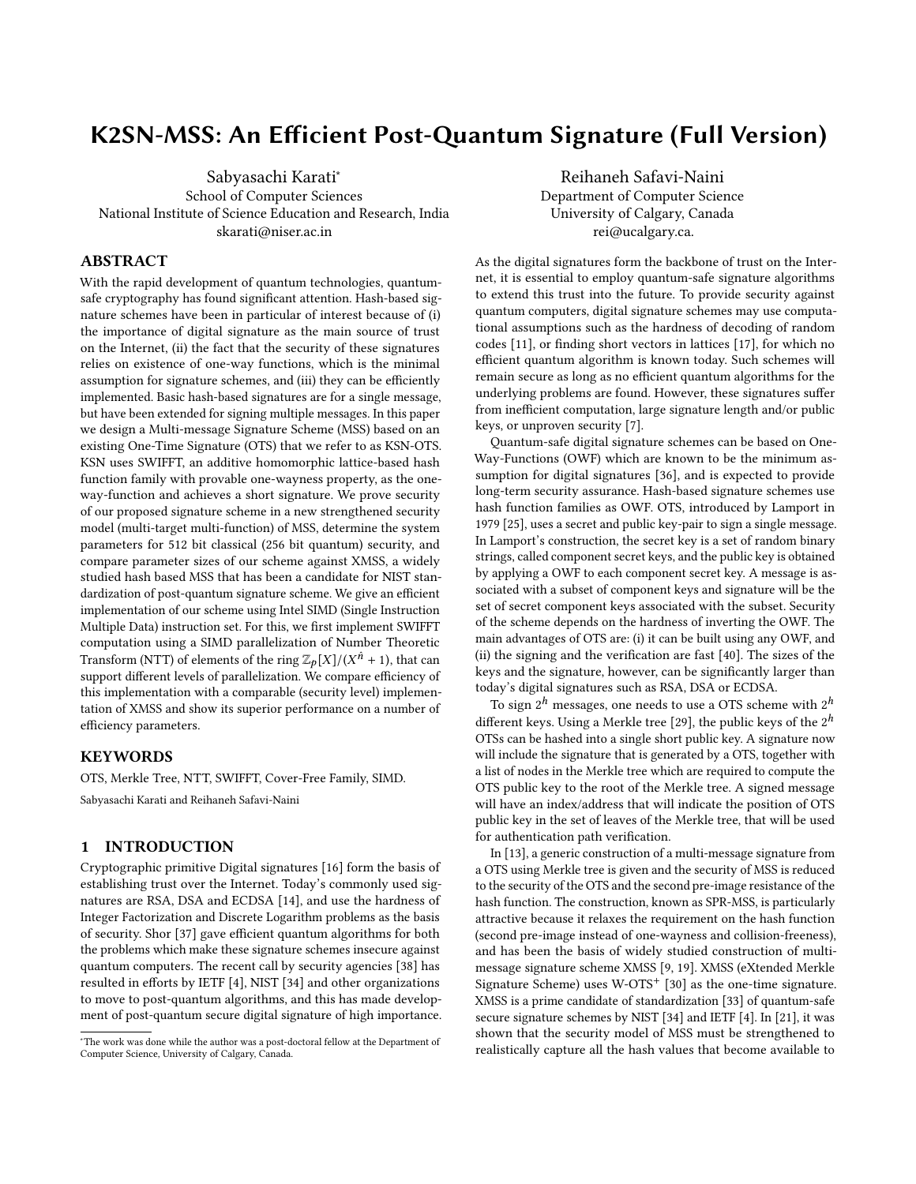## K2SN-MSS: An Efficient Post-Quantum Signature (Full Version)

Sabyasachi Karati<sup>∗</sup> School of Computer Sciences National Institute of Science Education and Research, India skarati@niser.ac.in

## ABSTRACT

With the rapid development of quantum technologies, quantumsafe cryptography has found significant attention. Hash-based signature schemes have been in particular of interest because of (i) the importance of digital signature as the main source of trust on the Internet, (ii) the fact that the security of these signatures relies on existence of one-way functions, which is the minimal assumption for signature schemes, and (iii) they can be efficiently implemented. Basic hash-based signatures are for a single message, but have been extended for signing multiple messages. In this paper we design a Multi-message Signature Scheme (MSS) based on an existing One-Time Signature (OTS) that we refer to as KSN-OTS. KSN uses SWIFFT, an additive homomorphic lattice-based hash function family with provable one-wayness property, as the oneway-function and achieves a short signature. We prove security of our proposed signature scheme in a new strengthened security model (multi-target multi-function) of MSS, determine the system parameters for 512 bit classical (256 bit quantum) security, and compare parameter sizes of our scheme against XMSS, a widely studied hash based MSS that has been a candidate for NIST standardization of post-quantum signature scheme. We give an efficient implementation of our scheme using Intel SIMD (Single Instruction Multiple Data) instruction set. For this, we first implement SWIFFT computation using a SIMD parallelization of Number Theoretic Transform (NTT) of elements of the ring  $\mathbb{Z}_p[X]/(X^{\hat{n}} + 1)$ , that can support different levels of parallelization. We compare efficiency of support different levels of parallelization. We compare efficiency of this implementation with a comparable (security level) implementation of XMSS and show its superior performance on a number of efficiency parameters.

## **KEYWORDS**

OTS, Merkle Tree, NTT, SWIFFT, Cover-Free Family, SIMD.

Sabyasachi Karati and Reihaneh Safavi-Naini

## 1 INTRODUCTION

Cryptographic primitive Digital signatures [\[16\]](#page-15-0) form the basis of establishing trust over the Internet. Today's commonly used signatures are RSA, DSA and ECDSA [\[14\]](#page-15-1), and use the hardness of Integer Factorization and Discrete Logarithm problems as the basis of security. Shor [\[37\]](#page-16-0) gave efficient quantum algorithms for both the problems which make these signature schemes insecure against quantum computers. The recent call by security agencies [\[38\]](#page-16-1) has resulted in efforts by IETF [\[4\]](#page-15-2), NIST [\[34\]](#page-15-3) and other organizations to move to post-quantum algorithms, and this has made development of post-quantum secure digital signature of high importance.

Reihaneh Safavi-Naini Department of Computer Science University of Calgary, Canada rei@ucalgary.ca.

As the digital signatures form the backbone of trust on the Internet, it is essential to employ quantum-safe signature algorithms to extend this trust into the future. To provide security against quantum computers, digital signature schemes may use computational assumptions such as the hardness of decoding of random codes [\[11\]](#page-15-4), or finding short vectors in lattices [\[17\]](#page-15-5), for which no efficient quantum algorithm is known today. Such schemes will remain secure as long as no efficient quantum algorithms for the underlying problems are found. However, these signatures suffer from inefficient computation, large signature length and/or public keys, or unproven security [\[7\]](#page-15-6).

Quantum-safe digital signature schemes can be based on One-Way-Functions (OWF) which are known to be the minimum assumption for digital signatures [\[36\]](#page-16-2), and is expected to provide long-term security assurance. Hash-based signature schemes use hash function families as OWF. OTS, introduced by Lamport in 1979 [\[25\]](#page-15-7), uses a secret and public key-pair to sign a single message. In Lamport's construction, the secret key is a set of random binary strings, called component secret keys, and the public key is obtained by applying a OWF to each component secret key. A message is associated with a subset of component keys and signature will be the set of secret component keys associated with the subset. Security of the scheme depends on the hardness of inverting the OWF. The main advantages of OTS are: (i) it can be built using any OWF, and (ii) the signing and the verification are fast [\[40\]](#page-16-3). The sizes of the keys and the signature, however, can be significantly larger than today's digital signatures such as RSA, DSA or ECDSA.

To sign  $2^h$  messages, one needs to use a OTS scheme with  $2^h$ different keys. Using a Merkle tree [\[29\]](#page-15-8), the public keys of the  $2^h$ OTSs can be hashed into a single short public key. A signature now will include the signature that is generated by a OTS, together with a list of nodes in the Merkle tree which are required to compute the OTS public key to the root of the Merkle tree. A signed message will have an index/address that will indicate the position of OTS public key in the set of leaves of the Merkle tree, that will be used for authentication path verification.

In [\[13\]](#page-15-9), a generic construction of a multi-message signature from a OTS using Merkle tree is given and the security of MSS is reduced to the security of the OTS and the second pre-image resistance of the hash function. The construction, known as SPR-MSS, is particularly attractive because it relaxes the requirement on the hash function (second pre-image instead of one-wayness and collision-freeness), and has been the basis of widely studied construction of multimessage signature scheme XMSS [\[9,](#page-15-10) [19\]](#page-15-11). XMSS (eXtended Merkle Signature Scheme) uses  $W$ -OTS<sup>+</sup> [\[30\]](#page-15-12) as the one-time signature. XMSS is a prime candidate of standardization [\[33\]](#page-15-13) of quantum-safe secure signature schemes by NIST [\[34\]](#page-15-3) and IETF [\[4\]](#page-15-2). In [\[21\]](#page-15-14), it was shown that the security model of MSS must be strengthened to realistically capture all the hash values that become available to

<sup>∗</sup>The work was done while the author was a post-doctoral fellow at the Department of Computer Science, University of Calgary, Canada.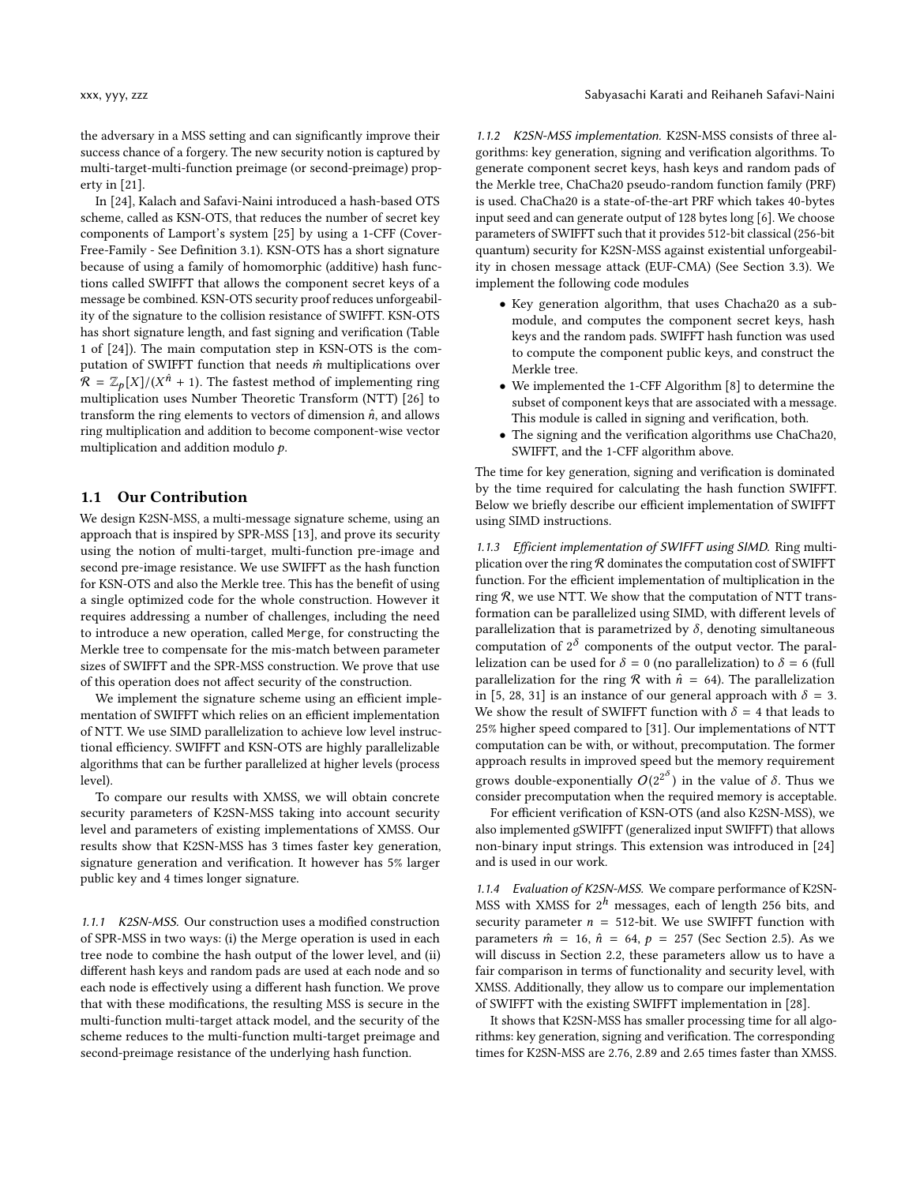the adversary in a MSS setting and can significantly improve their success chance of a forgery. The new security notion is captured by multi-target-multi-function preimage (or second-preimage) property in [\[21\]](#page-15-14).

In [\[24\]](#page-15-15), Kalach and Safavi-Naini introduced a hash-based OTS scheme, called as KSN-OTS, that reduces the number of secret key components of Lamport's system [\[25\]](#page-15-7) by using a 1-CFF (Cover-Free-Family - See Definition [3.1\)](#page-4-0). KSN-OTS has a short signature because of using a family of homomorphic (additive) hash functions called SWIFFT that allows the component secret keys of a message be combined. KSN-OTS security proof reduces unforgeability of the signature to the collision resistance of SWIFFT. KSN-OTS has short signature length, and fast signing and verification (Table 1 of [\[24\]](#page-15-15)). The main computation step in KSN-OTS is the computation of SWIFFT function that needs  $\hat{m}$  multiplications over  $\hat{\mathcal{R}} = \mathbb{Z}_p[X]/(X^{\hat{n}} + 1)$ . The fastest method of implementing ring multiplication uses Number Theoretic Transform (NTT) [26] to multiplication uses Number Theoretic Transform (NTT) [\[26\]](#page-15-16) to transform the ring elements to vectors of dimension  $\hat{n}$ , and allows ring multiplication and addition to become component-wise vector multiplication and addition modulo p.

## 1.1 Our Contribution

We design K2SN-MSS, a multi-message signature scheme, using an approach that is inspired by SPR-MSS [\[13\]](#page-15-9), and prove its security using the notion of multi-target, multi-function pre-image and second pre-image resistance. We use SWIFFT as the hash function for KSN-OTS and also the Merkle tree. This has the benefit of using a single optimized code for the whole construction. However it requires addressing a number of challenges, including the need to introduce a new operation, called Merge, for constructing the Merkle tree to compensate for the mis-match between parameter sizes of SWIFFT and the SPR-MSS construction. We prove that use of this operation does not affect security of the construction.

We implement the signature scheme using an efficient implementation of SWIFFT which relies on an efficient implementation of NTT. We use SIMD parallelization to achieve low level instructional efficiency. SWIFFT and KSN-OTS are highly parallelizable algorithms that can be further parallelized at higher levels (process level).

To compare our results with XMSS, we will obtain concrete security parameters of K2SN-MSS taking into account security level and parameters of existing implementations of XMSS. Our results show that K2SN-MSS has 3 times faster key generation, signature generation and verification. It however has 5% larger public key and 4 times longer signature.

1.1.1 K2SN-MSS. Our construction uses a modified construction of SPR-MSS in two ways: (i) the Merge operation is used in each tree node to combine the hash output of the lower level, and (ii) different hash keys and random pads are used at each node and so each node is effectively using a different hash function. We prove that with these modifications, the resulting MSS is secure in the multi-function multi-target attack model, and the security of the scheme reduces to the multi-function multi-target preimage and second-preimage resistance of the underlying hash function.

1.1.2 K2SN-MSS implementation. K2SN-MSS consists of three algorithms: key generation, signing and verification algorithms. To generate component secret keys, hash keys and random pads of the Merkle tree, ChaCha20 pseudo-random function family (PRF) is used. ChaCha20 is a state-of-the-art PRF which takes 40-bytes input seed and can generate output of 128 bytes long [\[6\]](#page-15-17). We choose parameters of SWIFFT such that it provides 512-bit classical (256-bit quantum) security for K2SN-MSS against existential unforgeability in chosen message attack (EUF-CMA) (See Section [3.3\)](#page-6-0). We implement the following code modules

- Key generation algorithm, that uses Chacha20 as a submodule, and computes the component secret keys, hash keys and the random pads. SWIFFT hash function was used to compute the component public keys, and construct the Merkle tree.
- We implemented the 1-CFF Algorithm [\[8\]](#page-15-18) to determine the subset of component keys that are associated with a message. This module is called in signing and verification, both.
- The signing and the verification algorithms use ChaCha20, SWIFFT, and the 1-CFF algorithm above.

The time for key generation, signing and verification is dominated by the time required for calculating the hash function SWIFFT. Below we briefly describe our efficient implementation of SWIFFT using SIMD instructions.

1.1.3 Efficient implementation of SWIFFT using SIMD. Ring multiplication over the ring  $R$  dominates the computation cost of SWIFFT function. For the efficient implementation of multiplication in the ring  $R$ , we use NTT. We show that the computation of NTT transformation can be parallelized using SIMD, with different levels of parallelization that is parametrized by  $\delta$ , denoting simultaneous computation of  $2^{\delta}$  components of the output vector. The parallelization can be used for  $\delta = 0$  (no parallelization) to  $\delta = 6$  (full parallelization for the ring  $\mathcal R$  with  $\hat n = 64$ ). The parallelization in [\[5,](#page-15-19) [28,](#page-15-20) [31\]](#page-15-21) is an instance of our general approach with  $\delta = 3$ . We show the result of SWIFFT function with  $\delta = 4$  that leads to 25% higher speed compared to [\[31\]](#page-15-21). Our implementations of NTT computation can be with, or without, precomputation. The former approach results in improved speed but the memory requirement grows double-exponentially  $O(2^{2^{\delta}})$  in the value of  $\delta$ . Thus we consider precomputation when the required memory is acceptable consider precomputation when the required memory is acceptable.

For efficient verification of KSN-OTS (and also K2SN-MSS), we also implemented gSWIFFT (generalized input SWIFFT) that allows non-binary input strings. This extension was introduced in [\[24\]](#page-15-15) and is used in our work.

1.1.4 Evaluation of K2SN-MSS. We compare performance of K2SN-MSS with XMSS for  $2^h$  messages, each of length 256 bits, and security parameter  $n = 512$ -bit. We use SWIFFT function with parameters  $\hat{m} = 16$ ,  $\hat{n} = 64$ ,  $p = 257$  (Sec Section [2.5\)](#page-4-1). As we will discuss in Section [2.2,](#page-2-0) these parameters allow us to have a fair comparison in terms of functionality and security level, with XMSS. Additionally, they allow us to compare our implementation of SWIFFT with the existing SWIFFT implementation in [\[28\]](#page-15-20).

It shows that K2SN-MSS has smaller processing time for all algorithms: key generation, signing and verification. The corresponding times for K2SN-MSS are 2.76, 2.89 and 2.65 times faster than XMSS.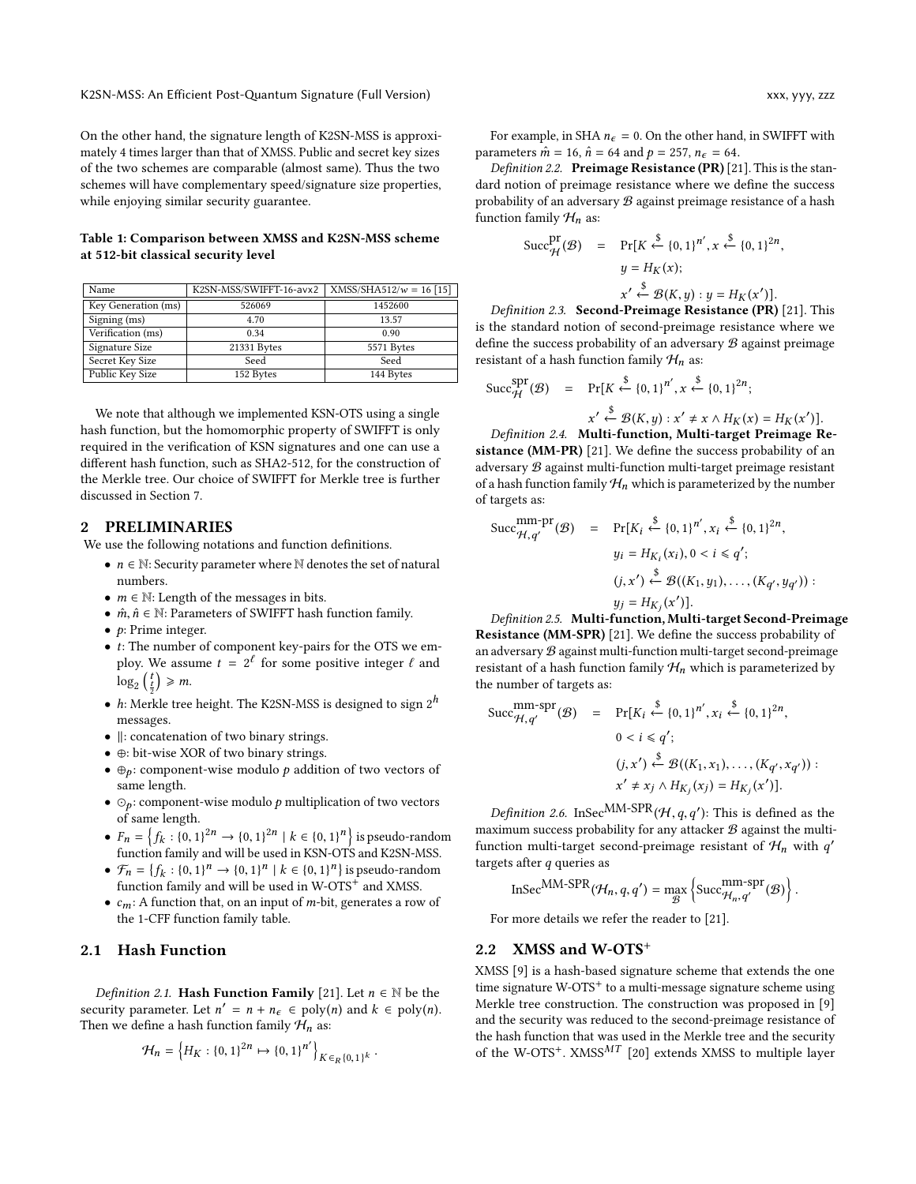On the other hand, the signature length of K2SN-MSS is approximately 4 times larger than that of XMSS. Public and secret key sizes of the two schemes are comparable (almost same). Thus the two schemes will have complementary speed/signature size properties, while enjoying similar security guarantee.

#### <span id="page-2-3"></span>Table 1: Comparison between XMSS and K2SN-MSS scheme at 512-bit classical security level

| Name                | K2SN-MSS/SWIFFT-16-avx2 | $XMSS/SHA512/w = 16 [15]$ |
|---------------------|-------------------------|---------------------------|
| Key Generation (ms) | 526069                  | 1452600                   |
| Signing (ms)        | 4.70                    | 13.57                     |
| Verification (ms)   | 0.34                    | 0.90                      |
| Signature Size      | 21331 Bytes             | 5571 Bytes                |
| Secret Key Size     | Seed                    | Seed                      |
| Public Key Size     | 152 Bytes               | 144 Bytes                 |

We note that although we implemented KSN-OTS using a single hash function, but the homomorphic property of SWIFFT is only required in the verification of KSN signatures and one can use a different hash function, such as SHA2-512, for the construction of the Merkle tree. Our choice of SWIFFT for Merkle tree is further discussed in Section [7.](#page-15-23)

### <span id="page-2-2"></span>2 PRELIMINARIES

We use the following notations and function definitions.

- $n \in \mathbb{N}$ : Security parameter where  $\mathbb N$  denotes the set of natural numbers.
- $m \in \mathbb{N}$ : Length of the messages in bits.
- $\hat{m}, \hat{n} \in \mathbb{N}$ : Parameters of SWIFFT hash function family.
- $\bullet$  *p*: Prime integer.
- t: The number of component key-pairs for the OTS we employ. We assume  $t = 2^{\ell}$  for some positive integer  $\ell$  and  $\log_2\left(\frac{t}{2}\right) \geq m.$
- *h*: Merkle tree height. The K2SN-MSS is designed to sign  $2^h$  messages messages.
- ∥: concatenation of two binary strings.
- ⊕: bit-wise XOR of two binary strings.
- $\oplus_p$ : component-wise modulo p addition of two vectors of same length.
- $\odot_p$ : component-wise modulo p multiplication of two vectors of same length. ( )
- $F_n = \{f_k : \{0, 1\}^{2n} \to \{0, 1\}^{2n} \mid k \in \{0, 1\}^n$ <br>function family and will be used in KSN OT  $f(x + (x, 2))$  for  $f(x, y)$  and will be used in KSN-OTS and K2SN-MSS. is pseudo-random
- $\mathcal{F}_n = \{f_k : \{0, 1\}^n \to \{0, 1\}^n \mid k \in \{0, 1\}^n\}$  is pseudo-random<br>function family and will be used in W-OTS<sup>+</sup> and XMSS function family and will be used in W-OTS<sup>+</sup> and XMSS.
- $c_m$ : A function that, on an input of *m*-bit, generates a row of the 1-CFF function family table.

## <span id="page-2-1"></span>2.1 Hash Function

Definition 2.1. Hash Function Family [\[21\]](#page-15-14). Let  $n \in \mathbb{N}$  be the security parameter. Let  $n' = n + n_{\epsilon} \in \text{poly}(n)$  and  $k \in \text{poly}(n)$ .<br>Then we define a bash function family  $H_{\epsilon}$  as: Then we define a hash function family  $\mathcal{H}_n$  as:

$$
\mathcal{H}_n = \left\{ H_K : \{0,1\}^{2n} \mapsto \{0,1\}^{n'} \right\}_{K \in_R \{0,1\}^k}
$$

For example, in SHA  $n_{\epsilon} = 0$ . On the other hand, in SWIFFT with parameters  $\hat{m} = 16$ ,  $\hat{n} = 64$  and  $p = 257$ ,  $n_{\epsilon} = 64$ .

Definition 2.2. Preimage Resistance (PR) [\[21\]](#page-15-14). This is the standard notion of preimage resistance where we define the success probability of an adversary  $B$  against preimage resistance of a hash function family  $\mathcal{H}_n$  as:

$$
\text{Succ}_{\mathcal{H}}^{\text{pr}}(\mathcal{B}) = \Pr[K \stackrel{\$}{\leftarrow} \{0, 1\}^{n'}, x \stackrel{\$}{\leftarrow} \{0, 1\}^{2n},
$$

$$
y = H_K(x);
$$

$$
x' \stackrel{\$}{\leftarrow} \mathcal{B}(K, y) : y = H_K(x')].
$$
  
Definition 2.3. Second-Preimage Resistance (PR) [21]. This

is the standard notion of second-preimage resistance where we define the success probability of an adversary  $\mathcal B$  against preimage resistant of a hash function family  $\mathcal{H}_n$  as:

$$
\text{Succ}^{\text{spr}}_{\mathcal{H}}(\mathcal{B}) = \Pr[K \stackrel{\$}{\leftarrow} \{0, 1\}^{n'}, x \stackrel{\$}{\leftarrow} \{0, 1\}^{2n};
$$
\n
$$
x' \stackrel{\$}{\leftarrow} \mathcal{B}(K, y) : x' \neq x \land H_K(x) = H_K(x')].
$$
\nDefinition 2.4. Multi-function, Multi-target Preimage Re-

sistance (MM-PR) [\[21\]](#page-15-14). We define the success probability of an adversary  $B$  against multi-function multi-target preimage resistant of a hash function family  $\mathcal{H}_n$  which is parameterized by the number of targets as:

$$
\text{Succ}_{\mathcal{H}, q'}^{\text{mm-pr}}(\mathcal{B}) = \Pr[K_i \stackrel{\$}{\leftarrow} \{0, 1\}^{n'}, x_i \stackrel{\$}{\leftarrow} \{0, 1\}^{2n},
$$
\n
$$
y_i = H_{K_i}(x_i), 0 < i \leq q';
$$
\n
$$
(j, x') \stackrel{\$}{\leftarrow} \mathcal{B}((K_1, y_1), \dots, (K_{q'}, y_{q'})\) :
$$
\n
$$
y_j = H_{K_j}(x')].
$$
\nDefinition 2.5. Multi-function, Multi-target Second-Preimage

Resistance (MM-SPR) [\[21\]](#page-15-14). We define the success probability of an adversary  $B$  against multi-function multi-target second-preimage resistant of a hash function family  $\mathcal{H}_n$  which is parameterized by the number of targets as:

$$
\begin{array}{rcl}\n\text{Succ}_{\mathcal{H},q'}^{\text{mm-spr}}(\mathcal{B}) & = & \Pr[K_i \stackrel{\$}{\leftarrow} \{0,1\}^{n'}, x_i \stackrel{\$}{\leftarrow} \{0,1\}^{2n}, \\
0 < i \leq q'; \\
(j, x') \stackrel{\$}{\leftarrow} \mathcal{B}((K_1, x_1), \dots, (K_{q'}, x_{q'})) : \\
x' \neq x_j \land H_{K_j}(x_j) = H_{K_j}(x')].\n\end{array}
$$

*Definition 2.6.* InSec<sup>MM-SPR</sup> $(H, q, q')$ : This is defined as the vinum success probability for any attacker  $\Re$  against the multimaximum success probability for any attacker  $\mathcal B$  against the multifunction multi-target second-preimage resistant of  $\mathcal{H}_n$  with  $q'$ <br>targets after a queries as targets after q queries as

$$
\mathrm{InSec}^{\mathrm{MM}\text{-}\mathrm{SPR}}(\mathcal{H}_n,q,q')=\max_{\mathcal{B}}\left\{\mathrm{Succ}^{\mathrm{mm}\text{-}\mathrm{spr}}_{\mathcal{H}_n,q'}(\mathcal{B})\right\}.
$$

For more details we refer the reader to [\[21\]](#page-15-14).

## <span id="page-2-0"></span>2.2 XMSS and W-OTS<sup>+</sup>

XMSS [\[9\]](#page-15-10) is a hash-based signature scheme that extends the one time signature W-OTS<sup>+</sup> to a multi-message signature scheme using Merkle tree construction. The construction was proposed in [\[9\]](#page-15-10) and the security was reduced to the second-preimage resistance of the hash function that was used in the Merkle tree and the security of the W-OTS<sup>+</sup>. XMSS<sup>MT</sup> [\[20\]](#page-15-24) extends XMSS to multiple layer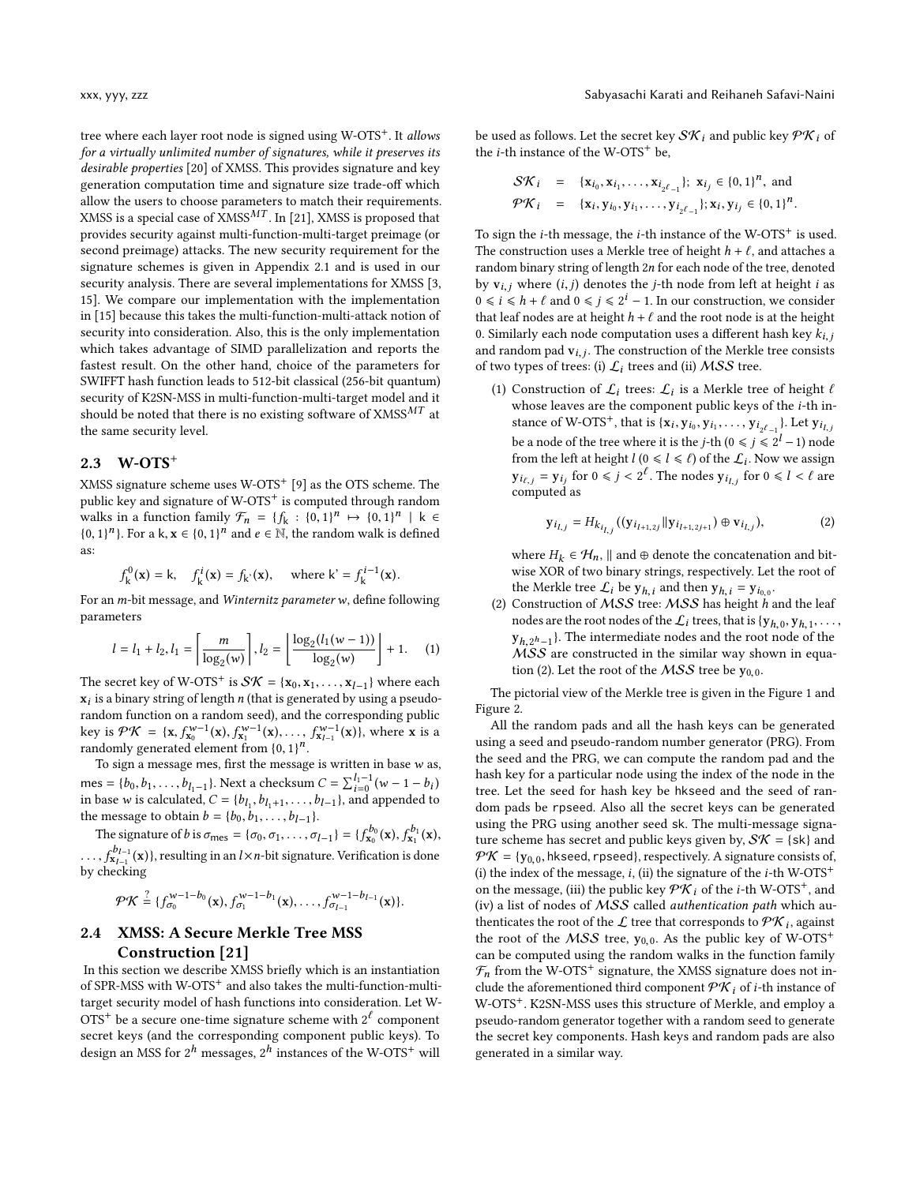tree where each layer root node is signed using W-OTS<sup>+</sup>. It allows for a virtually unlimited number of signatures, while it preserves its desirable properties [\[20\]](#page-15-24) of XMSS. This provides signature and key generation computation time and signature size trade-off which allow the users to choose parameters to match their requirements. XMSS is a special case of XMSS<sup>MT</sup>. In [\[21\]](#page-15-14), XMSS is proposed that provides security against multi-function-multi-target preimage (or second preimage) attacks. The new security requirement for the signature schemes is given in Appendix [2.1](#page-2-1) and is used in our security analysis. There are several implementations for XMSS [\[3,](#page-15-25) [15\]](#page-15-22). We compare our implementation with the implementation in [\[15\]](#page-15-22) because this takes the multi-function-multi-attack notion of security into consideration. Also, this is the only implementation which takes advantage of SIMD parallelization and reports the fastest result. On the other hand, choice of the parameters for SWIFFT hash function leads to 512-bit classical (256-bit quantum) security of K2SN-MSS in multi-function-multi-target model and it should be noted that there is no existing software of XMSS $^{MT}$  at the same security level.

## 2.3 W-OTS<sup>+</sup>

XMSS signature scheme uses  $W-OTS^{+}$  [\[9\]](#page-15-10) as the OTS scheme. The public key and signature of W-OTS<sup>+</sup> is computed through random walks in a function family  $\mathcal{F}_n = \{f_k : \{0,1\}^n \mapsto \{0,1\}^n \mid k \in \{0,1\}^n\}$ {0, 1}<sup>*n*</sup>}. For a k, **x**  $\in$  {0, 1}*<sup>n</sup>* and *e*  $\in$  Ñ, the random walk is defined as:

$$
f_k^0(\mathbf{x}) = k
$$
,  $f_k^i(\mathbf{x}) = f_{k'}(\mathbf{x})$ , where  $k' = f_k^{i-1}(\mathbf{x})$ .

For an *m*-bit message, and *Winternitz parameter w*, define following parameters

$$
l = l_1 + l_2, l_1 = \left\lceil \frac{m}{\log_2(w)} \right\rceil, l_2 = \left\lfloor \frac{\log_2(l_1(w-1))}{\log_2(w)} \right\rfloor + 1. \tag{1}
$$

The secret key of W-OTS<sup>+</sup> is  $S\mathcal{K} = \{x_0, x_1, \ldots, x_{l-1}\}$  where each  $\mathbf{x}_l$  is a binary string of length *n* (that is generated by using a pseudo $x_i$  is a binary string of length *n* (that is generated by using a pseudo-<br>random function on a random seed), and the corresponding public random function on a random seed), and the corresponding public key is  $\mathcal{P}\mathcal{K} = {\mathbf{x}, f_{\mathbf{x}_0}^{w-1}(\mathbf{x}), f_{\mathbf{x}_1}^{w-1}(\mathbf{x}), \ldots, f_{\mathbf{x}_{L-1}}^{w-1}(\mathbf{x})}, \text{ where } \mathbf{x} \text{ is a randomly generated element from } \mathbf{0}, \mathbf{1}\mathbf{1}^n$ randomly generated element from  $\{0, 1\}^n$ .<br>To sign a message mes, first the message

To sign a message mes, first the message is written in base  $w$  as, mes = {b<sub>0</sub>, b<sub>1</sub>, ..., b<sub>l<sub>1</sub>-1</sub>}. Next a checksum  $C = \sum_{i=0}^{l_1-1} (w - 1 - b_i)$ <br>in base w is calculated.  $C = \{b_1, b_1, \dots, b_{l-1}\}$ , and appended t in base w is calculated,  $C = \{b_{I_1}, b_{I_1+1}, \ldots, b_{I-1}\}$ , and appended to<br>the message to obtain  $b = \{b_0, b_1, \ldots, b_{I-1}\}$ , and appended to the message to obtain  $b = \{b_0, b_1, \ldots, b_{l-1}\}.$ <br>The signature of his  $\sigma = \{b_0, b_1, \ldots, b_{l-1}\}.$ 

The signature of b is  $\sigma_{\text{mes}} = {\sigma_0, \sigma_1, ..., \sigma_{l-1}} = {f_{x_0}^{b_0}(x), f_{x_1}^{b_1}(x),$ by checking <sup>.6</sup>l<sup>−1</sup>(x)}, resulting in an l×n-bit signature. Verification is done<br>x<sub>l−1</sub> (x)},

$$
\mathcal{P}\mathcal{K} \stackrel{?}{=} \{f_{\sigma_0}^{w-1-b_0}(\mathbf{x}), f_{\sigma_1}^{w-1-b_1}(\mathbf{x}), \ldots, f_{\sigma_{l-1}}^{w-1-b_{l-1}}(\mathbf{x})\}.
$$

## 2.4 XMSS: A Secure Merkle Tree MSS Construction [\[21\]](#page-15-14)

In this section we describe XMSS briefly which is an instantiation of SPR-MSS with W-OTS<sup>+</sup> and also takes the multi-function-multitarget security model of hash functions into consideration. Let W-OTS<sup>+</sup> be a secure one-time signature scheme with  $2^{\ell}$  component secret keys (and the corresponding component public keys). To design an MSS for  $2^h$  messages,  $2^h$  instances of the W-OTS<sup>+</sup> will

be used as follows. Let the secret key  $\mathcal{SK}_i$  and public key  $\mathcal{PK}_i$  of the  $i$ -th instance of the W-OTS<sup>+</sup> be,

$$
S\mathcal{K}_i = \{x_{i_0}, x_{i_1}, \dots, x_{i_{2^{\ell}-1}}\}; x_{i_j} \in \{0, 1\}^n, \text{ and}
$$
  

$$
\mathcal{PK}_i = \{x_i, y_{i_0}, y_{i_1}, \dots, y_{i_{2^{\ell}-1}}\}; x_i, y_{i_j} \in \{0, 1\}^n.
$$

To sign the  $i$ -th message, the  $i$ -th instance of the W-OTS<sup>+</sup> is used. The construction uses a Merkle tree of height  $h + \ell$ , and attaches a random binary string of length <sup>2</sup>n for each node of the tree, denoted by  $v_{i,j}$  where  $(i, j)$  denotes the *j*-th node from left at height *i* as  $0 \le i \le h + \ell$  and  $0 \le j \le 2^i - 1$ . In our construction, we consider that leaf nodes are at beinht  $h + \ell$  and the root node is at the beinht that leaf nodes are at height  $h + \ell$  and the root node is at the height 0. Similarly each node computation uses a different hash key  $k_{i,j}$ and random pad  $v_{i,j}$ . The construction of the Merkle tree consists of two types of trees: (i)  $\int$ , trees and (ii)  $\Delta S$  trees of two types of trees: (i)  $\mathcal{L}_i$  trees and (ii) MSS tree.

(1) Construction of  $\mathcal{L}_i$  trees:  $\mathcal{L}_i$  is a Merkle tree of height  $\ell$ <br>whose leaves are the component public keys of the *i*-th inwhose leaves are the component public keys of the *i*-th instance of W-OTS<sup>+</sup>, that is  $\{x_i, y_{i_0}, y_{i_1}, \ldots, y_{i_{2^{\ell-1}}}\}$ . Let  $y_{i_1, j_2, \ldots, j_{2^{\ell-1}}}$ be a node of the tree where it is the *j*-th  $(0 \le j \le 2^l - 1)$  node<br>from the left at height  $l$  ( $0 \le l \le l$ ) of the *f*. Now we assign from the left at height  $l$  ( $0 \le l \le l$ ) of the  $\mathcal{L}_i$ . Now we assign<br> $\mathbf{v}_i = \mathbf{v}_i$ , for  $0 \le i \le l$ , The nodes  $\mathbf{v}_i$ , for  $0 \le l \le l$  are  $y_{i\ell,j} = y_{i_j}$  for  $0 \le j < 2^{\ell}$ . The nodes  $y_{i\ell,j}$  for  $0 \le l < \ell$  are computed as computed as

<span id="page-3-0"></span>
$$
\mathbf{y}_{i_{l,j}} = H_{k_{i_{l,j}}}((\mathbf{y}_{i_{l+1,2j}}||\mathbf{y}_{i_{l+1,2j+1}}) \oplus \mathbf{v}_{i_{l,j}}),
$$
 (2)

where  $H_k \in \mathcal{H}_n$ , || and ⊕ denote the concatenation and bitwise XOR of two binary strings, respectively. Let the root of the Merkle tree  $\mathcal{L}_i$  be  $y_{h,i}$  and then  $y_{h,i} = y_{i_{0,0}}$ .<br>Construction of MSS tree: MSS has beight h s

(2) Construction of  $MSS$  tree:  $MSS$  has height h and the leaf nodes are the root nodes of the  $\mathcal{L}_i$  trees, that is  $\{y_{h,0}, y_{h,1}\}$  $y_{h,2^h-1}$ . The intermediate nodes and the root node of the  $MSS$  are constructed in the similar way shown in equa-MSS are constructed in the similar way shown in equa-tion [\(2\)](#page-3-0). Let the root of the  $MSS$  tree be  $y_{0,0}$ .

The pictorial view of the Merkle tree is given in the Figure [1](#page-4-2) and Figure [2.](#page-4-2)

All the random pads and all the hash keys can be generated using a seed and pseudo-random number generator (PRG). From the seed and the PRG, we can compute the random pad and the hash key for a particular node using the index of the node in the tree. Let the seed for hash key be hkseed and the seed of random pads be rpseed. Also all the secret keys can be generated using the PRG using another seed sk. The multi-message signature scheme has secret and public keys given by,  $S\mathcal{K} = \{sk\}$  and  $\mathcal{P}\mathcal{K} = \{y_{0,0}, \text{hkseed}, \text{rposed}\},$  respectively. A signature consists of, (i) the index of the message, i, (ii) the signature of the *i*-th W-OTS<sup>+</sup> on the message, (iii) the public key  $\mathcal{PK}_i$  of the *i*-th W-OTS<sup>+</sup>, and (iv) a list of nodes of MSS called authentication path which authenticates the root of the  $\mathcal{L}$  tree that corresponds to  $\mathcal{PK}_i$ , against<br>the root of the MSS tree,  $y_i$  as the public leav of W OTS<sup>+</sup> the root of the  $MSS$  tree,  $y_{0,0}$ . As the public key of W-OTS<sup>+</sup> can be computed using the random walks in the function family  $\mathcal{F}_n$  from the W-OTS<sup>+</sup> signature, the XMSS signature does not include the aforementioned third component  $\mathcal{PK}_i$  of *i*-th instance of W-OTS+. K2SN-MSS uses this structure of Merkle, and employ a pseudo-random generator together with a random seed to generate the secret key components. Hash keys and random pads are also generated in a similar way.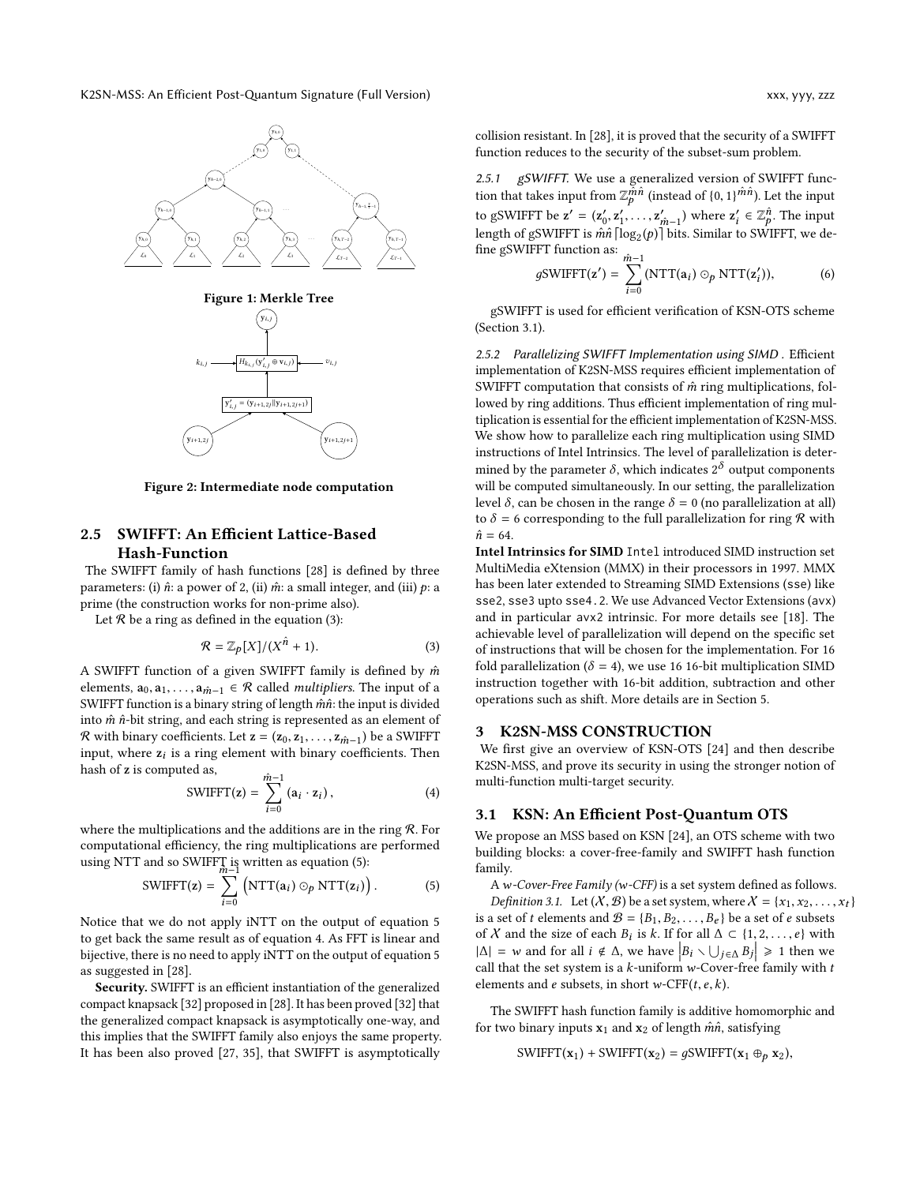<span id="page-4-2"></span>

Figure 2: Intermediate node computation

## <span id="page-4-1"></span>2.5 SWIFFT: An Efficient Lattice-Based Hash-Function

The SWIFFT family of hash functions [\[28\]](#page-15-20) is defined by three parameters: (i)  $\hat{n}$ : a power of 2, (ii)  $\hat{m}$ : a small integer, and (iii)  $p$ : a prime (the construction works for non-prime also).

Let  $R$  be a ring as defined in the equation [\(3\)](#page-4-3):

<span id="page-4-3"></span>
$$
\mathcal{R} = \mathbb{Z}_p[X]/(X^{\hat{n}} + 1). \tag{3}
$$

A SWIFFT function of a given SWIFFT family is defined by  $\hat{m}$ elements,  $a_0, a_1, \ldots, a_{m-1} \in \mathcal{R}$  called *multipliers*. The input of a SWIFFT function is a binary string of length  $\hat{m}\hat{n}$ : the input is divided into  $\hat{m}$   $\hat{n}$ -bit string, and each string is represented as an element of R with binary coefficients. Let  $z = (z_0, z_1, \ldots, z_{m-1})$  be a SWIFFT input, where  $z_i$  is a ring element with binary coefficients. Then<br>hash of z is computed as hash of z is computed as,

<span id="page-4-5"></span>
$$
\text{SWIFFT}(\mathbf{z}) = \sum_{i=0}^{\hat{m}-1} (\mathbf{a}_i \cdot \mathbf{z}_i), \tag{4}
$$

where the multiplications and the additions are in the ring  $R$ . For computational efficiency, the ring multiplications are performed using NTT and so SWIFFT is written as equation [\(5\)](#page-4-4):<br>
SWIFFT(z) =  $\sum$  (NTT(z,)  $\odot$ , NTT(z,)

<span id="page-4-4"></span>
$$
SWIFT(z) = \sum_{i=0}^{N} (NTT(a_i) \odot_p NTT(z_i)).
$$
 (5)

Notice that we do not apply iNTT on the output of equation [5](#page-4-4) to get back the same result as of equation [4.](#page-4-5) As FFT is linear and bijective, there is no need to apply iNTT on the output of equation [5](#page-4-4) as suggested in [\[28\]](#page-15-20).

Security. SWIFFT is an efficient instantiation of the generalized compact knapsack [\[32\]](#page-15-26) proposed in [\[28\]](#page-15-20). It has been proved [\[32\]](#page-15-26) that the generalized compact knapsack is asymptotically one-way, and this implies that the SWIFFT family also enjoys the same property. It has been also proved [\[27,](#page-15-27) [35\]](#page-15-28), that SWIFFT is asymptotically

collision resistant. In [\[28\]](#page-15-20), it is proved that the security of a SWIFFT function reduces to the security of the subset-sum problem.

2.5.1 gSWIFFT. We use a generalized version of SWIFFT function that takes input from  $\mathbb{Z}_p^{\tilde{m}\hat{n}}$  (instead of  $\{0, 1\}^{\hat{m}\hat{n}}$ ). Let the input to gSWIFFT be  $\mathbf{z}' = (\mathbf{z}_0', \mathbf{z}_1', \dots, \mathbf{z}_{\hat{m}-1}')$  where  $\mathbf{z}_i' \in \mathbb{Z}_p^{\hat{n}}.$  The input<br>length of gSWIFFT is  $\hat{m}\hat{n}$  [log. (n)] bits. Similar to SWIFFT, we delength of gSWIFFT is  $\hat{m}\hat{n}$  [log<sub>2</sub>(p)] bits. Similar to SWIFFT, we define gSWIFFT function as:  $\hat{m-1}$ <br>  $\hat{G}$ SWIFFT $(\alpha') = \sum$ 

$$
g\text{SWIFFT}(\mathbf{z}') = \sum_{i=0}^{m-1} (\text{NTT}(\mathbf{a}_i) \odot_p \text{NTT}(\mathbf{z}'_i)),\tag{6}
$$

gSWIFFT is used for efficient verification of KSN-OTS scheme (Section [3.1\)](#page-4-6).

2.5.2 Parallelizing SWIFFT Implementation using SIMD . Efficient implementation of K2SN-MSS requires efficient implementation of SWIFFT computation that consists of  $\hat{m}$  ring multiplications, followed by ring additions. Thus efficient implementation of ring multiplication is essential for the efficient implementation of K2SN-MSS. We show how to parallelize each ring multiplication using SIMD instructions of Intel Intrinsics. The level of parallelization is determined by the parameter  $\delta$ , which indicates  $2^{\delta}$  output components<br>will be computed simultaneously. In our setting, the parallelization will be computed simultaneously. In our setting, the parallelization level δ, can be chosen in the range  $δ = 0$  (no parallelization at all) to  $\delta$  = 6 corresponding to the full parallelization for ring  $\mathcal R$  with  $\hat{n} = 64.$ 

Intel Intrinsics for SIMD Intel introduced SIMD instruction set MultiMedia eXtension (MMX) in their processors in 1997. MMX has been later extended to Streaming SIMD Extensions (sse) like sse2, sse3 upto sse4.2. We use Advanced Vector Extensions (avx) and in particular avx2 intrinsic. For more details see [\[18\]](#page-15-29). The achievable level of parallelization will depend on the specific set of instructions that will be chosen for the implementation. For 16 fold parallelization ( $\delta = 4$ ), we use 16 16-bit multiplication SIMD instruction together with 16-bit addition, subtraction and other operations such as shift. More details are in Section [5.](#page-12-0)

## 3 K2SN-MSS CONSTRUCTION

We first give an overview of KSN-OTS [\[24\]](#page-15-15) and then describe K2SN-MSS, and prove its security in using the stronger notion of multi-function multi-target security.

#### <span id="page-4-6"></span>3.1 KSN: An Efficient Post-Quantum OTS

We propose an MSS based on KSN [\[24\]](#page-15-15), an OTS scheme with two building blocks: a cover-free-family and SWIFFT hash function family.

<sup>A</sup>w-Cover-Free Family (w-CFF) is a set system defined as follows. *Definition 3.1.* Let  $(X, \mathcal{B})$  be a set system, where  $X = \{x_1, x_2, \ldots, x_t\}$ 

<span id="page-4-0"></span>is a set of t elements and  $\mathcal{B} = \{B_1, B_2, \ldots, B_e\}$  be a set of e subsets of X and the size of each  $B_i$  is k. If for all  $\Delta \subset \{1, 2, ..., e\}$  with  $|\Delta| = w$  and for all  $i \notin \Delta$ , we have  $|R_{i, \lambda}| + |R_{i}| > 1$  then we  $|\Delta| = w$  and for all  $i \notin \Delta$ , we have  $|B_i \setminus \bigcup_{j \in \Delta} B_j| \ge 1$  then we<br>call that the set system is a k-uniform w-Cover-free family with t call that the set system is a  $k$ -uniform w-Cover-free family with  $t$ elements and  $e$  subsets, in short w-CFF $(t, e, k)$ .

The SWIFFT hash function family is additive homomorphic and for two binary inputs  $x_1$  and  $x_2$  of length  $m\hat{n}$ , satisfying

SWIFFT( $\mathbf{x}_1$ ) + SWIFFT( $\mathbf{x}_2$ ) = gSWIFFT( $\mathbf{x}_1 \oplus_p \mathbf{x}_2$ ),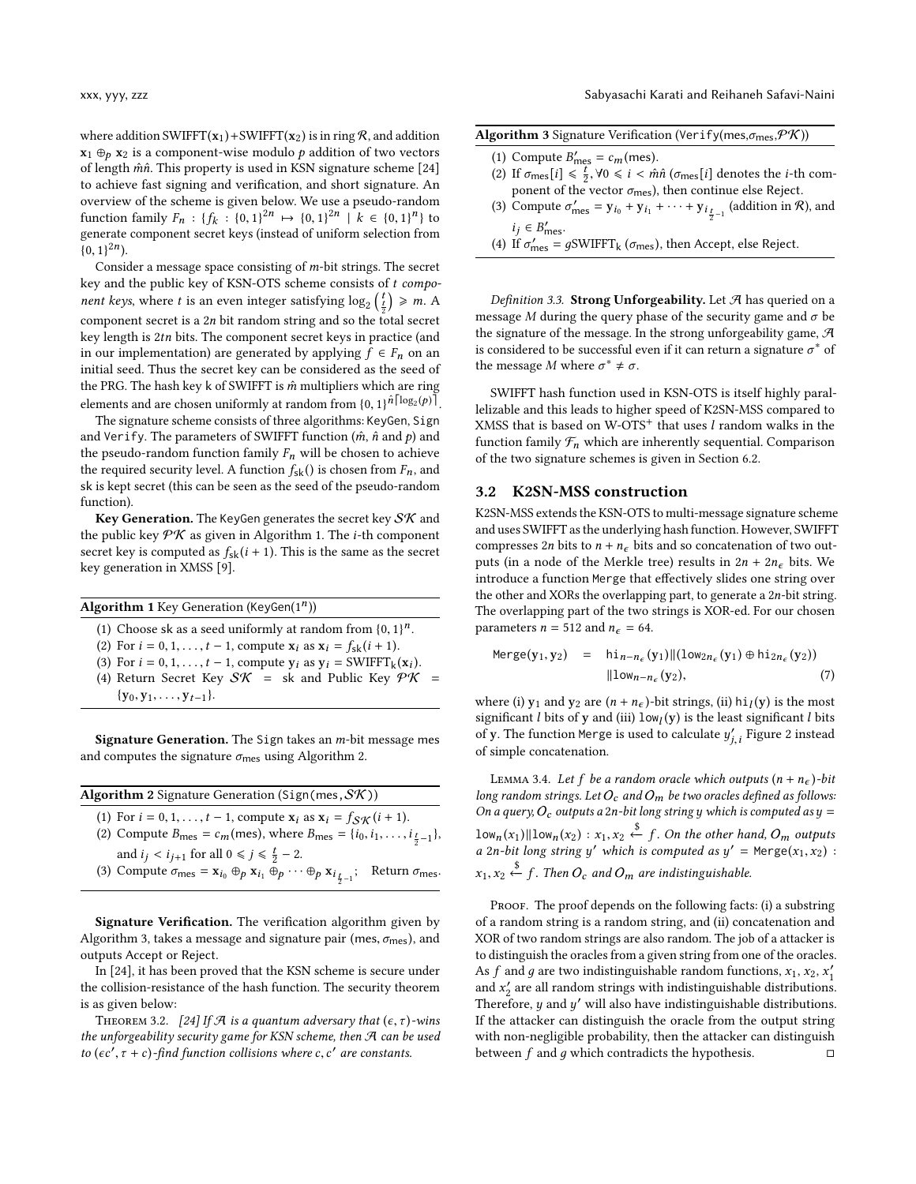where addition SWIFFT( $x_1$ ) + SWIFFT( $x_2$ ) is in ring  $R$ , and addition  $x_1 \oplus_p x_2$  is a component-wise modulo p addition of two vectors of length  $m\hat{n}$ . This property is used in KSN signature scheme [\[24\]](#page-15-15) to achieve fast signing and verification, and short signature. An overview of the scheme is given below. We use a pseudo-random function family  $F_n$ :  $\{f_k : \{0,1\}^{2n} \mapsto \{0,1\}^{2n} \mid k \in \{0,1\}^n\}$  to generate component secret keys (instead of uniform selection from generate component secret keys (instead of uniform selection from  $(0, 1)^{2n}$ .

Consider a message space consisting of m-bit strings. The secret key and the public key of KSN-OTS scheme consists of t compo*nent keys*, where *t* is an even integer satisfying  $\log_2\left(\frac{t}{2}\right) \ge m$ . A component secret is a <sup>2</sup>n bit random string and so the total secret key length is <sup>2</sup>tn bits. The component secret keys in practice (and in our implementation) are generated by applying  $f \in F_n$  on an initial seed. Thus the secret key can be considered as the seed of the PRG. The hash key k of SWIFFT is  $\hat{m}$  multipliers which are ring elements and are chosen uniformly at random from  $\{0, 1\}^{\hat{n} \lceil \log_2(p) \rceil}$ .<br>The signature scheme consists of three algorithms: KeyGen. Sign.

The signature scheme consists of three algorithms: KeyGen, Sign and Verify. The parameters of SWIFFT function  $(\hat{m}, \hat{n} \text{ and } p)$  and the pseudo-random function family  $F_n$  will be chosen to achieve the required security level. A function  $f_{sk}$ () is chosen from  $F_n$ , and sk is kept secret (this can be seen as the seed of the pseudo-random function).

Key Generation. The KeyGen generates the secret key  $S\mathcal{K}$  and the public key  $\mathcal{P} \mathcal{K}$  as given in Algorithm [1.](#page-5-0) The *i*-th component secret key is computed as  $f_{sk}(i + 1)$ . This is the same as the secret key generation in XMSS [\[9\]](#page-15-10).

<span id="page-5-0"></span>

| <b>Algorithm 1</b> Key Generation (KeyGen $(1^n)$ )                                                                                                                                                                                                                                                                   |  |
|-----------------------------------------------------------------------------------------------------------------------------------------------------------------------------------------------------------------------------------------------------------------------------------------------------------------------|--|
| (1) Choose sk as a seed uniformly at random from $\{0, 1\}^n$ .<br>(2) For $i = 0, 1, , t - 1$ , compute $x_i$ as $x_i = f_{sk}(i + 1)$ .<br>(3) For $i = 0, 1, \ldots, t - 1$ , compute $y_i$ as $y_i = \text{SWIFFT}_k(x_i)$ .<br>(4) Return Secret Key $S\mathcal{K}$ = sk and Public Key $\mathcal{P}\mathcal{K}$ |  |
| $\{y_0, y_1, \ldots, y_{t-1}\}.$                                                                                                                                                                                                                                                                                      |  |
|                                                                                                                                                                                                                                                                                                                       |  |

Signature Generation. The Sign takes an m-bit message mes and computes the signature  $\sigma_{\text{mes}}$  using Algorithm [2.](#page-5-1)

<span id="page-5-1"></span>

| <b>Algorithm 2</b> Signature Generation (Sign(mes, $\mathcal{SK}$ ))                                                                                                                                                                   |  |
|----------------------------------------------------------------------------------------------------------------------------------------------------------------------------------------------------------------------------------------|--|
| (1) For $i = 0, 1, , t - 1$ , compute $x_i$ as $x_i = f_{S\mathcal{K}}(i + 1)$ .<br>(2) Compute $B_{\text{mes}} = c_m(\text{mes})$ , where $B_{\text{mes}} = \{i_0, i_1, , i_{\frac{t}{n}-1}\}\$ ,                                     |  |
| and $i_j < i_{j+1}$ for all $0 \le j \le \frac{t}{2} - 2$ .<br>(3) Compute $\sigma_{\text{mes}} = \mathbf{x}_{i_0} \oplus_p \mathbf{x}_{i_1} \oplus_p \cdots \oplus_p \mathbf{x}_{i_{\frac{t}{2}-1}}$ ; Return $\sigma_{\text{mes}}$ . |  |
|                                                                                                                                                                                                                                        |  |

Signature Verification. The verification algorithm given by Algorithm [3,](#page-5-2) takes a message and signature pair (mes,  $\sigma_{\text{mes}}$ ), and outputs Accept or Reject.

In [\[24\]](#page-15-15), it has been proved that the KSN scheme is secure under the collision-resistance of the hash function. The security theorem is as given below:

THEOREM 3.2. [\[24\]](#page-15-15) If A is a quantum adversary that  $(\epsilon, \tau)$ -wins the unforgeability security game for KSN scheme, then A can be used to  $(\epsilon c', \tau + c)$ -find function collisions where c, c' are constants.

<span id="page-5-2"></span>

|  | Algorithm 3 Signature Verification (Verify(mes, $\sigma_{\text{mes}}$ , $\mathcal{P}\mathcal{K}$ )) |
|--|-----------------------------------------------------------------------------------------------------|
|  |                                                                                                     |

- (1) Compute  $B'_{\text{mes}} = c_m(\text{mes}).$ <br>(2) If  $\sigma$   $[i] \leq \frac{t}{2}$   $\forall 0 \leq i \leq \hat{m}$
- (2) If  $\sigma_{\text{mes}}[i] \leq \frac{t}{2}$ ,  $\forall 0 \leq i < \hat{m}\hat{n}$  ( $\sigma_{\text{mes}}[i]$  denotes the *i*-th com-<br>popent of the vector  $\sigma$ ) then continue else Reject ponent of the vector  $\sigma_{\text{mes}}$ ), then continue else Reject.
- (3) Compute  $\sigma'_{\text{mes}} = \mathbf{y}_{i_0} + \mathbf{y}_{i_1} + \cdots + \mathbf{y}_{i_{\frac{t}{2}-1}}$  (addition in  $\mathcal{R}$ ), and  $i_j$  ∈  $B'_{\text{mes}}$ .<br>If  $\pi'$  =
- (4) If  $\sigma'_{\text{mes}} = g\text{SWIFFT}_k(\sigma_{\text{mes}})$ , then Accept, else Reject.

Definition 3.3. Strong Unforgeability. Let  $\mathcal A$  has queried on a message M during the query phase of the security game and  $\sigma$  be the signature of the message. In the strong unforgeability game,  $\mathcal A$ is considered to be successful even if it can return a signature  $\sigma^*$  of<br>the message M where  $\sigma^* \neq \sigma$ the message *M* where  $\sigma^* \neq \sigma$ .

SWIFFT hash function used in KSN-OTS is itself highly parallelizable and this leads to higher speed of K2SN-MSS compared to XMSS that is based on W-OTS<sup>+</sup> that uses  $l$  random walks in the function family  $\mathcal{F}_n$  which are inherently sequential. Comparison of the two signature schemes is given in Section [6.2.](#page-14-0)

### 3.2 K2SN-MSS construction

K2SN-MSS extends the KSN-OTS to multi-message signature scheme and uses SWIFFT as the underlying hash function. However, SWIFFT compresses 2n bits to  $n + n_{\epsilon}$  bits and so concatenation of two outputs (in a node of the Merkle tree) results in  $2n + 2n_{\epsilon}$  bits. We introduce a function Merge that effectively slides one string over the other and XORs the overlapping part, to generate a  $2n$ -bit string. The overlapping part of the two strings is XOR-ed. For our chosen parameters  $n = 512$  and  $n_{\epsilon} = 64$ .

$$
\begin{array}{rcl}\n\text{Merge}(y_1, y_2) & = & \text{hi}_{n-n_{\epsilon}}(y_1) \|\text{(low}_{2n_{\epsilon}}(y_1) \oplus \text{hi}_{2n_{\epsilon}}(y_2)) \\
& \|\text{low}_{n-n_{\epsilon}}(y_2),\n\end{array} \tag{7}
$$

where (i)  $y_1$  and  $y_2$  are  $(n + n_{\epsilon})$ -bit strings, (ii)  $hi_1(y)$  is the most<br>significant *l* hits of y and (iii)  $l_{\text{DW}}(y)$  is the least significant *l* hits significant *l* bits of y and (iii)  $\text{low}_l(y)$  is the least significant *l* bits of y. The function Merge is used to calculate  $u'$ . Figure 2 instead of y. The function Merge is used to calculate  $y'_{j,i}$  Figure [2](#page-4-2) instead  $\cdot$ of simple concatenation.

LEMMA 3.4. Let f be a random oracle which outputs  $(n + n_{\epsilon})$ -bit long random strings. Let  $O_c$  and  $O_m$  be two oracles defined as follows: On a query,  $O_c$  outputs a 2n-bit long string y which is computed as  $y =$  $\lim_{n \to \infty} \left| \lim_{x \to \infty} \left( x_1, x_2 \right) : x_1, x_2 \right|$   $\leftarrow f$ . On the other hand,  $O_m$  outputs a 2n-bit long string y' which is computed as  $y' = \text{Merge}(x_1, x_2)$ :  $x_1, x_2 \stackrel{\$}{\leftarrow} f$ . Then  $O_c$  and  $O_m$  are indistinguishable.

PROOF. The proof depends on the following facts: (i) a substring of a random string is a random string, and (ii) concatenation and XOR of two random strings are also random. The job of a attacker is to distinguish the oracles from a given string from one of the oracles. As f and g are two indistinguishable random functions,  $x_1, x_2, x'_1$ <br>and  $x'$  are all random strings with indistinguishable distributions and  $x'_2$  are all random strings with indistinguishable distributions.<br>Therefore, u and u' will also have indistinguishable distributions. Therefore,  $y$  and  $y'$  will also have indistinguishable distributions.<br>If the attacker can distinguish the oracle from the output string If the attacker can distinguish the oracle from the output string with non-negligible probability, then the attacker can distinguish between  $f$  and  $g$  which contradicts the hypothesis.  $\square$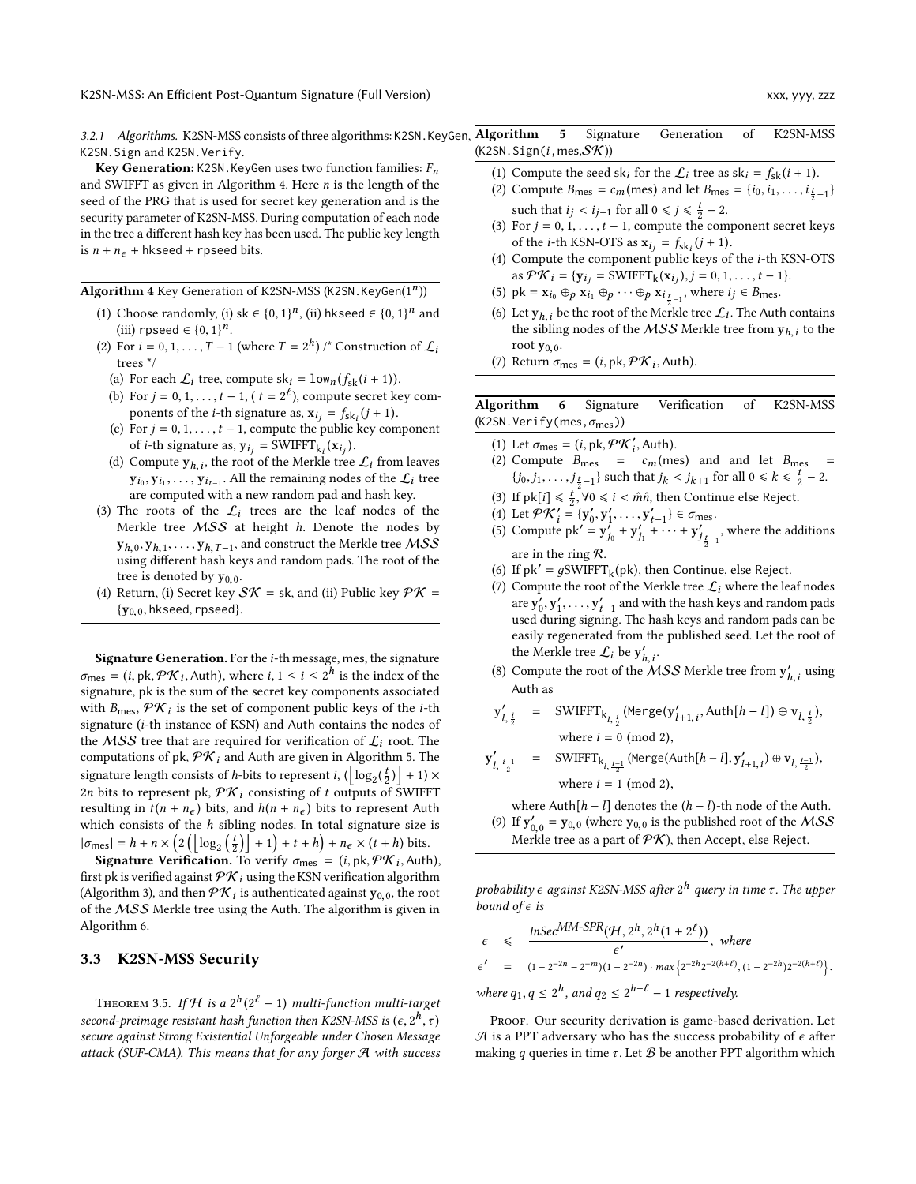3.2.1 Algorithms. K2SN-MSS consists of three algorithms: K2SN.KeyGen, Algorithm 5 Signature Generation of K2SN-MSS K2SN.Sign and K2SN.Verify.

**Key Generation:** K2SN. KeyGen uses two function families:  $F_n$ and SWIFFT as given in Algorithm [4.](#page-6-1) Here n is the length of the seed of the PRG that is used for secret key generation and is the security parameter of K2SN-MSS. During computation of each node in the tree a different hash key has been used. The public key length is  $n + n_{\epsilon}$  + hkseed + rpseed bits.

<span id="page-6-1"></span>Algorithm 4 Key Generation of K2SN-MSS (K2SN.KeyGen(1<sup>n</sup>))

- (1) Choose randomly, (i) sk  $\in \{0, 1\}^n$ , (ii) hkseed  $\in \{0, 1\}^n$  and (iii) rpseed  $\in \{0, 1\}^n$ (iii) rpseed  $\in \{0, 1\}^n$ .<br>For  $i = 0, 1, \ldots, T-1$
- (2) For  $i = 0, 1, ..., T 1$  (where  $T = 2<sup>h</sup>$ ) /\* Construction of  $\mathcal{L}_i$ <br>trees \*/ trees \*/
	- (a) For each  $\mathcal{L}_i$  tree, compute sk<sub>i</sub> =  $\text{low}_n(f_{sk}(i + 1))$ .
	- (b) For  $j = 0, 1, \ldots, t 1$ ,  $(t = 2^{\ell})$ , compute secret key components of the *i*-th signature as  $\mathbf{x} = f_t$ ,  $(i+1)$ ponents of the *i*-th signature as,  $x_{ij} = f_{skj}(j + 1)$ .<br>For  $i = 0, 1, \ldots, t - 1$ , compute the public key computer
	- (c) For  $j = 0, 1, \ldots, t 1$ , compute the public key component of *i*-th signature as,  $y_{i_j} = \text{SWIFFT}_{k_i}(x_{i_j})$ <br>Compute  $y_i$ , the root of the Merkle tra
	- (d) Compute  $y_{h,i}$ , the root of the Merkle tree  $\mathcal{L}_i$  from leaves  $y_{i_0}, y_{i_1}, \ldots, y_{i_{t-1}}$ . All the remaining nodes of the  $\mathcal{L}_i$  tree are computed with a new random pad and hash key.
- (3) The roots of the  $\mathcal{L}_i$  trees are the leaf nodes of the Merkle tree MSS at height h. Denote the nodes by  $y_{h,0}, y_{h,1}, \ldots, y_{h,T-1}$ , and construct the Merkle tree MSS<br>using different bash keys and random pads. The root of the using different hash keys and random pads. The root of the tree is denoted by  $y_{0,0}$ .
- (4) Return, (i) Secret key  $S\mathcal{K} =$  sk, and (ii) Public key  $\mathcal{P}\mathcal{K} =$  ${y_{0,0}}$ , hkseed, rpseed}.

Signature Generation. For the i-th message, mes, the signature  $\sigma_{\text{mes}} = (i, \text{pk}, \mathcal{PK}_i, \text{Auth})$ , where  $i, 1 \le i \le 2^h$  is the index of the signature  $n\text{ k}$  is the sum of the secret key components associated signature, pk is the sum of the secret key components associated with  $B_{\text{mes}}$ ,  $\mathcal{PK}_i$  is the set of component public keys of the *i*-th signature (*i*-th instance of KSN) and Auth contains the nodes of signature (i-th instance of KSN) and Auth contains the nodes of the MSS tree that are required for verification of  $\mathcal{L}_i$  root. The computations of pk,  $\mathcal{P}\mathcal{K}_i$  and Auth are given in Algorithm [5.](#page-6-2) The signature length consists of *h*-bits to represent *i*,  $\left(\left\lfloor \log_2(\frac{t}{2}) \right\rfloor + 1 \right) \times$ <br>2n bits to represent  $\log \log \log x$ , consisting of t outputs of SWIEFT 2n bits to represent pk,  $\mathcal{P}\mathcal{K}_i$  consisting of t outputs of SWIFFT<br>resulting in  $f(n+n)$  bits and  $h(n+n)$  bits to represent Auth resulting in  $t(n + n_{\epsilon})$  bits, and  $h(n + n_{\epsilon})$  bits to represent Auth which consists of the  $h$  sibling nodes. In total signature size is which consists of the *h* sibling nodes. In total signature size<br>  $|\sigma_{\text{mes}}| = h + n \times \left(2\left(\lfloor \log_2\left(\frac{t}{2}\right)\rfloor + 1\right) + t + h\right) + n_{\epsilon} \times (t + h)$  bits.<br>
Signature Varification To verifice  $\tau = (i, \text{rk } \mathcal{QK}, \Delta_{\text{tr}})$ 

**Signature Verification.** To verify  $\sigma_{\text{mes}}' = (i, \text{pk}, \mathcal{PK}_i, \text{Auth})$ ,<br>the is verified against  $\mathcal{PK}$ , using the KSN verification algorithm first pk is verified against  $\mathcal{PK}_i$  using the KSN verification algorithm (Algorithm [3\)](#page-5-2), and then  $\mathcal{PK}_i$  is authenticated against  $y_{0,0}$ , the root of the MSS Morkle tree using the Auth. The eleccitor is given in of the MSS Merkle tree using the Auth. The algorithm is given in Algorithm [6.](#page-6-3)

### <span id="page-6-0"></span>3.3 K2SN-MSS Security

THEOREM 3.5. If H is a  $2^h(2^{\ell}-1)$  multi-function multi-target<br>cand praimage resistant hash function than  $V2SM$  MSS is  $(c, 2^h, \pi)$ second-preimage resistant hash function then K2SN-MSS is  $(\epsilon, 2^h)$ secure against Strong Existential Unforgeable under Chosen Message attack (SUF-CMA). This means that for any forger  $A$  with success

<span id="page-6-2"></span> $(K2SN.Sign(i,mes,SK))$ 

- (1) Compute the seed sk<sub>i</sub> for the  $\mathcal{L}_i$  tree as sk<sub>i</sub> =  $f_{sk}(i + 1)$ .
- (2) Compute  $B_{\text{mes}} = c_m(\text{mes})$  and let  $B_{\text{mes}} = \{i_0, i_1, ..., i_{\frac{t}{2}-1}\}$ such that  $i_j < i_{j+1}$  for all  $0 \le j \le \frac{t}{2} - 2$ .<br>For  $i = 0, 1, \ldots, t-1$  compute the com-
- (3) For  $j = 0, 1, \ldots, t 1$ , compute the component secret keys of the *i*-th KSN-OTS as  $\mathbf{x}_{i_j} = f_{\text{sk}_i}(j+1)$ .<br>Compute the component public leave of
- (4) Compute the component public keys of the <sup>i</sup>-th KSN-OTS as  $\mathcal{P}\mathcal{K}_i = \{y_{i_j} = \text{SWIFFT}_k(x_{i_j}), j = 0, 1, \dots, t - 1\}.$
- (5) pk =  $\mathbf{x}_{i_0} \oplus p \mathbf{x}_{i_1} \oplus p \cdots \oplus p \mathbf{x}_{i_{t-1}}$ , where  $i_j \in B_{\text{mes}}$ .
- (6) Let  $y_{h,i}$  be the root of the Merkle tree  $\mathcal{L}_i$ . The Auth contains the sibling nodes of the MSS Merkle tree from  $y_i$ , to the the sibling nodes of the *MSS* Merkle tree from  $y_{h,i}$  to the root  $y_{h,i}$ root  $y_{0,0}$ .
- (7) Return  $\sigma_{\text{mes}} = (i, \text{pk}, \mathcal{PK}_i, \text{Auth}).$

<span id="page-6-3"></span>Algorithm 6 Signature Verification of K2SN-MSS  $(K2SN.Verify(mes, \sigma_{mes}))$ 

- (1) Let  $\sigma_{\text{mes}} = (i, \text{pk}, \mathcal{PK}'_i, \text{Auth}).$ <br>(2) Compute  $\overline{R} = c$  (me
- (2) Compute  $B_{\text{mes}} = c_m(\text{mes})$  and and let  $B_{\text{mes}} = \frac{c_m(\text{mes})}{\frac{1}{2} \cdot \frac{1}{2} \cdot \frac{1}{2} \cdot \frac{1}{2}}$  ${j_0, j_1, \ldots, j_{\frac{t}{2}-1}}$  such that  $j_k < j_{k+1}$  for all  $0 \le k \le \frac{t}{2} - 2$ .
- (3) If  $pk[i] \leq \frac{t}{2}$ ,  $\forall 0 \leq i < \hat{m}\hat{n}$ , then Continue else Reject.<br>(4) Let  $\mathcal{DK}' = \{y' \mid y' = y' \} \in \mathcal{F}$
- (4) Let  $\mathcal{P}K'$ (4) Let  $\mathcal{PK}'_i = \{y'_0, y'_1, \dots, y'_{t-1}\} \in \sigma_{\text{mes}}$ .<br>(5) Compute pk' =  $y'_{i_0} + y'_{i_1} + \dots + y'_{i_t}$ .
- .<br>6  $\int_{j_0}^{j} + y'_{j}$  $y'_{j_1} + \cdots + y'_{j_r}$  $j_{\frac{t}{2}-1}$ , where the additions are in the ring R.
- (6) If  $pk' = gSWIFFT_k(pk)$ , then Continue, else Reject.<br>(7) Compute the root of the Markle tree  $f$ , where the leg
- (7) Compute the root of the Merkle tree  $\mathcal{L}_i$  where the leaf nodes are  $\vec{y_0}, \vec{y_1'}, \ldots, \vec{y_{t-1}}$  and with the hash keys and random pads<br>used during signing. The hash keys and random pads can be used during signing. The hash keys and random pads can be easily regenerated from the published seed. Let the root of the Merkle tree  $\mathcal{L}_i$  be  $y'_{h,i}$ .
- (8) Compute the root of the *MSS* Merkle tree from  $y'_{h,i}$  using  $\ddot{\phantom{a}}$ Auth as

$$
\mathbf{y}'_{l, \frac{i}{2}} = \text{SWIFFT}_{k_{l, \frac{i}{2}}} (\text{Merge}(\mathbf{y}'_{l+1, i}, \text{Auth}[h-l]) \oplus \mathbf{v}_{l, \frac{i}{2}}),
$$
\n
$$
\text{where } i = 0 \text{ (mod 2)},
$$

$$
y'_{l, \frac{i-1}{2}} = \text{SWIFFT}_{k_{l, \frac{i-1}{2}}} (\text{Merge}(\text{Auth}[h-l], y'_{l+1, i}) \oplus v_{l, \frac{i-1}{2}}),
$$
  
where  $i = 1 \pmod{2}$ ,

where Auth[h – l] denotes the  $(h - l)$ -th node of the Auth.<br>If  $y' = y_0$  (where  $y_0$  a is the published root of the MSS

(9) If  $y'_{0,0} = y_{0,0}$  (where  $y_{0,0}$  is the published root of the *MSS*<br>Merkle tree as a part of  $P\mathcal{K}$ ) then Accent else Reject Merkle tree as a part of  $\mathcal{P}\mathcal{K}$ ), then Accept, else Reject.

probability  $\epsilon$  against K2SN-MSS after  $2^h$  query in time τ. The upper<br>bound of  $\epsilon$  is bound of  $\epsilon$  is

 $\epsilon \leq \frac{InSec^{MM-SPR}(\mathcal{H}, 2^h, 2^h(1+2^{\ell}))}{\epsilon'}$  $\frac{1}{\sqrt{2}}$ , where  $\epsilon' = (1 - 2^{-2n} - 2^{-m})(1 - 2^{-2n}) \cdot max\{2^{-2h}2^{-2(h+\ell)}, (1 - 2^{-2h})2^{-2(h+\ell)}\}$ where  $q_1, q \leq 2^h$ , and  $q_2 \leq 2^{h+\ell} - 1$  respectively.

PROOF. Our security derivation is game-based derivation. Let  $A$  is a PPT adversary who has the success probability of  $\epsilon$  after making q queries in time  $\tau$ . Let  $\mathcal B$  be another PPT algorithm which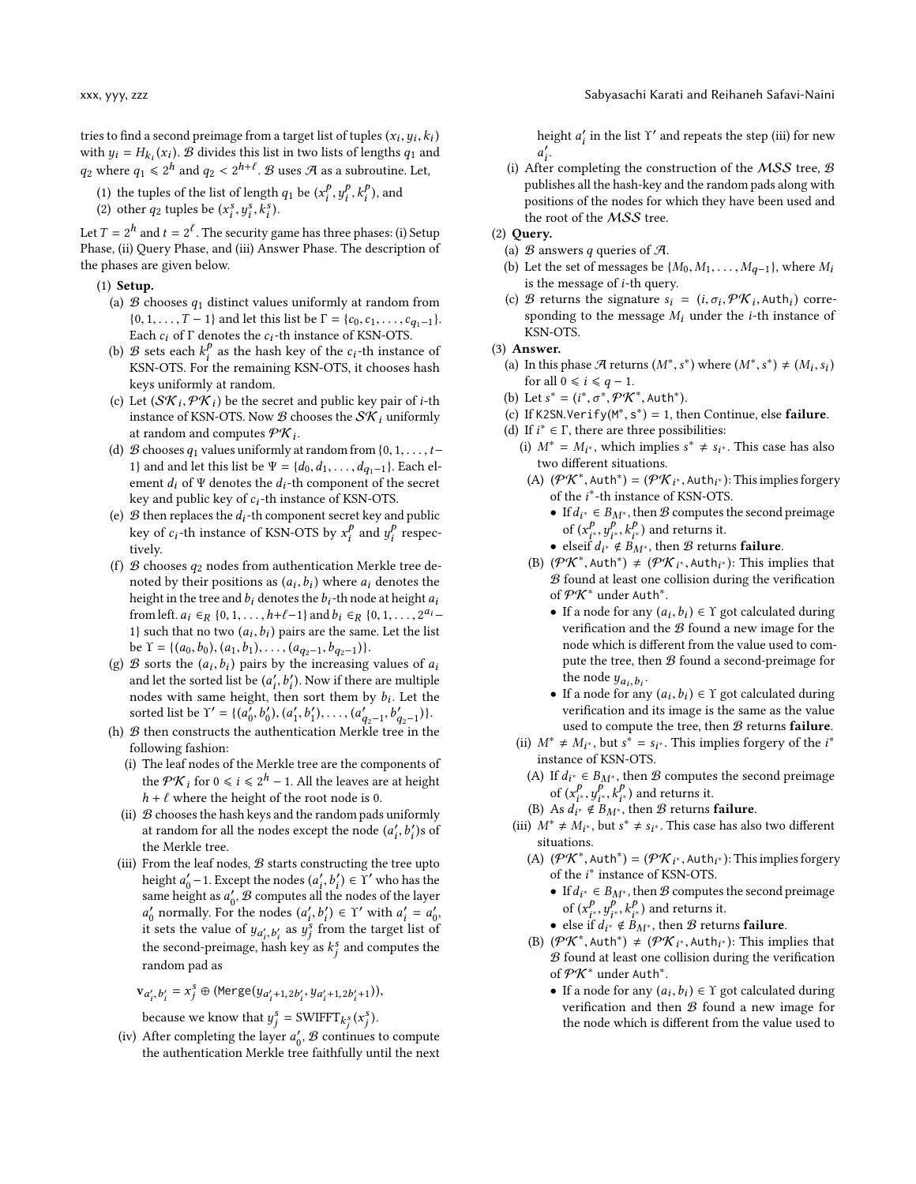- (1) the tuples of the list of length  $q_1$  be  $(x_i^p)$ <br>(2) other  $q_2$  tuples be  $(x^s, y^s, k^s)$  $\frac{y_i}{i}, \frac{y_i}{i}$  $\frac{1}{i}$ ,  $\frac{k_i}{i}$  $i^p$ ), and
- (2) other  $q_2$  tuples be  $(x_i^s, y_i^s, k_i^s)$ .

Let  $T = 2^h$  and  $t = 2^l$ . The security game has three phases: (i) Setup<br>Phase (ii) Query Phase and (iii) Answer Phase. The description of Phase, (ii) Query Phase, and (iii) Answer Phase. The description of the phases are given below.

- (1) Setup.
	- (a)  $\mathcal B$  chooses  $q_1$  distinct values uniformly at random from  $\{0, 1, \ldots, T-1\}$  and let this list be  $\Gamma = \{c_0, c_1, \ldots, c_{q_1-1}\}.$ Each  $c_i$  of  $\Gamma$  denotes the  $c_i$  -th instance of KSN-OTS.
	- (b) B sets each  $k_i^p$  as the hash key of the  $c_i$ -th instance of KSN-OTS. For the remaining KSN-OTS, it chooses hash KSN-OTS. For the remaining KSN-OTS, it chooses hash keys uniformly at random.
	- (c) Let  $(\mathcal{SK}_i, \mathcal{PK}_i)$  be the secret and public key pair of *i*-th instance of KSN-OTS. Now *R* chooses the S*K* uniformly instance of KSN-OTS. Now  $\mathcal B$  chooses the  $\mathcal{SK}_i$  uniformly at random and computes  $\mathcal{PK}_i$ .<br>  $\mathcal{R}$  chooses  $a_i$  values uniformly a
	- (d)  $\mathcal B$  chooses  $q_1$  values uniformly at random from {0, 1, ..., t-1} and and let this list be  $\Psi = \{d_0, d_1, \ldots, d_{q_1-1}\}$ . Each element  $d_i$  of  $\Psi$  denotes the  $d_i$ -th component of the secret key and public key of  $c_i$ -th instance of KSN-OTS.
	- (e)  $\mathcal B$  then replaces the  $d_i$ -th component secret key and public key of  $c_i$ -th instance of KSN-OTS by  $x_i^p$  and  $y_i^p$  respectively tively.
	- (f)  $\mathcal B$  chooses  $q_2$  nodes from authentication Merkle tree denoted by their positions as  $(a_i, b_i)$  where  $a_i$  denotes the height in the tree and he denotes the height in the tree and height in the street of the height  $a_i$ height in the tree and  $b_i$  denotes the  $b_i$ -th node at height  $a_i$ <br>from left  $a_i \in \mathbb{R}^{30}$  denotes the  $b_i$ -th node at height  $a_i$ from left.  $a_i \in_R \{0, 1, \ldots, h+\ell-1\}$  and  $b_i \in_R \{0, 1, \ldots, 2^{a_i-1}\}$ <br>1) such that no two  $(a_i, b_i)$  pairs are the same. Let the list 1} such that no two  $(a_i, b_i)$  pairs are the same. Let the list<br>be  $\gamma = \frac{1}{a_0 + b_0} \left( a_1 + b_1 \right) \left( a_2 + b_2 \right)$ be  $\Upsilon = \{(a_0, b_0), (a_1, b_1), \dots, (a_{q_2-1}, b_{q_2-1})\}.$ <br>  $\mathcal{R}$  sorts the  $(a_1, b_1)$  pairs by the increasing
	- (g) B sorts the  $(a_i, b_i)$  pairs by the increasing values of  $a_i$ <br>and let the sorted list be  $(a', b')$ . Now if there are multiple and let the sorted list be  $(a'_i, b'_i)$ . Now if there are multiple<br>nodes with same height, then sort them by h. Let the nodes with same height, then sort them by  $b_i$ . Let the<br>sorted list be  $\frac{\gamma'}{2} = \frac{1}{a'}, b'$ ,  $\frac{a'}{a'}, b'$ ,  $\frac{a'}{a'}, b'$ ,  $\frac{b'}{b'}$ sorted list be  $Y' = \{(a_0', b_0'), (a_1', b_1'), \dots, (a_{q_2-1}', b_{q_2-1}')\}$ .<br> *B* then constructs the authentication Merkle tree in the
	- (b)  $\mathcal{B}$  then constructs the authentication Merkle tree in the following fashion:
		- (i) The leaf nodes of the Merkle tree are the components of the  $\mathcal{P}K_i$  for  $0 \le i \le 2^h - 1$ . All the leaves are at height  $h + \ell$  where the height of the root node is 0.  $h + \ell$  where the height of the root node is 0.
		- (ii)  $B$  chooses the hash keys and the random pads uniformly at random for all the nodes except the node  $(a'_i)$ <br>the Markle tree  $\ddot{\phantom{0}}$  $'_{i}$ )s of the Merkle tree.
	- (iii) From the leaf nodes,  $B$  starts constructing the tree upto height  $a'_0$  – 1. Except the nodes  $(a'_i, b'_i) \in \tilde{\Upsilon}'$  who has the same height as  $a'$ . B computes all the nodes of the layer same height as  $a'_0$ , B computes all the nodes of the layer<br>a' normally. For the nodes  $(a', b') \in \mathcal{X}'$  with  $a' = a'$ .  $\frac{1}{100}$  is sets the value of  $y_{a'_i, b'_i}$  as  $y_j^8$  from the target list of the second preimers beek lowered by the target list of of normally. For the nodes  $(a'_i, b'_i) \in \Upsilon'$  with  $a'_i = a'_0$ , sets the value of  $u_i \cup a_i$  or  $y^s$  from the target list of the second-preimage, hash key as  $k_j^s$  and computes the j random pad as

$$
\mathbf{v}_{a'_i,b'_i} = x_j^s \oplus (\text{Merge}(y_{a'_i+1,2b'_i}, y_{a'_i+1,2b'_i+1})),
$$

because we know that  $y_j^s = \text{SWIFFT}_{k_j^s}(x_j^s)$ .

(iv) After completing the layer  $a'_0$ ,  $\mathcal{B}$  continues to compute the authorities Merkle tree faithfully until the next the authentication Merkle tree faithfully until the next height  $a'_i$  in the list  $\Upsilon'$  and repeats the step (iii) for new ′ .

(i) After completing the construction of the MSS tree,  $\mathcal{B}$ publishes all the hash-key and the random pads along with positions of the nodes for which they have been used and the root of the MSS tree.

#### (2) Query.

- (a)  $\mathcal B$  answers q queries of  $\mathcal A$ .
- (b) Let the set of messages be  $\{M_0, M_1, \ldots, M_{q-1}\}$ , where  $M_i$ is the message of i-th query.
- (c) B returns the signature  $s_i = (i, \sigma_i, \mathcal{PK}_i, \text{Auth}_i)$  corre-<br>coording to the message M, under the *i*-th instance of sponding to the message  $M_i$  under the *i*-th instance of KSN-OTS.

#### (3) Answer.

- (a) In this phase  $\mathcal A$  returns  $(M^*, s)$ <br>for all  $0 \le i \le a-1$ \*) where  $(M^*, s)$ \*)  $\neq$   $(M_i, s_i)$ for all  $0 \le i \le q - 1$ .
- (b) Let  $s^* = (i^*, \sigma^*, \mathcal{P}K^*, \text{Auth}^*).$ <br>(c) If K2SN Verify(M\*, s<sup>\*</sup>) = 1, th
- (c) If K2SN.Verify( $(M^*, s^*) = 1$ , then Continue, else **failure**.<br>(d) If  $i^* \in \Gamma$  there are three possibilities:
- (d) If  $i^* \in \Gamma$ , there are three possibilities:<br>(i)  $M^* = M_{1*}$  which implies  $s^* \neq s$ :
	- (i)  $M^* = M_{i^*}$ , which implies  $s^* \neq s_{i^*}$ . This case has also two different situations two different situations.
		- (A)  $(PK^*$ , Auth<sup>\*</sup>) =  $(PK_{i^*}$ , Auth<sub>i<sup>\*</sub></sup>): This implies forgery<br>of the *i*<sup>\*</sup>-th instance of KSN-OTS</sub> of the *i*<sup>\*</sup>-th instance of KSN-OTS.<br>• If  $d_{13} \in B_{14}$ , then *B* computes then
			- If  $d_{i^*} \in B_{M^*}$ , then B computes the second preimage of  $(x_i^p, y_{i^*}^p, k_{i^*}^p)$  and returns it.<br>elseif du # B,c, then & return
			- elseif  $d_i^* \notin B_{M^*}$ , then B returns failure.<br>  $(\mathcal{P}K^* \text{ with}^*) + (\mathcal{P}K \cdot \text{ with}^*)$ . This im
		- (B)  $(PK^*$ , Auth<sup>\*</sup>)  $\neq$   $(PK_{i^*}$ , Auth<sub>i\*</sub>): This implies that  $R$  found at least one collision during the verification  $\mathcal B$  found at least one collision during the verification of  $\mathcal{P} \mathcal{K}^*$  under Auth $^*$ .
			- If a node for any  $(a_i, b_i) \in \Upsilon$  got calculated during<br>verification and the B found a new image for the verification and the  $\beta$  found a new image for the node which is different from the value used to compute the tree, then  $B$  found a second-preimage for the node  $y_{a_i, b_i}$ .<br>If a node for any
			- If a node for any  $(a_i, b_i) \in \Upsilon$  got calculated during<br>• If a node for any  $(a_i, b_i) \in \Upsilon$  got calculated during verification and its image is the same as the value used to compute the tree, then  $B$  returns failure.
	- (ii)  $M^* \neq M_{i^*}$ , but  $s^* = s_{i^*}$ . This implies forgery of the  $i^*$ <br>instance of KSN-OTS instance of KSN-OTS.
		- (A) If  $d_{i^*} \in B_{M^*}$ , then B computes the second preimage<br>of  $(x^p, x^p, k^p)$  and returns it of  $(x_i^p, y_{i^*}^p, k_{i^*}^p)$  and returns it.<br>As  $d_i \notin B_i$  is then  $B$  returns
	- (B) As  $d_i^* \notin B_{M^*}$ , then B returns **failure**.
	- (iii)  $M^* \neq M_{i^*}$ , but  $s^* \neq s_{i^*}$ . This case has also two different situations situations.
		- (A)  $(PK^*$ , Auth<sup>\*</sup>) =  $(PK_{i^*},$  Auth<sub>i<sup>\*</sub></sup>): This implies forgery<br>of the *i*<sup>\*</sup> instance of KSN-OTS</sub> of the *i*<sup>∗</sup> instance of KSN-OTS.<br>● If  $d_1 \in B_1$  is then  $B$  compute
			- If  $d_i^* \in B_{M^*}$ , then B computes the second preimage of  $(x_i^p, y_{i^*}^p, k_{i^*}^p)$  and returns it.<br>else if  $d_{i^*} \notin B_{i^*}$  then  $B$  retur
			- else if  $d_i^* \notin B_{M^*}$ , then B returns **failure.**<br>  $(\mathcal{O}K^* \text{ with}^*) + (\mathcal{O}K_{M^*} \text{ with}^*)$ . This imp
		- (B)  $(PK^*$ , Auth<sup>\*</sup>)  $\neq$   $(PK_{i^*}$ , Auth<sub>i\*</sub>): This implies that  $R$  found at least one collision during the verification B found at least one collision during the verification of  $\mathcal{P} \mathcal{K}^*$  under Auth $^*$ .
			- If a node for any  $(a_i, b_i) \in \Upsilon$  got calculated during<br>verification and then *B* found a new image for verification and then  $B$  found a new image for the node which is different from the value used to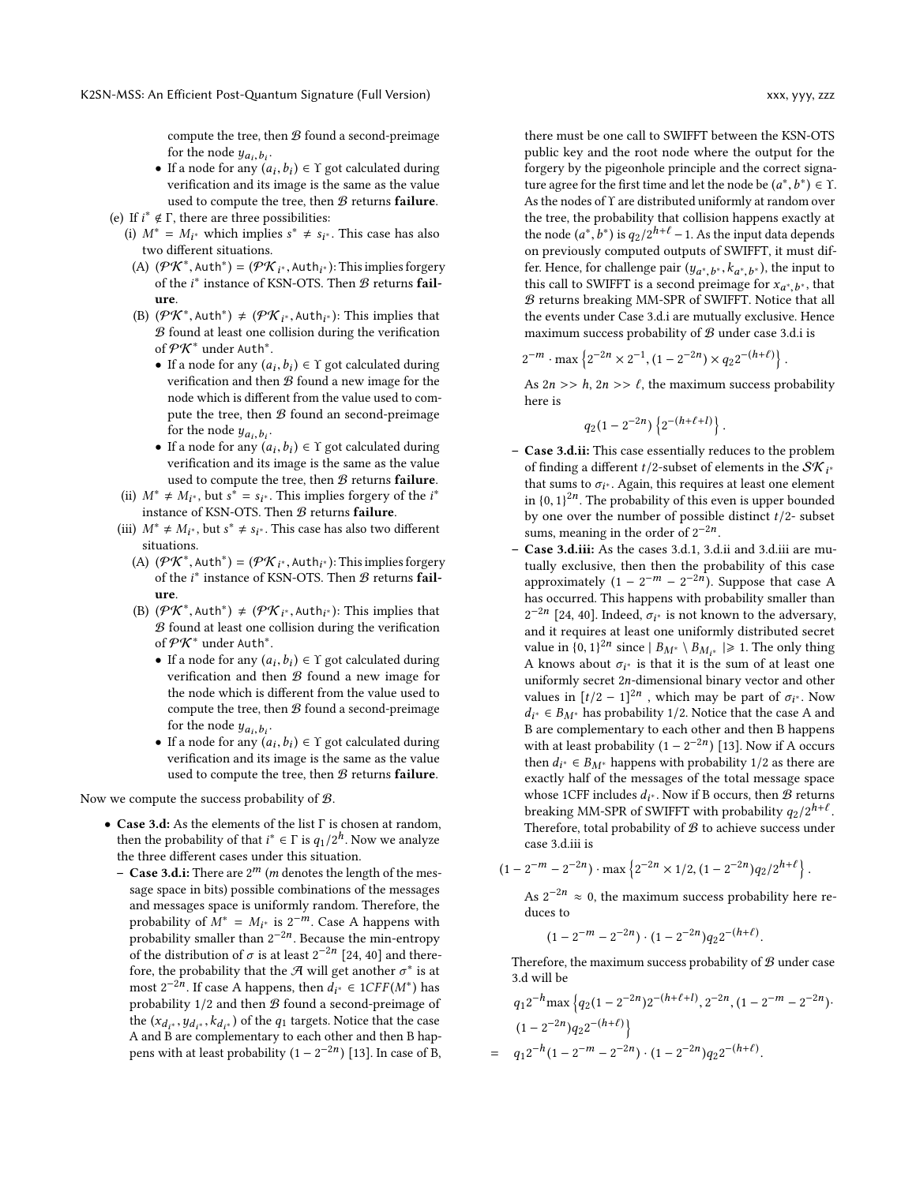compute the tree, then  $B$  found a second-preimage for the node  $y_{a_i, b_i}$ .<br>If a node for any (a

- If a node for any  $(a_i, b_i) \in \Upsilon$  got calculated during<br>• If a node for any  $(a_i, b_i) \in \Upsilon$  got calculated during verification and its image is the same as the value used to compute the tree, then  $B$  returns failure.
- (e) If  $i^* \notin \Gamma$ , there are three possibilities:<br>(i)  $M^* = M_{1*}$  which implies  $s^* \neq s_{1*}$ 
	- (i)  $M^* = M_{i^*}$  which implies  $s^* \neq s_{i^*}$ . This case has also two different situations two different situations.
		- (A)  $(PK^*$ , Auth<sup>\*</sup>) =  $(PK_{i^*}, \text{Auth}_{i^*})$ : This implies forgery<br>of the *i*<sup>\*</sup> instance of KSN-OTS. Then *B* returns **fail** of the  $i^*$  instance of KSN-OTS. Then  $\mathcal B$  returns failure.
		- (B)  $(PK^*$ , Auth<sup>\*</sup>)  $\neq$   $(PK_i^*$ , Auth<sub>i\*</sub>): This implies that  $\mathcal{R}$  found at least one collision during the verification  $B$  found at least one collision during the verification of  $\mathcal{P} \mathcal{K}^*$  under Auth $^*.$ 
			- If a node for any  $(a_i, b_i) \in \Upsilon$  got calculated during<br>verification and then B found a new image for the verification and then  $B$  found a new image for the node which is different from the value used to compute the tree, then  $B$  found an second-preimage for the node  $y_{a_i, b_i}$ .<br>If a node for any (a
			- If a node  $g_{a_i}, b_i$ ,<br>• If a node for any  $(a_i, b_i) \in \Upsilon$  got calculated during<br>varification and its image is the same as the value  $\frac{1}{2}$  is a security of  $\frac{1}{2}$ ,  $\frac{1}{2}$ ,  $\frac{1}{2}$ ,  $\frac{1}{2}$ ,  $\frac{1}{2}$ ,  $\frac{1}{2}$ ,  $\frac{1}{2}$ ,  $\frac{1}{2}$ ,  $\frac{1}{2}$ ,  $\frac{1}{2}$ ,  $\frac{1}{2}$ ,  $\frac{1}{2}$ ,  $\frac{1}{2}$ ,  $\frac{1}{2}$ ,  $\frac{1}{2}$ ,  $\frac{1}{2}$ ,  $\frac{1}{2}$ ,  $\frac{1}{2$ used to compute the tree, then  $B$  returns failure.
	- (ii)  $M^* \neq M_{i^*}$ , but  $s^* = s_{i^*}$ . This implies forgery of the  $i^*$ <br>instance of KSN-OTS. Then *B* ratures foilure instance of KSN-OTS. Then  $B$  returns failure.
	- (iii)  $M^* \neq M_{i^*}$ , but  $s^* \neq s_{i^*}$ . This case has also two different situations situations.
		- (A)  $(PK^*$ , Auth<sup>\*</sup>) =  $(PK_{i^*}, \text{Auth}_{i^*})$ : This implies forgery<br>of the *i*<sup>\*</sup> instance of KSN-OTS. Then *B* returns **fail** of the  $i^*$  instance of KSN-OTS. Then  $\mathcal B$  returns failure.
		- (B)  $(PK^*$ , Auth<sup>\*</sup>)  $\neq$   $(PK_i^*$ , Auth<sub>i\*</sub>): This implies that  $\mathcal{R}$  found at least one collision during the verification  $B$  found at least one collision during the verification of  $\mathcal{P} \mathcal{K}^*$  under Auth $^*.$ 
			- If a node for any  $(a_i, b_i) \in \Upsilon$  got calculated during<br>verification and then  $\mathcal{R}$  found a new image for  $\frac{1}{2}$  a new contract  $\frac{1}{2}$  (iii),  $\frac{1}{2}$  is got contracted when  $\frac{1}{2}$  is  $\frac{1}{2}$ the node which is different from the value used to compute the tree, then  $B$  found a second-preimage for the node  $y_{a_i, b_i}$ .<br>If a node for any (a
			- If a node  $g_{a_i}, b_i$ ,<br>• If a node for any  $(a_i, b_i) \in \Upsilon$  got calculated during<br>varification and its image is the same as the value verification and its image is the same as the value used to compute the tree, then  $B$  returns failure.

Now we compute the success probability of  $\mathcal{B}$ .

- Case 3.d: As the elements of the list <sup>Γ</sup> is chosen at random, then the probability of that  $i^* \in \Gamma$  is  $q_1/2^h$ . Now we analyze<br>the three different cases under this situation the three different cases under this situation.
	- Case 3.d.i: There are  $2^m$  (*m* denotes the length of the message space in hits) possible combinations of the messages sage space in bits) possible combinations of the messages and messages space is uniformly random. Therefore, the probability of  $\tilde{M}^* = M_{i^*}$  is  $2^{-m}$ . Case A happens with probability emailer than  $2^{-2n}$ . Because the min-entrony probability smaller than  $2^{-2n}$ . Because the min-entropy of the distribution of  $\sigma$  is at least  $2^{-2n}$  [\[24,](#page-15-15) [40\]](#page-16-3) and there-<br>fore the probability that the  $\mathcal{A}$  will get another  $\sigma^*$  is at fore, the probability that the  $\mathcal{A}$  will get another  $\sigma^*$  is at most  $2^{-2n}$ . If case A happens, then  $d_{\mathcal{F}} \in 1CFE(M^*)$  has most  $2^{-2n}$ . If case A happens, then  $d_i^* \in ICFF(M^*)$  has probability  $1/2$  and then  $B$  found a second-preimage of the  $(x_{d_i^*}, y_{d_i^*}, k_{d_i^*})$  of the  $q_1$  targets. Notice that the case<br>A and B are complementary to each other and then B hap- $\alpha_{a_{i^*}}$ ,  $y_{a_{i^*}}$ ,  $\alpha_{i^*}$ ,  $\alpha_{i^*}$  or the  $\gamma_1$  targets. Notice that the case A and B are complementary to each other and then B happens with at least probability  $(1 - 2^{-2n})$  [\[13\]](#page-15-9). In case of B,

there must be one call to SWIFFT between the KSN-OTS public key and the root node where the output for the forgery by the pigeonhole principle and the correct signature agree for the first time and let the node be  $(a^*, b^*) \in \Upsilon$ . As the nodes of *Y* are distributed uniformly at random over<br>the tree, the probability that collision happens exactly at the tree, the probability that collision happens exactly at the node  $(a^*, b^*)$  is  $q_2/2^{h+\ell} - 1$ . As the input data depends<br>on previously computed outputs of SWIEFT, it must difon previously computed outputs of SWIFFT, it must differ. Hence, for challenge pair  $(y_{a^*,b^*}, k_{a^*,b^*})$ , the input to this call to SWIFFT is a second preimage for  $x_{a^*,b^*}$  that fer. Hence, for challenge pair  $(y_{a^*,b^*}, k_{a^*,b^*})$ , the input to<br>this call to SWIFFT is a second preimage for  $x_{a^*,b^*}$ , that<br> $\Re$  returns breaking MM-SPR of SWIFFT. Notice that all  $B$  returns breaking MM-SPR of SWIFFT. Notice that all the events under Case 3.d.i are mutually exclusive. Hence maximum success probability of  $\mathcal B$  under case 3.d.i is

$$
2^{-m} \cdot \max \left\{ 2^{-2n} \times 2^{-1}, (1 - 2^{-2n}) \times q_2 2^{-(h+\ell)} \right\}.
$$

As  $2n \gg h$ ,  $2n \gg \ell$ , the maximum success probability here is  $\overline{a}$ 

$$
q_2(1-2^{-2n})\left\{2^{-(h+\ell+l)}\right\}.
$$

- Case 3.d.ii: This case essentially reduces to the problem of finding a different  $t/2$ -subset of elements in the  $\mathcal{SK}_{i^*}$ <br>that sums to  $\sigma_{i^*}$ , Again, this requires at least one element that sums to  $\sigma_i^*$ . Again, this requires at least one element<br>in  $\mu_0$ ,  $1\frac{2n}{n}$ . The probability of this even is upper bounded in  ${0, 1}^{2n}$ . The probability of this even is upper bounded<br>by one over the number of possible distinct  $t/2$ , subset by one over the number of possible distinct  $t/2$ - subset sums, meaning in the order of  $2^{-2n}$ .
- Case 3.d.iii: As the cases 3.d.1, 3.d.ii and 3.d.iii are mutually exclusive, then then the probability of this case approximately  $(1 - 2^{-m} - 2^{-2n})$ . Suppose that case A has occurred. This happens with probability smaller than  $2^{-2n}$  [\[24,](#page-15-15) [40\]](#page-16-3). Indeed,  $\sigma_i^*$  is not known to the adversary, and it requires at least one uniformly distributed secret value in  $\{0, 1\}^{2n}$  since  $|B_{M^*} \setminus B_{M_{I^*}}| \ge 1$ . The only thing  $\Delta$  knows about  $\sigma_{\text{in}}$  is that it is the sum of at least one A knows about  $\sigma_{i^*}$  is that it is the sum of at least one<br>uniformly secret 2n-dimensional binary vector and other uniformly secret <sup>2</sup>n-dimensional binary vector and other values in  $[t/2 - 1]^{2n}$ , which may be part of  $\sigma_{i^*}$ . Now  $d_i = \frac{d_i}{dt}$  and  $\frac{d_i}{dt}$  are complementary to each other and then B happens  $d_{i^*} \in B_{M^*}$  has probability 1/2. Notice that the case A and with at least probability  $(1 - 2^{-2n})$  [\[13\]](#page-15-9). Now if A occurs<br>then  $d_{12} \in B_{12}$  bannens with probability 1/2 as there are then  $d_{i^*} \in B_{M^*}$  happens with probability 1/2 as there are<br>exactly half of the messages of the total message space exactly half of the messages of the total message space whose 1CFF includes  $d_i^*$ . Now if B occurs, then  $\overline{B}$  returns<br>breaking MM-SPP of SWIEFT with probability  $a_2/2^{h+\ell}$ breaking MM-SPR of SWIFFT with probability  $q_2/2^{h+\ell}$ Therefore, total probability of  $\mathcal B$  to achieve success under case 3.d.iii is

$$
(1 - 2^{-m} - 2^{-2n}) \cdot \max\left\{2^{-2n} \times 1/2, (1 - 2^{-2n})q_2/2^{h+\ell}\right\}.
$$

As  $2^{-2n} \approx 0$ , the maximum success probability here reduces to

$$
(1 - 2^{-m} - 2^{-2n}) \cdot (1 - 2^{-2n}) q_2 2^{-(h+\ell)}
$$

Therefore, the maximum success probability of  $B$  under case 3.d will be

$$
q_1 2^{-h} \max \left\{ q_2 (1 - 2^{-2n}) 2^{-(h+\ell+1)}, 2^{-2n}, (1 - 2^{-m} - 2^{-2n}) \right\}
$$
  

$$
(1 - 2^{-2n}) q_2 2^{-(h+\ell)} \Big\}
$$
  

$$
= q_1 2^{-h} (1 - 2^{-m} - 2^{-2n}) \cdot (1 - 2^{-2n}) q_2 2^{-(h+\ell)}.
$$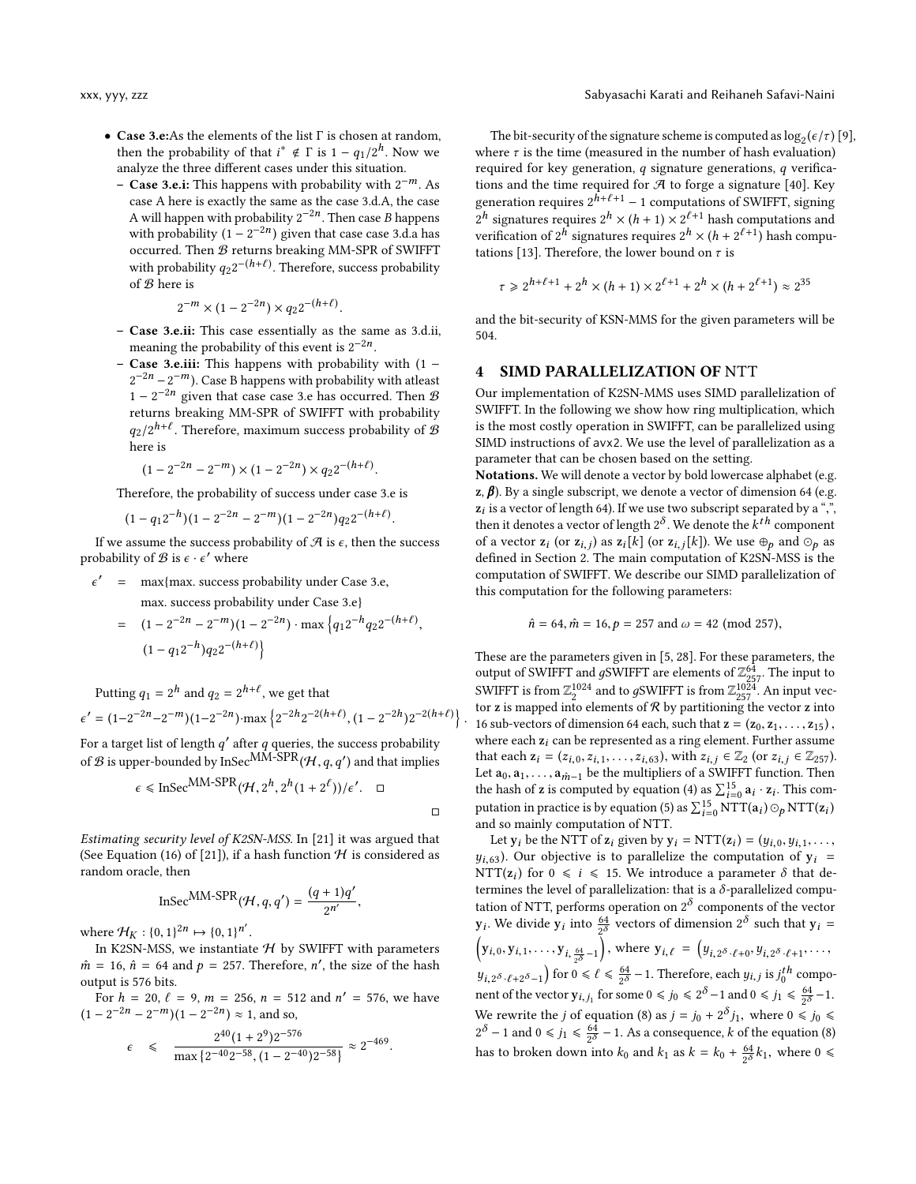- Case 3.e:As the elements of the list Γ is chosen at random, then the probability of that  $i^* \notin \Gamma$  is  $1 - q_1/2^h$ . Now we analyze the three different cases under this situation.
	- Case 3.e.i: This happens with probability with 2 <sup>−</sup>m. As case A here is exactly the same as the case 3.d.A, the case A will happen with probability  $2^{-2n}$ . Then case B happens<br>with probability  $(1 - 2^{-2n})$  given that case case 3.4.2 has with probability  $(1 - 2^{-2n})$  given that case case 3.d.a has occurred. Then  $B$  returns breaking MM-SPR of SWIFFT with probability  $q_2 2^{-(h+\ell)}$ . Therefore, success probability of  $\mathcal{B}$  here is of B here is

$$
2^{-m} \times (1 - 2^{-2n}) \times q_2 2^{-(h+\ell)}
$$

- Case 3.e.ii: This case essentially as the same as 3.d.ii, meaning the probability of this event is  $2^{-2n}$ .
- **Case 3.e.iii:** This happens with probability with  $(1 2^{-2n} - 2^{-m}$ ). Case B happens with probability with at least  $1 - 2^{-2n}$  given that case case 3.e has occurred. Then B returns breaking MM-SPR of SWIFFT with probability  $q_2/2^{h+\ell}$ . Therefore, maximum success probability of  $\mathcal B$ here is

$$
(1 - 2^{-2n} - 2^{-m}) \times (1 - 2^{-2n}) \times q_2 2^{-(h+\ell)}.
$$

Therefore, the probability of success under case 3.e is

$$
(1-q_12^{-h})(1-2^{-2h}-2^{-m})(1-2^{-2h})q_22^{-(h+\ell)}.
$$

If we assume the success probability of  $\mathcal A$  is  $\epsilon$ , then the success probability of  $\mathcal B$  is  $\epsilon \cdot \epsilon'$  where

 $\epsilon'$  = max{max. success probability under Case 3.e,

max. success probability under Case 3.e}

 $= (1 - 2^{-2n} - 2^{-m})(1 - 2^{-2n}) \cdot \max\left\{q_1 2^{-h} q_2 2^{-(h+\ell)}\right\}$  $(1 - q_1 2^{-h}) q_2 2^{-(h+\ell)}$ 

Putting  $q_1 = 2^h$  and  $q_2 = 2^{h+\ell}$ , we get that

$$
\epsilon' = (1 - 2^{-2n} - 2^{-m})(1 - 2^{-2n}) \cdot \max\left\{2^{-2h}2^{-2(h+\ell)}, (1 - 2^{-2h})2^{-2(h+\ell)}\right\}
$$

For a target list of length  $q'$  after q queries, the success probability of B is upper-bounded by InSec<sup>MM-SPR</sup> $(H, q, q')$  and that implies

$$
\epsilon \leq \text{InSec}^{\text{MM-SPR}}(\mathcal{H}, 2^h, 2^h(1+2^{\ell}))/\epsilon'. \quad \Box
$$

 $\Box$ 

Estimating security level of K2SN-MSS. In [\[21\]](#page-15-14) it was argued that (See Equation (16) of [\[21\]](#page-15-14)), if a hash function  $H$  is considered as random oracle, then

$$
\text{InSec}^{\text{MM-SPR}}(\mathcal{H},q,q') = \frac{(q+1)q'}{2^{n'}},
$$

where  $\mathcal{H}_K : \{0, 1\}^{2n} \mapsto \{0, 1\}^{n'}$ <br>In K2SN-MSS, we instant

In K2SN-MSS, we instantiate  $H$  by SWIFFT with parameters  $\hat{m} = 16$ ,  $\hat{n} = 64$  and  $p = 257$ . Therefore, n', the size of the hash output is 576 bits output is 576 bits.

For  $h = 20$ ,  $\ell = 9$ ,  $m = 256$ ,  $n = 512$  and  $n' = 576$ , we have  $\ell = 2^{-2n} = 2^{-m}$  (1 = 2<sup>-2n</sup>)  $\approx$  1 and so  $(1 - 2^{-2n} - 2^{-m})(1 - 2^{-2n}) \approx 1$ , and so,

$$
\epsilon \leqslant \frac{2^{40}(1+2^9)2^{-576}}{\max\{2^{-40}2^{-58}, (1-2^{-40})2^{-58}\}} \approx 2^{-469}.
$$

The bit-security of the signature scheme is computed as  $\log_2(\epsilon/\tau)$  [\[9\]](#page-15-10), there  $\tau$  is the time (measured in the number of bash evaluation) where  $\tau$  is the time (measured in the number of hash evaluation) required for key generation,  $q$  signature generations,  $q$  verifications and the time required for  $\mathcal A$  to forge a signature [\[40\]](#page-16-3). Key generation requires  $2^{\hat{h}+\ell+1} - 1$  computations of SWIFFT, signing  $2^h$  signatures requires  $2^h \times (h+1) \times 2^{\ell+1}$  hash computations and<br>verification of  $2^h$  cignatures requires  $2^h \times (h+2^{\ell+1})$  hash computations verification of  $2^h$  signatures requires  $2^h \times (h + 2^{\ell+1})$  hash computations [13]. Therefore, the lower bound on  $\tau$  is tations [\[13\]](#page-15-9). Therefore, the lower bound on  $\tau$  is

$$
\tau \ge 2^{h+\ell+1} + 2^h \times (h+1) \times 2^{\ell+1} + 2^h \times (h+2^{\ell+1}) \approx 2^{35}
$$

and the bit-security of KSN-MMS for the given parameters will be 504.

#### 4 SIMD PARALLELIZATION OF NTT

Our implementation of K2SN-MMS uses SIMD parallelization of SWIFFT. In the following we show how ring multiplication, which is the most costly operation in SWIFFT, can be parallelized using SIMD instructions of avx2. We use the level of parallelization as a parameter that can be chosen based on the setting.

Notations. We will denote a vector by bold lowercase alphabet (e.g.  $z$ ,  $\beta$ ). By a single subscript, we denote a vector of dimension 64 (e.g.  $z_i$  is a vector of length 64). If we use two subscript separated by a ",",<br>then it denotes a vector of langth  $2^{\delta}$ . We denote the k<sup>th</sup> component then it denotes a vector of length  $2^{\delta}$ . We denote the  $k^{th}$  component<br>of a vector  $\overline{z}$ , (or  $\overline{z}$ , i) as  $\overline{z}$ , [k] (or  $\overline{z}$ , [k]). We use  $\oplus$  and  $\odot$  as of a vector  $z_i$  (or  $z_{i,j}$ ) as  $z_i[k]$  (or  $z_{i,j}[k]$ ). We use  $\bigoplus_{p}$  and  $\bigodot_{p}$  as defined in Section 2. The main computation of K2SN-MSS is the defined in Section [2.](#page-2-2) The main computation of K2SN-MSS is the computation of SWIFFT. We describe our SIMD parallelization of this computation for the following parameters:

$$
\hat{n} = 64, \hat{m} = 16, p = 257 \text{ and } \omega = 42 \text{ (mod 257)},
$$

These are the parameters given in [\[5,](#page-15-19) [28\]](#page-15-20). For these parameters, the output of SWIFFT and gSWIFFT are elements of  $\mathbb{Z}_{257}^{64}$ . The input to SWIFFT is from  $7^{21024}$  and to sSWIFFT is from  $7^{1024}$ . An input too SWIFFT is from  $\mathbb{Z}_2^{1024}$  and to gSWIFFT is from  $\mathbb{Z}_{257}^{1024}$ . An input vector z into tor **z** is mapped into elements of  $\mathcal{R}$  by partitioning the vector **z** into 16 sub-vectors of dimension 64 each, such that  $z = (z_0, z_1, \ldots, z_{15})$ , where each  $z_i$  can be represented as a ring element. Further assume that each  $z_i = (z_{i,0}, z_{i,1}, \ldots, z_{i,63})$ , with  $z_{i,j} \in \mathbb{Z}_2$  (or  $z_{i,j} \in \mathbb{Z}_{257}$ ). Let  $a_0, a_1, \ldots, a_{m-1}$  be the multipliers of a SWIFFT function. Then the hash of z is computed by equation [\(4\)](#page-4-5) as  $\Sigma_{15}^{15}$  a<sub>i</sub> · z<sub>i</sub>. This com-<br>notation is equation (5) as  $\Sigma_{15}^{15}$   $\Sigma_{\text{ETC}}^{TT}$  (5) as  $\Sigma_{\text{TTC}}^{TT}$ the hash of **z** is computed by equation (4) as  $\sum_{i=0}^5 a_i \cdot z_i$ . This computation in practice is by equation [\(5\)](#page-4-4) as  $\sum_{i=0}^{15} \text{NTT}(\mathbf{a}_i) \odot_p \text{NTT}(\mathbf{z}_i)$  and so mainly computation of NTT. and so mainly computation of NTT.

Let  $y_i$  be the NTT of  $z_i$  given by  $y_i = NTT(z_i) = (y_{i,0}, y_{i,1}, \ldots,$ <br>
(a) Our objective is to parallelize the computation of  $y_i =$  $y_{i,63}$ ). Our objective is to parallelize the computation of  $y_i$  = NTT( $z_i$ ) for  $0 \le i \le 15$ . We introduce a parameter  $\delta$  that determines the level of parallelization; that is a  $\delta$ -parallelized computermines the level of parallelization: that is a  $\delta$ -parallelized computation of NTT, performs operation on  $2^\delta$  components of the vector  $y_i$ . We divide  $y_i$  into  $\frac{64}{2^{\delta}}$  vectors of dimension  $2^{\delta}$  such that  $y_i =$  $(y_{i,0}, y_{i,1}, \ldots, y_{i,\frac{64}{2^{\delta}}-1}),$  where  $y_{i,\ell} = (y_{i,2^{\delta} \cdot \ell+0}, y_{i,2^{\delta} \cdot \ell+1}, \ldots,$  $y_{i,2\delta}$ ,  $\ell_{+2\delta-1}$  for  $0 \le \ell \le \frac{64}{2\delta} - 1$ . Therefore, each  $y_{i,j}$  is  $j_0^{th}$  component of the vector  $y_{i,j_1}$  for some  $0 \le j_0 \le 2^{\delta} - 1$  and  $0 \le j_1 \le \frac{64}{2^{\delta}} - 1$ . We rewrite the j of equation [\(8\)](#page-10-0) as  $j = j_0 + 2^{\delta} j_1$ , where  $0 \le j_0 \le 2^{\delta}$  and  $0 \le j_i \le \frac{64}{\delta} - 1$ . As a consequence k of the equation (8)  $2^{\delta} - 1$  and  $0 \le j_1 \le \frac{64}{2^{\delta}} - 1$ . As a consequence, k of the equation [\(8\)](#page-10-0) has to broken down into  $k_0$  and  $k_1$  as  $k = k_0 + \frac{64}{2^{\delta}} k_1$ , where  $0 \le$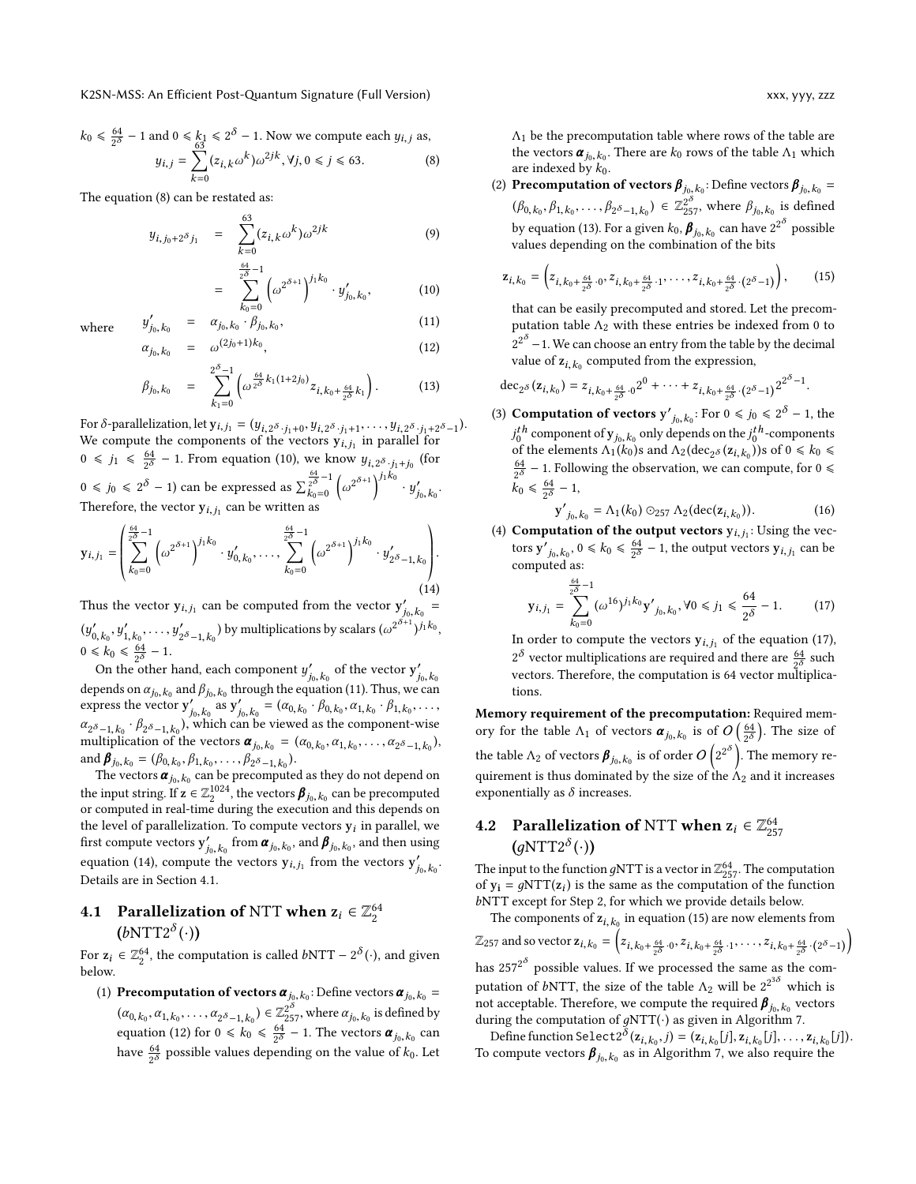$$
k_0 \le \frac{64}{2^{\delta}} - 1 \text{ and } 0 \le k_1 \le 2^{\delta} - 1. \text{ Now we compute each } y_{i,j} \text{ as,}
$$

$$
y_{i,j} = \sum_{k=0}^{63} (z_{i,k} \omega^k) \omega^{2jk}, \forall j, 0 \le j \le 63. \tag{8}
$$

The equation [\(8\)](#page-10-0) can be restated as:

<span id="page-10-1"></span><span id="page-10-0"></span>
$$
y_{i,j_0+2^{\delta}j_1} = \sum_{k=0}^{63} (z_{i,k}\omega^k)\omega^{2jk}
$$
 (9)

$$
= \sum_{k_0=0}^{\frac{64}{2^{\delta}-1}} \left( \omega^{2^{\delta+1}} \right)^{j_1 k_0} \cdot y'_{j_0, k_0}, \tag{10}
$$

where 
$$
y
$$

<span id="page-10-2"></span>
$$
y'_{j_0, k_0} = \alpha_{j_0, k_0} \cdot \beta_{j_0, k_0},
$$
  
\n
$$
\alpha_{j_0, k_0} = \omega^{(2j_0+1)k_0},
$$
\n(11)

$$
\beta_{j_0, k_0} = \sum_{k_1=0}^{2^{\delta}-1} \left( \omega^{\frac{64}{2^{\delta}} k_1(1+2j_0)} z_{i, k_0 + \frac{64}{2^{\delta}} k_1} \right).
$$
 (13)

For  $\delta$ -parallelization, let  $y_{i,j_1} = (y_{i,2^{\delta} \cdot j_1+0}, y_{i,2^{\delta} \cdot j_1+1}, \dots, y_{i,2^{\delta} \cdot j_1+2^{\delta}-1}).$ <br>We compute the components of the vectors  $y_{i,j}$  in parallel for We compute the components of the vectors  $y_{i,j}$  in parallel for  $0 \le j_1 \le \frac{64}{2^{\delta}} - 1$ . From equation [\(10\)](#page-10-1), we know  $y_{i,2^{\delta},j_1+j_0}$  (for  $\delta \cdot j_1+j_0$ <br>i<sub>1</sub> k<sub>0</sub>  $0 \le j_0 \le 2^{\delta} - 1$ ) can be expressed as  $\sum_{k_0=0}^{\frac{64}{2^{\delta}}-1}$  $k_0=0$ ĺ  $2^{\delta+1}\bigg)^{j_1k_0} \cdot y'_{j_0}$  $j_0, k_0$ . Therefore, the vector  $y_{i,j_1}$  can be written as

<span id="page-10-3"></span>
$$
\mathbf{y}_{i,j_1} = \left(\sum_{k_0=0}^{\frac{64}{2^{\delta}}-1} \left(\omega^{2^{\delta+1}}\right)^{j_1k_0} \cdot y'_{0,k_0}, \dots, \sum_{k_0=0}^{\frac{64}{2^{\delta}}-1} \left(\omega^{2^{\delta+1}}\right)^{j_1k_0} \cdot y'_{2^{\delta}-1,k_0}\right).
$$
\n(14)

Thus the vector  $y_{i,j_1}$  can be computed from the vector  $y'_{i_0,k_0} =$  $j_0, k_0$ <br>+1  $\ddot{y}$  $\int_{0, k_0}^{\prime}$ , y  $y'_{1, k_0}, \ldots, y'_{64}$  $\sum_{2^{\delta}-1,k_0}$ ) by multiplications by scalars ( $\omega^{2^{\delta+1}}$  $)^{j_1k_0},$  $0 \le k_0 \le \frac{64}{2^{\delta}} - 1.$ <br>On the other

On the other hand, each component  $y'_{j_0, k_0}$  of the vector  $y'_{j_0}$ between the catternaire, each empirical  $j_{j_0,k_0}$  or the vector  $j_{j_0,k_0}$ <br>depends on  $\alpha_{j_0,k_0}$  and  $\beta_{j_0,k_0}$  through the equation [\(11\)](#page-10-2). Thus, we can express the vector  $\mathbf{y}'_{j_0, k_0}$  as  $\mathbf{y}'_{j_0, k_0} = (\alpha_{0, k_0} \cdot \beta_{0, k_0}, \alpha_{1, k_0} \cdot \beta_{1, k_0})$  $j_0, k_0 \stackrel{\text{(a)}}{=} j_{0, k_0} \stackrel{\text{(b)}_{0, k_0}}{=} j_{0, k_0} \stackrel{\text{(c)}}{=} j_{0, k_0} \stackrel{\text{(c)}}{=} j_{0, k_0} \stackrel{\text{(d)}}{=} j_{0, k_0} \stackrel{\text{(e)}}{=} j_{0, k_0} \stackrel{\text{(f)}}{=} j_{0, k_0} \stackrel{\text{(g)}}{=} j_{0, k_0} \stackrel{\text{(h)}}{=} j_{0, k_0} \stackrel{\text{(i)}_{0, k_0}}{=} j_{0, k_0} \stackrel{\text{(i)}_{0, k_0}}{=} j_{$  $\alpha_{2^{\delta}-1, k_0} \cdot \beta_{2^{\delta}-1, k_0}$ , which can be viewed as the component-wise<br>multiplication of the vectors  $\boldsymbol{\alpha}_{\cdot}$ ,  $\boldsymbol{\alpha}_{\cdot}$ ,  $\alpha_{\cdot}$ ,  $\alpha_{\cdot}$ ,  $\alpha_{\cdot}$ ,  $\alpha_{\cdot}$ ,  $\alpha_{\cdot}$ ,  $\alpha_{\cdot}$ multiplication of the vectors  $\boldsymbol{\alpha}_{j_0,k_0} = (\alpha_{0,k_0}, \alpha_{1,k_0}, \ldots, \alpha_{2\delta-1,k_0}),$ <br>and  $\boldsymbol{\beta}_{k+1} = (\beta_{k+1}, \beta_{k+1}, \ldots, \beta_{k+1})$ and  $\boldsymbol{\beta}_{j_0, k_0} = (\beta_{0, k_0}, \beta_{1, k_0}, \dots, \beta_2)$ <br>The vectors  $\boldsymbol{\alpha}_{j_0, k_0}$  can be prec

 $\text{d}$   $\boldsymbol{\beta}_{j_0,k_0} = (\beta_{0,k_0}, \beta_{1,k_0}, \dots, \beta_{2^{\delta}-1,k_0}).$ <br>The vectors  $\boldsymbol{\alpha}_{j_0,k_0}$  can be precomputed as they do not depend on the input string. If  $z \in \mathbb{Z}_2^{1024}$ , the vectors  $\beta_{j_0, k_0}$  can be precomputed<br>or computed in real-time during the execution and this depends on or computed in real-time during the execution and this depends on the level of parallelization. To compute vectors  $y_i$  in parallel, we first compute vectors  $y'_i$  from  $\alpha$  is and  $\beta$  is and then using first compute vectors  $\mathbf{y}'_{j_0, k_0}$  from  $\boldsymbol{\alpha}_{j_0, k_0}$ , and  $\boldsymbol{\beta}_{j_0, k_0}$ , and then using equation [\(14\)](#page-10-3), compute the vectors  $y_{i,j_1}$  from the vectors  $y'_{j_0}$  $j_0, k_0$ . Details are in Section [4.1.](#page-10-4)

# <span id="page-10-4"></span>**4.1** Parallelization of NTT when  $z_i \in \mathbb{Z}_2^{64}$  $(b<sub>NTT2</sub> <sup>δ</sup>(·))$

For  $z_i \in \mathbb{Z}_2^{64}$ , the computation is called  $b$ NTT –  $2^{\delta}(\cdot)$ , and given below.

(1) Precomputation of vectors  $\boldsymbol{\alpha}_{j_0, k_0}$ : Define vectors  $\boldsymbol{\alpha}_{j_0, k_0}$  =  $(\alpha_{0,k_0}, \alpha_{1,k_0}, \ldots, \alpha_{2\delta-1,k_0}) \in \mathbb{Z}_{257}^{2^\delta}$ , where  $\alpha_{j_0,k_0}$  is defined by equation [\(12\)](#page-10-2) for  $0 \le k_0 \le \frac{64}{2^{\delta}} - 1$ . The vectors  $\alpha_{j_0, k_0}$  can have  $\frac{64}{2^{\delta}}$  possible values depending on the value of  $k_0$ . Let  $\Lambda_1$  be the precomputation table where rows of the table are the vectors  $\boldsymbol{\alpha}_{j_0, k_0}$ . There are  $k_0$  rows of the table  $\Lambda_1$  which are indexed by  $k_0$ .

(2) Precomputation of vectors  $\beta_{j_0, k_0}$ : Define vectors  $\beta_{j_0, k_0}$  $(\beta_{0,k_0}, \beta_{1,k_0}, \dots, \beta_{2^{\delta}-1, k_0}) \in \mathbb{Z}_{257}^{2^{\delta}}$ , where  $\beta_{j_0, k_0}$  is defined by equation [\(13\)](#page-10-2). For a given  $k_0$ ,  $\beta_{j_0, k_0}$  can have  $2^{2^{\delta}}$  possible<br>values depending on the combination of the bits values depending on the combination of the bits

<span id="page-10-6"></span>
$$
\mathbf{z}_{i,k_0} = \left( z_{i,k_0+\frac{64}{2\delta} \cdot 0}, z_{i,k_0+\frac{64}{2\delta} \cdot 1}, \ldots, z_{i,k_0+\frac{64}{2\delta} \cdot (2^{\delta}-1)} \right), \quad (15)
$$

that can be easily precomputed and stored. Let the precomputation table  $\Lambda_2$  with these entries be indexed from 0 to  $2^{2^{\delta}}$  – 1. We can choose an entry from the table by the decimal value of  $z_{i,k_0}$  computed from the expression,

$$
\mathrm{dec}_{2^{\delta}}(\mathbf{z}_{i,k_0})=z_{i,k_0+\frac{64}{2^{\delta}}\cdot 0}2^0+\cdots+z_{i,k_0+\frac{64}{2^{\delta}}\cdot 0}(2^{\delta}-1)2^{2^{\delta}-1}.
$$

(3) **Computation of vectors**  $y'_{j_0, k_0}$ : For  $0 \le j_0 \le 2^{\delta} - 1$ , the  $f_{00}$  superficients Λ<sub>1</sub>(k<sub>0</sub>)s and Λ<sub>2</sub> (dec<sub>2</sub>*δ* (z<sub>i,k0</sub>))s of 0 ≤ k<sub>0</sub> ≤<br>of the elements Λ<sub>1</sub>(k<sub>0</sub>)s and Λ<sub>2</sub> (dec<sub>2</sub>*δ* (z<sub>i,k0</sub>))s of 0 ≤ k<sub>0</sub> ≤  $t^h$  component of  $y_{j_0, k_0}$  only depends on the  $j_0^{th}$ -components<br>of the elements  $\Lambda_t(k_0)$ s and  $\Lambda_t(k_0)$  s (z, i)) of  $0 \le k_0 \le$  $\frac{64}{2^{\delta}}$  – 1. Following the observation, we can compute, for  $0 \leq$  $k_0 \leq \frac{64}{2^{\delta}} - 1,$ 

$$
\mathbf{y'}_{j_0, k_0} = \Lambda_1(k_0) \odot_{257} \Lambda_2(\text{dec}(\mathbf{z}_{i, k_0})).
$$
 (16)

(4) **Computation of the output vectors**  $y_{i,j_1}$ : Using the vectors  $y'_{i,j_1}$ tors  $\mathbf{y'}_{j_0, k_0}$ ,  $0 \le k_0 \le \frac{64}{2^{\delta}} - 1$ , the output vectors  $\mathbf{y}_{i, j_1}$  can be <sup>tors</sup>  $y_{j_0, k_0}$ ,  $y$ <br>computed as: 64

<span id="page-10-5"></span>
$$
\mathbf{y}_{i,j_1} = \sum_{k_0=0}^{\frac{64}{2^{\delta}}-1} (\omega^{16})^{j_1 k_0} \mathbf{y'}_{j_0,k_0}, \forall 0 \le j_1 \le \frac{64}{2^{\delta}} - 1. \tag{17}
$$

In order to compute the vectors  $y_{i,j_1}$  of the equation [\(17\)](#page-10-5),  $2^{\delta}$  vector multiplications are required and there are  $\frac{64}{2^{\delta}}$  such vectors. Therefore, the computation is 64 vector multiplications.

Memory requirement of the precomputation: Required memory for the table  $\Lambda_1$  of vectors  $\boldsymbol{\alpha}_{j_0,k_0}$  is of  $O\left(\frac{64}{2^{\delta}}\right)$ . The size of the table  $\Lambda_2$  of vectors  $\beta_{j_0, k_0}$  is of order  $O\left(2^{2^{\delta}}\right)$ . The memory requirement is thus dominated by the size of the  $\Lambda_2$  and it increases exponentially as  $\delta$  increases.

# <span id="page-10-7"></span>4.2 Parallelization of NTT when  $z_i \in \mathbb{Z}_{257}^{64}$  $(g\text{NTT2}^\delta(\cdot))$

The input to the function gNTT is a vector in  $\mathbb{Z}_{257}^{64}$ . The computation of  $\mathbf{w} = a\mathbf{N} \mathbf{T} \mathbf{T}(\mathbf{z})$  is the same as the computation of the function of  $y_i = gNTT(z_i)$  is the same as the computation of the function<br>
bNTT except for Stap 2, for which we provide details below bNTT except for Step 2, for which we provide details below.

The components of  $z_{i,k_0}$  in equation [\(15\)](#page-10-6) are now elements from  $\mathbb{Z}_{257}$  and so vector  $\mathbf{z}_{i,k_0} = \Big($  $z_{i,k_0+\frac{64}{2\delta}}\cdot 0, z_{i,k_0+\frac{64}{2\delta}}\cdot 1, \ldots, z_{i,k_0+\frac{64}{2\delta}}\cdot (2^{\delta}-1)$ has 257 $^{2^{\delta}}$  possible values. If we processed the same as the computation of bNTT, the size of the table  $Λ_2$  will be  $2^{2^{3\delta}}$  which is not acceptable. Therefore, we compute the required  $\beta_{j_0, k_0}$  vectors<br>during the computation of eNTT(.) as given in Algorithm 7 during the computation of  $gNTT(·)$  as given in Algorithm [7.](#page-11-0)

Define function Select  $2^{\delta}(z_{i,k_0}, j) = (z_{i,k_0}[j], z_{i,k_0}[j], \ldots, z_{i,k_0}[j]).$ compute vectors  $\mathcal{B}_{i,k_0}$  as in Algorithm 7, we also require the To compute vectors  $\beta_{j_0, k_0}$  as in Algorithm [7,](#page-11-0) we also require the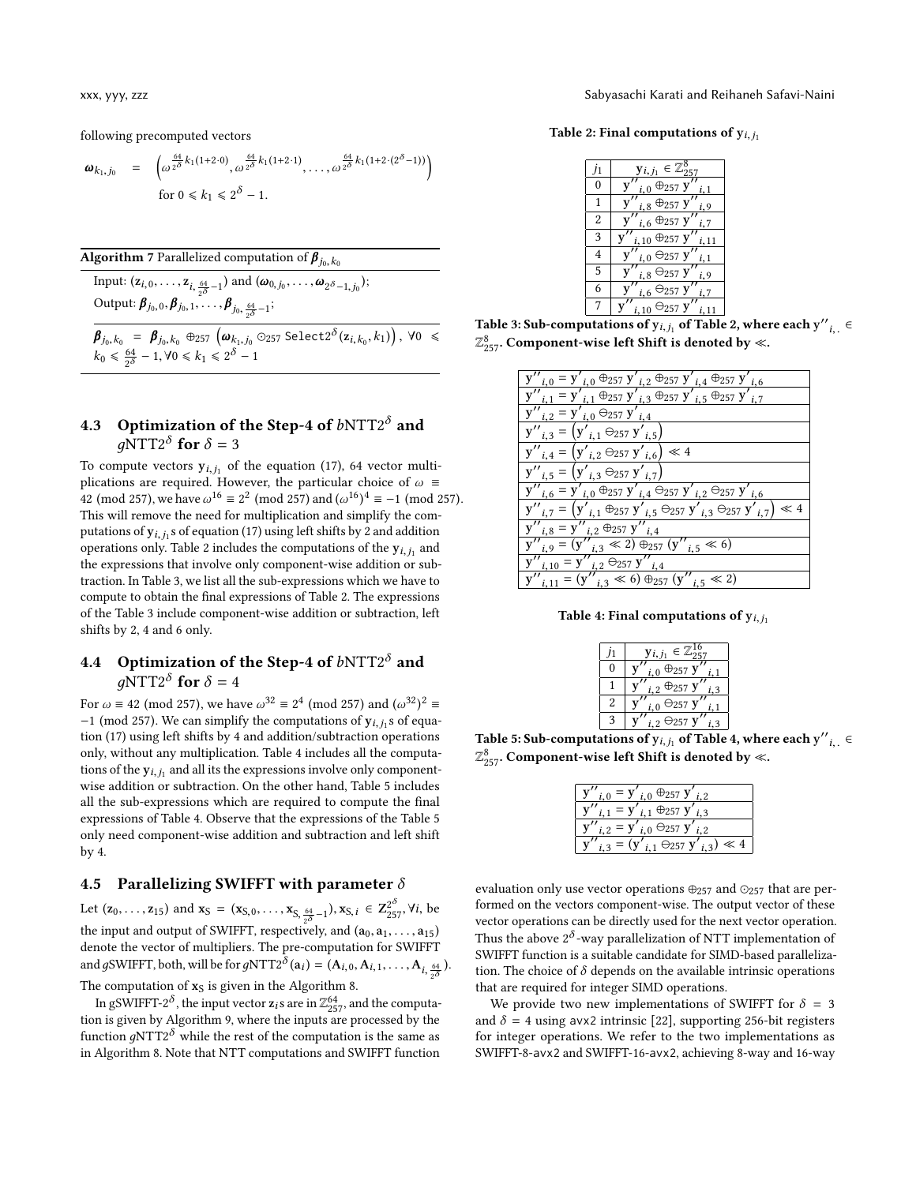following precomputed vectors

$$
\omega_{k_1,j_0} = \left( \omega^{\frac{64}{2^{\delta}}k_1(1+2\cdot 0)}, \omega^{\frac{64}{2^{\delta}}k_1(1+2\cdot 1)}, \dots, \omega^{\frac{64}{2^{\delta}}k_1(1+2\cdot (2^{\delta}-1))} \right)
$$
  
for  $0 \le k_1 \le 2^{\delta} - 1$ .

<span id="page-11-0"></span>**Algorithm** 7 Parallelized computation of  $\beta_{j_0, k_0}$ 

Input:  $(\mathbf{z}_{i,0}, \dots, \mathbf{z}_{i, \frac{64}{2^{\delta}}-1})$  and  $(\boldsymbol{\omega}_{0,j_0}, \dots, \boldsymbol{\omega}_{2^{\delta}-1,j_0});$ Output:  $\beta_{j_0,0}, \beta_{j_0,1}, \ldots, \beta_{j_0, \frac{64}{2^{\delta}}-1};$ 

 $\boldsymbol{\beta}_{j_0,k_0} = \boldsymbol{\beta}_{j_0,k_0} \oplus_{257} (\boldsymbol{\omega}_{k_1,j_0} \odot_{257} \text{Select2}^{\delta}(\mathbf{z}_{i,k_0}, k_1)), \forall 0 \leq$  $k_0 \le \frac{64}{2^{\delta}} - 1, \forall 0 \le k_1 \le 2^{\delta} - 1$ 

## 4.3 Optimization of the Step-4 of  $b$ NTT2<sup> $\delta$ </sup> and  $g\overline{\text{NTT2}}^{\delta}$  for  $\delta = 3$

To compute vectors  $y_{i,j_1}$  of the equation [\(17\)](#page-10-5), 64 vector multi-<br>plications are required. However, the particular choice of  $\omega =$ plications are required. However, the particular choice of  $\omega \equiv$ <sup>1</sup>  $\pm$  2 (mod 257), we have ω<sup>16</sup> ≡ 2<sup>2</sup> (mod 257) and (ω<sup>16</sup>)<sup>4</sup> ≡ −1 (mod 257). ) This will remove the need for multiplication and simplify the computations of  $y_{i,j_1}$  s of equation [\(17\)](#page-10-5) using left shifts by 2 and addition<br>conceptions only Table 2 includes the computations of the  $y_{i+1}$  and operations only. Table [2](#page-11-1) includes the computations of the  $y_{i,j_1}$  and the expressions that involve only component-wise addition or subthe expressions that involve only component-wise addition or subtraction. In Table [3,](#page-11-1) we list all the sub-expressions which we have to compute to obtain the final expressions of Table [2.](#page-11-1) The expressions of the Table [3](#page-11-1) include component-wise addition or subtraction, left shifts by 2, 4 and 6 only.

# 4.4 Optimization of the Step-4 of  $b$ NTT2<sup> $\delta$ </sup> and  $g\overline{\text{NTT2}}^{\delta}$  for  $\delta = 4$ <br>= 42 (mod 357) we be

For  $\omega \equiv 42 \pmod{257}$ , we have  $\omega^{32} \equiv 2^4 \pmod{257}$  and  $(\omega^{32})^2 \equiv -1 \pmod{257}$ . We can simplify the computations of  $y \rightarrow \infty$  of equals −1 (mod 257). We can simplify the computations of  $y_{i,j}$  s of equation (17) using left shifts by 4 and addition (subtraction operations tion [\(17\)](#page-10-5) using left shifts by 4 and addition/subtraction operations only, without any multiplication. Table [4](#page-11-2) includes all the computations of the  $y_{i,j_1}$  and all its the expressions involve only component-<br>wise addition or subtraction. On the other hand, Table 5 includes wise addition or subtraction. On the other hand, Table [5](#page-11-2) includes all the sub-expressions which are required to compute the final expressions of Table [4.](#page-11-2) Observe that the expressions of the Table [5](#page-11-2) only need component-wise addition and subtraction and left shift by 4.

## 4.5 Parallelizing SWIFFT with parameter  $\delta$

Let  $(z_0, ..., z_{15})$  and  $x_S = (x_{S,0}, ..., x_{S, \frac{64}{2^{\delta}} - 1}), x_{S,i} \in Z_{257}^{2^{\delta}}, \forall i$ , be the input and output of SWIFFT, respectively, and  $(a_0, a_1, \ldots, a_{15})$ denote the vector of multipliers. The pre-computation for SWIFFT and gSWIFFT, both, will be for  $gNTT2^{\delta}(a_i) = (A_{i,0}, A_{i,1}, \ldots, A_{i, \frac{64}{2^{\delta}}})$ . The computation of  $x_S$  is given in the Algorithm [8.](#page-12-1)

In gSWIFFT-2<sup> $\delta$ </sup>, the input vector  $z_i$ s are in  $\mathbb{Z}_{257}^{64}$ , and the computation is given by Algorithm [9,](#page-12-2) where the inputs are processed by the function  $gNTT2^{\delta}$  while the rest of the computation is the same as<br>in Algorithm 8. Note that NTT computations and SWIEET function in Algorithm [8.](#page-12-1) Note that NTT computations and SWIFFT function

xxx, yyy, zzz Sabyasachi Karati and Reihaneh Safavi-Naini

<span id="page-11-1"></span>Table 2: Final computations of  $y_{i,j_1}$ 

| J1             | $y_{i,j_1} \in \mathbb{Z}_{257}^8$               |
|----------------|--------------------------------------------------|
| $\theta$       | $_{i,0}$ $\oplus_{257}$ y'<br>i, 1               |
| 1              | $_{i,8}$ $\oplus_{257}$ ${\bf y}''_{i,9}$        |
| $\overline{2}$ | $i, 6 \oplus_{257} Y''$ $i, 7$                   |
| 3              | $\bigoplus_{257}$ y'' <sub>i,11</sub><br>i, 10   |
| $\overline{4}$ | $_{i,0}$ $\ominus$ 257 ${\bf y}''$<br>i, 1       |
| 5              | $_{i,8}$ $\Theta$ 257 y<br>i, 9                  |
| 6              | $_{i,6}$ $\ominus_{257}$ y''                     |
| 7              | $\Theta$ 257 $\mathbf{y}^{\prime\prime}$<br>i.10 |
|                | $\mathcal{L}$ $\mathbf{r}$<br>- በተገደ አ           |

Table 3: Sub-computations of  $y_{i,j_1}$  of Table [2,](#page-11-1) where each  $y''_{i,j_1} \in \mathbb{Z}^8$ . i,.  $\mathbb{Z}_{257}^8$ . Component-wise left Shift is denoted by «.

| $y''_{i,0} = y'_{i,0} \oplus_{257} y'_{i,2} \oplus_{257} y'_{i,4} \oplus_{257} y'_{i,6}$                                                                                             |
|--------------------------------------------------------------------------------------------------------------------------------------------------------------------------------------|
| $y''_{i,1} = y'_{i,1} \oplus_{257} y'_{i,3} \oplus_{257} y'_{i,5} \oplus_{257} y'_{i,7}$                                                                                             |
| $i_{,2} = \mathbf{y'}_{i,0} \ominus_{257} \mathbf{y'}_{i,4}$                                                                                                                         |
| $y''_{i,3} = (y'_{i,1} \ominus_{257} y'_{i,5})$                                                                                                                                      |
| $y''_{i,4} = (y'_{i,2} \ominus_{257} y'_{i,6}) \ll 4$                                                                                                                                |
| ${\bf y''}_{i,5} = ({\bf y'}_{i,3} \ominus_{257} {\bf y'}_{i,7})$                                                                                                                    |
| $y''_{i,6} = y'_{i,0} \oplus_{257} y'_{i,4} \oplus_{257} y'_{i,2} \oplus_{257} y'_{i,6}$                                                                                             |
| $y''_{i,7} = (y'_{i,1} \oplus_{257} y'_{i,5} \oplus_{257} y'_{i,3} \oplus_{257} y'_{i,7}) \ll 4$                                                                                     |
| $y''_{i,8} = y''_{i,2} \oplus_{257} y''_{i,4}$                                                                                                                                       |
|                                                                                                                                                                                      |
|                                                                                                                                                                                      |
| $y''_{i,9} = (y''_{i,3} \ll 2) \oplus_{257} (y''_{i,5} \ll 6)$<br>$y''_{i,10} = y''_{i,2} \oplus_{257} y''_{i,4}$<br>$y''_{i,11} = (y''_{i,3} \ll 6) \oplus_{257} (y''_{i,5} \ll 2)$ |
|                                                                                                                                                                                      |

<span id="page-11-2"></span>Table 4: Final computations of  $y_{i,j_1}$ 

|  | $\in \mathbb{Z}$<br>$y_{i, j_1}$ |
|--|----------------------------------|
|  | $\oplus_{257}$<br>i, 0           |
|  | $_{i,2}$ $\oplus_{257}$          |
|  | ∋257 j<br>i, 0                   |
|  | $_{i,2}$ $\Theta_{257}$          |
|  |                                  |

Table 5: Sub-computations of  $y_{i,j_1}$  of Table [4,](#page-11-2) where each  $y''$ i,. ∈  $\mathbb{Z}_{257}^8$ . Component-wise left Shift is denoted by «.

| $_{i,1}$ $\oplus_{257}$ y'<br>i <sub>3</sub><br>$\mathbf{y}_2 = \mathbf{y}'_{i,0}$ $\Theta_{257}$ $\mathbf{y}'$ | $i, 0 = \mathbf{y}'$ $i, 0 \oplus_{257} \mathbf{y}'$ $i, 2$ |
|-----------------------------------------------------------------------------------------------------------------|-------------------------------------------------------------|
|                                                                                                                 |                                                             |
|                                                                                                                 |                                                             |
|                                                                                                                 | $\mathbf{y}_{i,1} \ominus_{257} \mathbf{y}_{i,3}'$ $\ll 4$  |

evaluation only use vector operations  $\oplus_{257}$  and  $\odot_{257}$  that are performed on the vectors component-wise. The output vector of these vector operations can be directly used for the next vector operation. Thus the above  $2^{\delta}$ -way parallelization of NTT implementation of SWIFFT function is a suitable candidate for SIMD-based parallelization. The choice of  $\delta$  depends on the available intrinsic operations that are required for integer SIMD operations.

We provide two new implementations of SWIFFT for  $\delta = 3$ and  $\delta = 4$  using avx2 intrinsic [\[22\]](#page-15-30), supporting 256-bit registers for integer operations. We refer to the two implementations as SWIFFT-8-avx2 and SWIFFT-16-avx2, achieving 8-way and 16-way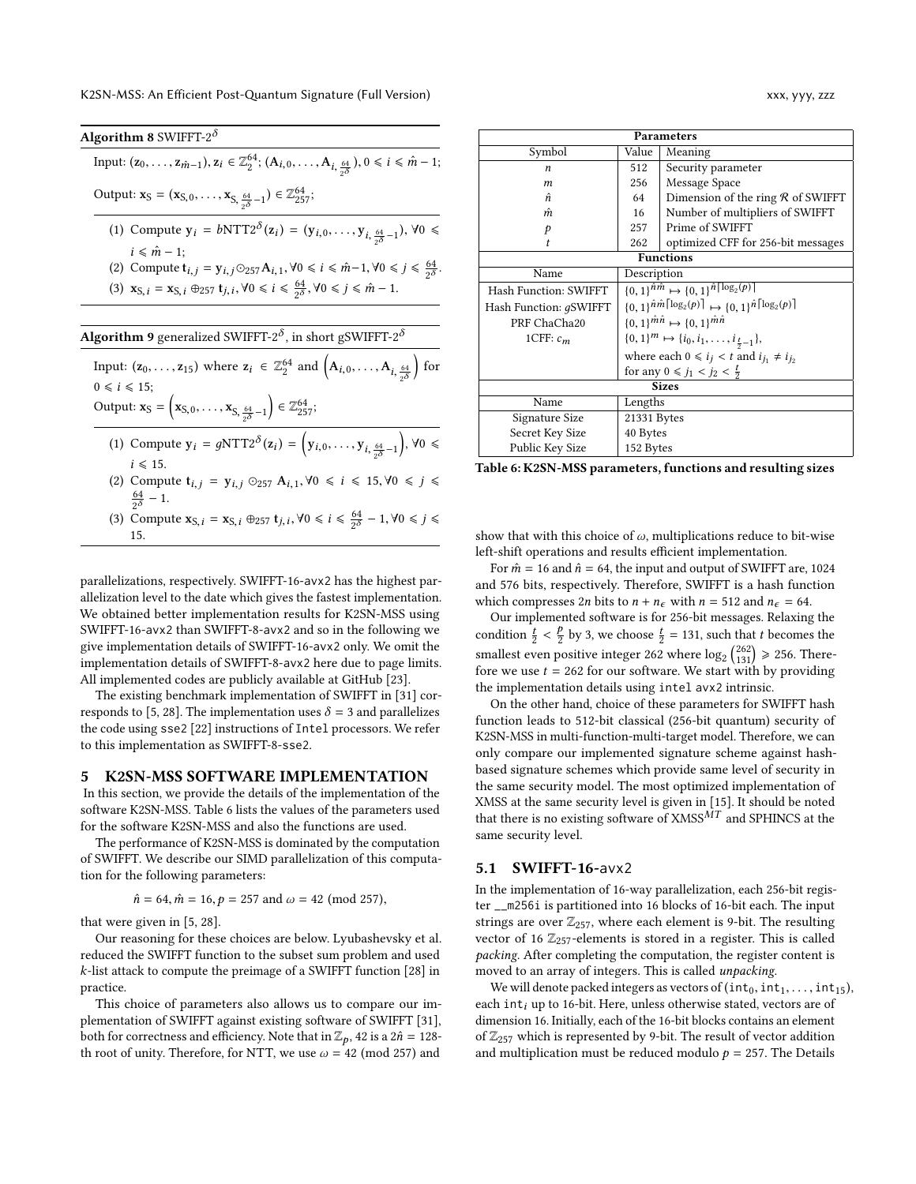<span id="page-12-2"></span><span id="page-12-1"></span>

| Algorithm 8 SWIFFT-2 $\delta$                                                                                                                                               |
|-----------------------------------------------------------------------------------------------------------------------------------------------------------------------------|
| Input: $(z_0, , z_{\hat{m}-1}), z_i \in \mathbb{Z}_2^{64}$ ; $(A_{i,0}, , A_{i,\frac{64}{\sqrt{5}}}), 0 \le i \le \hat{m}-1$ ;                                              |
| Output: $\mathbf{x}_S = (\mathbf{x}_{S,0}, \dots, \mathbf{x}_{S, \frac{64}{60}-1}) \in \mathbb{Z}_{257}^{64}$ ;                                                             |
| (1) Compute $y_i = bNTT2^{\delta}(z_i) = (y_{i,0}, \ldots, y_{i,\frac{64}{\delta \delta} - 1}), \forall 0 \leq$                                                             |
| $i \leq m-1$ ;                                                                                                                                                              |
| (2) Compute $t_{i,j} = y_{i,j} \odot 257 A_{i,1}, \forall 0 \le i \le \hat{m} - 1, \forall 0 \le j \le \frac{64}{2\delta}$ .                                                |
| (3) $\mathbf{x}_{S, i} = \mathbf{x}_{S, i} \oplus_{257} \mathbf{t}_{j, i}, \forall 0 \le i \le \frac{64}{20}, \forall 0 \le j \le \hat{m} - 1.$                             |
|                                                                                                                                                                             |
| <b>Algorithm 9</b> generalized SWIFFT-2 $^{\delta}$ , in short gSWIFFT-2 $^{\delta}$                                                                                        |
| Input: $(z_0, \ldots, z_{15})$ where $z_i \in \mathbb{Z}_2^{64}$ and $(A_{i,0}, \ldots, A_{i, \frac{64}{5}})$ for                                                           |
| $0 \leq i \leq 15$ ;                                                                                                                                                        |
| Output: $\mathbf{x}_{S} = \left( \mathbf{x}_{S,0}, \ldots, \mathbf{x}_{S, \frac{64}{30}-1} \right) \in \mathbb{Z}_{257}^{64}$ ;                                             |
| (1) Compute $y_i = gNTT2^{\delta}(z_i) = (y_{i,0}, \ldots, y_{i, \frac{64}{\sqrt{\delta}}-1}), \forall 0 \leq$                                                              |
| $i \leq 15$ .                                                                                                                                                               |
| (2) Compute $t_{i,j} = y_{i,j} \odot_{257} A_{i,1}, \forall 0 \le i \le 15, \forall 0 \le j \le 1$<br>$\frac{64}{20} - 1$ .                                                 |
|                                                                                                                                                                             |
| (3) Compute $\mathbf{x}_{S,i} = \mathbf{x}_{S,i} \oplus 257 \mathbf{t}_{j,i}, \forall 0 \leq i \leq \frac{64}{2^{\delta}} - 1, \forall 0 \leq j \leq \frac{64}{2^{\delta}}$ |
| 15.                                                                                                                                                                         |

parallelizations, respectively. SWIFFT-16-avx2 has the highest parallelization level to the date which gives the fastest implementation. We obtained better implementation results for K2SN-MSS using SWIFFT-16-avx2 than SWIFFT-8-avx2 and so in the following we give implementation details of SWIFFT-16-avx2 only. We omit the implementation details of SWIFFT-8-avx2 here due to page limits. All implemented codes are publicly available at GitHub [\[23\]](#page-15-31).

The existing benchmark implementation of SWIFFT in [\[31\]](#page-15-21) cor-responds to [\[5,](#page-15-19) [28\]](#page-15-20). The implementation uses  $\delta = 3$  and parallelizes the code using sse2 [\[22\]](#page-15-30) instructions of Intel processors. We refer to this implementation as SWIFFT-8-sse2.

### <span id="page-12-0"></span>5 K2SN-MSS SOFTWARE IMPLEMENTATION

In this section, we provide the details of the implementation of the software K2SN-MSS. Table [6](#page-12-3) lists the values of the parameters used for the software K2SN-MSS and also the functions are used.

The performance of K2SN-MSS is dominated by the computation of SWIFFT. We describe our SIMD parallelization of this computation for the following parameters:

$$
\hat{n} = 64, \hat{m} = 16, p = 257 \text{ and } \omega = 42 \text{ (mod } 257),
$$

that were given in [\[5,](#page-15-19) [28\]](#page-15-20).

Our reasoning for these choices are below. Lyubashevsky et al. reduced the SWIFFT function to the subset sum problem and used k-list attack to compute the preimage of a SWIFFT function [\[28\]](#page-15-20) in practice.

This choice of parameters also allows us to compare our implementation of SWIFFT against existing software of SWIFFT [\[31\]](#page-15-21), both for correctness and efficiency. Note that in  $\mathbb{Z}_p$ , 42 is a  $2\hat{n} = 128$ -<br>th root of unity. Therefore, for NTT, we use  $\omega = 42 \pmod{257}$  and th root of unity. Therefore, for NTT, we use  $\omega = 42 \pmod{257}$  and

<span id="page-12-3"></span>

| <b>Parameters</b>                       |                                                                                                  |                                                           |  |  |  |
|-----------------------------------------|--------------------------------------------------------------------------------------------------|-----------------------------------------------------------|--|--|--|
| Symbol                                  | Value                                                                                            | Meaning                                                   |  |  |  |
| $\boldsymbol{n}$                        | 512                                                                                              | Security parameter                                        |  |  |  |
| $\boldsymbol{m}$                        | 256                                                                                              | Message Space                                             |  |  |  |
| ñ                                       | 64                                                                                               | Dimension of the ring $R$ of SWIFFT                       |  |  |  |
| m                                       | 16                                                                                               | Number of multipliers of SWIFFT                           |  |  |  |
| p                                       | 257                                                                                              | Prime of SWIFFT                                           |  |  |  |
| t                                       | 262                                                                                              | optimized CFF for 256-bit messages                        |  |  |  |
|                                         | <b>Functions</b>                                                                                 |                                                           |  |  |  |
| Name                                    | Description                                                                                      |                                                           |  |  |  |
| Hash Function: SWIFFT                   | $\{0,1\}^{\hat{n}\hat{m}} \mapsto \{0,1\}^{\hat{n}\lceil \log_2(p)\rceil}$                       |                                                           |  |  |  |
| Hash Function: gSWIFFT                  | ${0, 1\}^{\hat{n}\hat{m}\lceil \log_2(p)\rceil} \mapsto {0, 1\}^{\hat{n}\lceil \log_2(p)\rceil}$ |                                                           |  |  |  |
| PRF ChaCha20                            |                                                                                                  | ${0,1\}^{\hat{m}\hat{n}} \mapsto {0,1\}^{\hat{m}\hat{n}}$ |  |  |  |
| 1CFF: $c_m$                             | $\{0,1\}^m \mapsto \{i_0, i_1, \ldots, i_{\frac{t}{2}-1}\},\$                                    |                                                           |  |  |  |
|                                         | where each $0 \le i_j < t$ and $i_{j_1} \ne i_{j_2}$                                             |                                                           |  |  |  |
| for any $0 \le j_1 < j_2 < \frac{L}{2}$ |                                                                                                  |                                                           |  |  |  |
| <b>Sizes</b>                            |                                                                                                  |                                                           |  |  |  |
| Name                                    | Lengths                                                                                          |                                                           |  |  |  |
| Signature Size                          | 21331 Bytes                                                                                      |                                                           |  |  |  |
| Secret Key Size                         | 40 Bytes                                                                                         |                                                           |  |  |  |
| Public Key Size                         | 152 Bytes                                                                                        |                                                           |  |  |  |

Table 6: K2SN-MSS parameters, functions and resulting sizes

show that with this choice of  $\omega$ , multiplications reduce to bit-wise left-shift operations and results efficient implementation.

For  $\hat{m}$  = 16 and  $\hat{n}$  = 64, the input and output of SWIFFT are, 1024 and 576 bits, respectively. Therefore, SWIFFT is a hash function which compresses 2*n* bits to  $n + n_{\epsilon}$  with  $n = 512$  and  $n_{\epsilon} = 64$ .

Our implemented software is for 256-bit messages. Relaxing the condition  $\frac{t}{2} < \frac{p}{2}$  by 3, we choose  $\frac{t}{2} = 131$ , such that t becomes the smallest even positive integer 262 where  $\log_2 \binom{262}{131} \ge 256$ . Therefore we use  $t = 262$  for our software. We start with by providing the implementation details using intel avx2 intrinsic.

On the other hand, choice of these parameters for SWIFFT hash function leads to 512-bit classical (256-bit quantum) security of K2SN-MSS in multi-function-multi-target model. Therefore, we can only compare our implemented signature scheme against hashbased signature schemes which provide same level of security in the same security model. The most optimized implementation of XMSS at the same security level is given in [\[15\]](#page-15-22). It should be noted that there is no existing software of  ${\rm XMSS}^{\bar{M}T}$  and SPHINCS at the same security level.

### 5.1 SWIFFT-16-avx2

In the implementation of 16-way parallelization, each 256-bit register \_\_m256i is partitioned into 16 blocks of 16-bit each. The input strings are over  $\mathbb{Z}_{257}$ , where each element is 9-bit. The resulting vector of 16  $\mathbb{Z}_{257}$ -elements is stored in a register. This is called packing. After completing the computation, the register content is moved to an array of integers. This is called unpacking.

We will denote packed integers as vectors of  $(int_0, int_1, ..., int_{15}),$ each int $_i$  up to 16-bit. Here, unless otherwise stated, vectors are of dimension 16. Initially, each of the 16-bit blocks contains an element of  $\mathbb{Z}_{257}$  which is represented by 9-bit. The result of vector addition and multiplication must be reduced modulo  $p = 257$ . The Details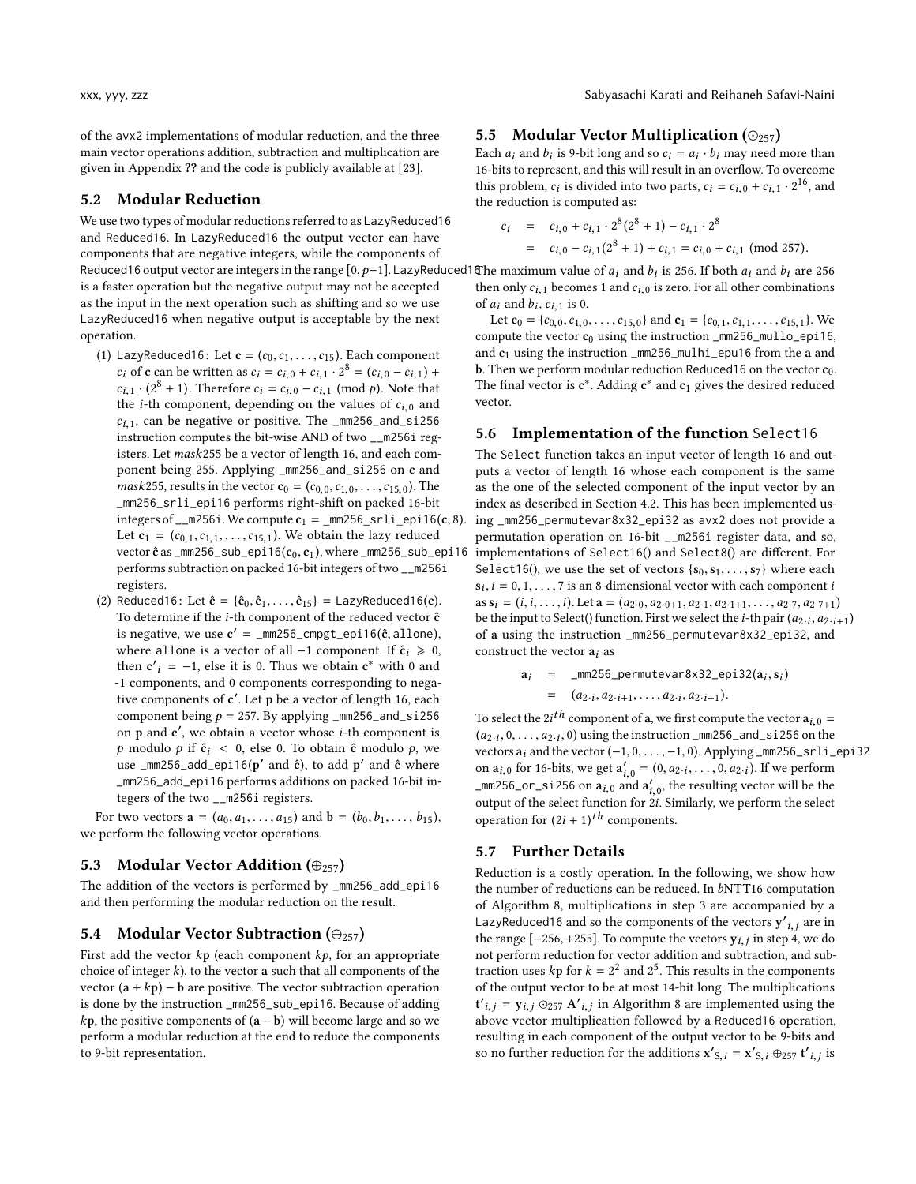of the avx2 implementations of modular reduction, and the three main vector operations addition, subtraction and multiplication are given in Appendix ?? and the code is publicly available at [\[23\]](#page-15-31).

### 5.2 Modular Reduction

We use two types of modular reductions referred to as LazyReduced16 and Reduced16. In LazyReduced16 the output vector can have components that are negative integers, while the components of Reduced16 output vector are integers in the range  $[0, p-1]$ . LazyReduced16<br>is a fester operation but the negative output may not be accepted is a faster operation but the negative output may not be accepted as the input in the next operation such as shifting and so we use LazyReduced16 when negative output is acceptable by the next operation.

- (1) LazyReduced16: Let  $c = (c_0, c_1, \ldots, c_{15})$ . Each component  $c_i$  of c can be written as  $c_i = c_{i,0} + c_{i,1} \cdot 2^8 = (c_{i,0} - c_{i,1}) +$ <br> $c_{i,1} \cdot (2^8 + 1)$  Therefore  $c_i = c_{i,0} = c_i$ , (mod a) Note that  $c_{i,1} \cdot (2^8 + 1)$ . Therefore  $c_i = c_{i,0} - c_{i,1} \pmod{p}$ . Note that the *i*-th component depending on the values of  $c_{i,0}$  and the *i*-th component, depending on the values of  $c_{i,0}$  and  $c_{i,1}$ , can be negative or positive. The \_mm256\_and\_si256 instruction computes the bit-wise AND of two \_\_m256i registers. Let mask<sup>255</sup> be a vector of length 16, and each component being 255. Applying \_mm256\_and\_si256 on c and *mask*255, results in the vector  $\mathbf{c}_0 = (c_{0,0}, c_{1,0}, \dots, c_{15,0})$ . The \_mm256\_srli\_epi16 performs right-shift on packed 16-bit integers of  $\text{\_m256i}$ . We compute  $\text{c}_1 = \text{\_mm256\_srli\_epi16(c, 8)}$ . Let  $c_1 = (c_{0,1}, c_{1,1}, \ldots, c_{15,1})$ . We obtain the lazy reduced vector  $\hat{\mathbf{c}}$  as  $\text{\texttt{mm256\_sub\_epi16}}(\mathbf{c}_0, \mathbf{c}_1)$ , where  $\text{\texttt{mm256\_sub\_epi16}}$ performs subtraction on packed 16-bit integers of two \_\_m256i registers.
- (2) Reduced16: Let  $\hat{c} = {\hat{c}_0, \hat{c}_1, ..., \hat{c}_{15}} =$  LazyReduced16(c). To determine if the  $i$ -th component of the reduced vector  $\hat{\mathbf{c}}$ is negative, we use  $c' = \text{min}256\text{-} \text{cmpgt\_epi16}(\hat{c}, \text{allow}),$ <br>where allone is a vector of all  $-1$  component If  $\hat{c}$   $\geq 0$ where allone is a vector of all  $-1$  component. If  $\hat{c}_i \ge 0$ , then  $c'_{i} = -1$ , else it is 0. Thus we obtain  $c^*$  with 0 and<br>1 components and 0 components corresponding to nome -1 components, and 0 components corresponding to negative components of c ′ . Let p be a vector of length 16, each component being  $p = 257$ . By applying  $\text{\textendash}256$  and  $\text{\texttt{si}}256$ on p and c', we obtain a vector whose *i*-th component is p modulo p if  $\hat{c}_i$  < 0, else 0. To obtain  $\hat{c}$  modulo p, we use  $\mu$ mm256\_add\_epi16(p' and ĉ), to add p' and ĉ where \_mm256\_add\_epi16 performs additions on packed 16-bit integers of the two \_\_m256i registers.

For two vectors  $\mathbf{a} = (a_0, a_1, \dots, a_{15})$  and  $\mathbf{b} = (b_0, b_1, \dots, b_{15})$ , we perform the following vector operations.

## 5.3 Modular Vector Addition  $(\oplus_{257})$

The addition of the vectors is performed by \_mm256\_add\_epi16 and then performing the modular reduction on the result.

#### 5.4 Modular Vector Subtraction ( $\Theta_{257}$ )

First add the vector  $kp$  (each component  $kp$ , for an appropriate choice of integer  $k$ ), to the vector a such that all components of the vector  $(a + kp) - b$  are positive. The vector subtraction operation is done by the instruction \_mm256\_sub\_epi16. Because of adding  $kp$ , the positive components of  $(a - b)$  will become large and so we perform a modular reduction at the end to reduce the components to 9-bit representation.

#### 5.5 Modular Vector Multiplication  $(\odot_{257})$

Each  $a_i$  and  $b_i$  is 9-bit long and so  $c_i = a_i \cdot b_i$  may need more than 16-bits to represent and this will result in an overflow. To overcome 16-bits to represent, and this will result in an overflow. To overcome this problem,  $c_i$  is divided into two parts,  $c_i = c_{i,0} + c_{i,1} \cdot 2^{16}$ , and the reduction is computed as: the reduction is computed as:

$$
c_i = c_{i,0} + c_{i,1} \cdot 2^8 (2^8 + 1) - c_{i,1} \cdot 2^8
$$
  
=  $c_{i,0} - c_{i,1} (2^8 + 1) + c_{i,1} = c_{i,0} + c_{i,1} \pmod{257}$ .

The maximum value of  $a_i$  and  $b_i$  is 256. If both  $a_i$  and  $b_i$  are 256 then only  $c_i$ , becomes 1 and  $c_i$  a is zero. For all other combinations then only  $c_{i,1}$  becomes 1 and  $c_{i,0}$  is zero. For all other combinations of  $a_i$  and  $b_i$ ,  $c_{i,1}$  is 0.<br>Let  $c_0 = \{c_0, c_1, c_2\}$ 

Let  $\mathbf{c}_0 = \{c_{0,0}, c_{1,0}, \ldots, c_{15,0}\}$  and  $\mathbf{c}_1 = \{c_{0,1}, c_{1,1}, \ldots, c_{15,1}\}$ . We compute the vector  $c_0$  using the instruction  $\text{\texttt{mm256}}\text{\texttt{mm1lo}}$  epi16, and  $c_1$  using the instruction \_mm256\_mulhi\_epu16 from the a and b. Then we perform modular reduction Reduced16 on the vector  $c_0$ . The final vector is  $c^*$ . Adding  $c^*$  and  $c_1$  gives the desired reduced vector.

#### 5.6 Implementation of the function Select16

The Select function takes an input vector of length 16 and outputs a vector of length 16 whose each component is the same as the one of the selected component of the input vector by an index as described in Section [4.2.](#page-10-7) This has been implemented using \_mm256\_permutevar8x32\_epi32 as avx2 does not provide a permutation operation on 16-bit \_\_m256i register data, and so, implementations of Select16() and Select8() are different. For Select16(), we use the set of vectors  $\{s_0, s_1, \ldots, s_7\}$  where each  $s_i$ ,  $i = 0, 1, ..., 7$  is an 8-dimensional vector with each component is as  $s_i = (i, i, \ldots, i)$ . Let  $a = (a_{2\cdot0}, a_{2\cdot0+1}, a_{2\cdot1}, a_{2\cdot1+1}, \ldots, a_{2\cdot7}, a_{2\cdot7+1})$ be the input to Select() function. First we select the *i*-th pair  $(a_2, i, a_2, i+1)$ <br>of a using the instruction,  $\text{mm}^{256}$ , permutevar  $8\times32$ , ani 32, and of a using the instruction \_mm256\_permutevar8x32\_epi32, and construct the vector  $a_i$  as

$$
a_i = \text{mm256\_permutevar8x32\_epi32}(a_i, s_i)
$$
  
=  $(a_{2\cdot i}, a_{2\cdot i+1}, \dots, a_{2\cdot i}, a_{2\cdot i+1}).$ 

To select the 2*i*<sup>th</sup> component of a, we first compute the vector  $a_{i,0} =$ <br>(*a*): 0 and  $a_i$  : 0 using the instruction  $mn256$  and  $s_i256$  on the  $(a_{2\cdot i}, 0, \ldots, a_{2\cdot i}, 0)$  using the instruction  $\text{mm256\_and\_si256}$  on the vector  $(-1, 0, -1, 0)$  Applying  $\text{mm256\_s11}$ vectors a<sub>i</sub> and the vector (-1, 0, . . . , -1, 0). Applying \_mm256\_srli\_epi32 on  $a_{i,0}$  for 16-bits, we get  $a'_{i,0} = (0, a_{2i}, \ldots, 0, a_{2i})$ . If we perform  $\text{mm}$ 256 on size and  $a'$  the resulting vector will be the \_mm256\_or\_si256 on  $a_{i,0}$  and  $a'_{i,0}$ , the resulting vector will be the output of the select function for 2*i*. Similarly, we perform the select output of the select function for <sup>2</sup>i. Similarly, we perform the select operation for  $(2i + 1)^{th}$  components.

### 5.7 Further Details

Reduction is a costly operation. In the following, we show how the number of reductions can be reduced. In bNTT16 computation of Algorithm [8,](#page-12-1) multiplications in step 3 are accompanied by a LazyReduced16 and so the components of the vectors  $y'_{i,j}$  are in the range  $[-256, +255]$ . To compute the vectors  $y_{i,j}$  in step 4, we do not perform reduction for vector addition and subtraction, and subnot perform reduction for vector addition and subtraction, and subtraction uses  $kp$  for  $k = 2^2$  and  $2^5$ . This results in the components of the output vector to be at most 14-bit long. The multiplications of the output vector to be at most 14-bit long. The multiplications  $t'_{i,j} = y_{i,j} \odot_{257} A'_{i,j}$  in Algorithm [8](#page-12-1) are implemented using the obove vector multiplication followed by a Poduced16 operation above vector multiplication followed by a Reduced16 operation, resulting in each component of the output vector to be 9-bits and so no further reduction for the additions  $\mathbf{x}'_{\mathsf{S},i} = \mathbf{x}'_{\mathsf{S},i} \oplus_{257} \mathbf{t}'$  $\ddot{\phantom{a}}$ is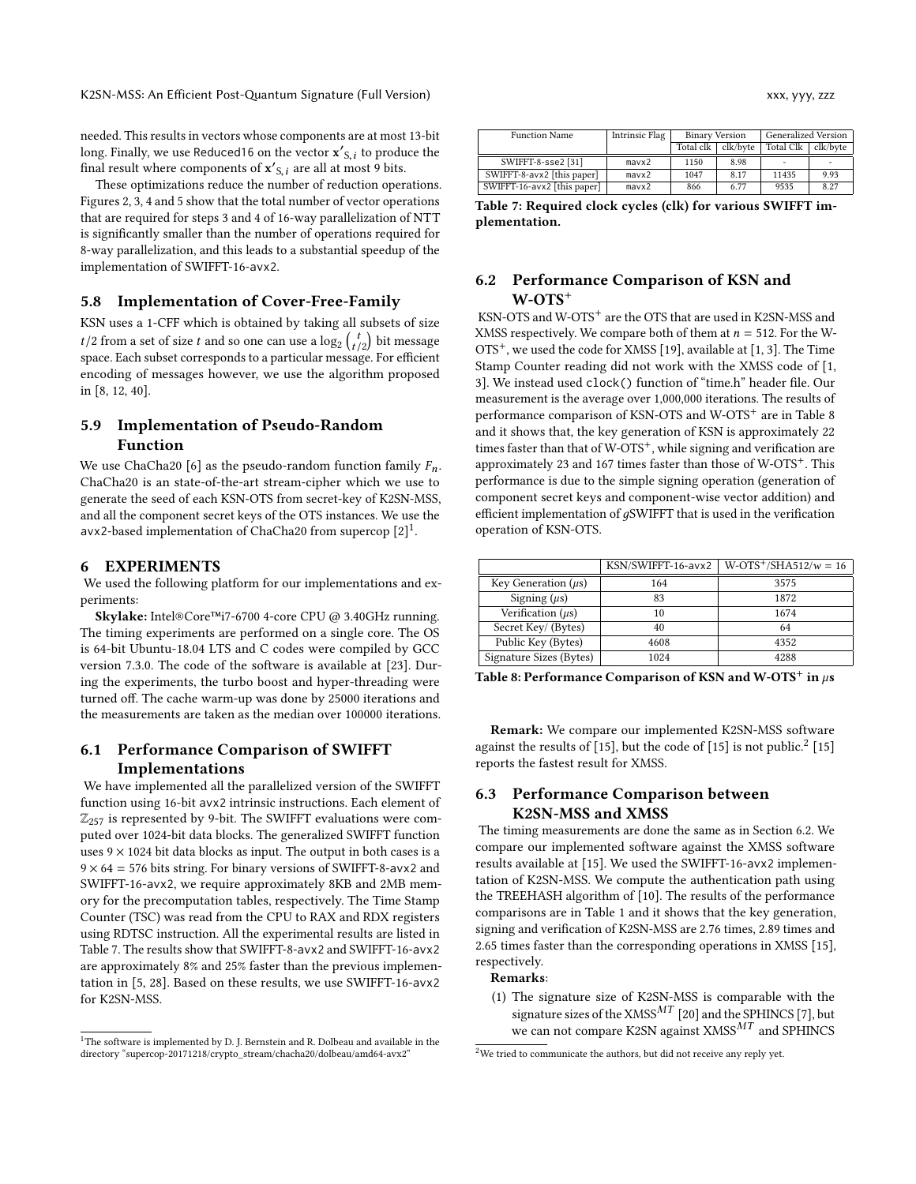needed. This results in vectors whose components are at most 13-bit long. Finally, we use Reduced16 on the vector  $\mathbf{x}'_{S,i}$  to produce the final result where components of  $\mathbf{x}'_{S,i}$  are all at most 9 bits final result where components of  $\mathbf{x}'_{S,i}$  are all at most 9 bits.<br>These optimizations reduce the number of reduction operations

These optimizations reduce the number of reduction operations. Figures [2, 3,](#page-11-1) [4](#page-11-2) and [5](#page-11-2) show that the total number of vector operations that are required for steps 3 and 4 of 16-way parallelization of NTT is significantly smaller than the number of operations required for 8-way parallelization, and this leads to a substantial speedup of the implementation of SWIFFT-16-avx2.

### 5.8 Implementation of Cover-Free-Family

KSN uses a 1-CFF which is obtained by taking all subsets of size  $t/2$  from a set of size t and so one can use a  $\log_2 \binom{t}{t/2}$  bit message<br>space. Each subset corresponds to a particular message. For efficient space. Each subset corresponds to a particular message. For efficient encoding of messages however, we use the algorithm proposed in [\[8,](#page-15-18) [12,](#page-15-32) [40\]](#page-16-3).

## 5.9 Implementation of Pseudo-Random Function

We use ChaCha20 [\[6\]](#page-15-17) as the pseudo-random function family  $F_n$ . ChaCha20 is an state-of-the-art stream-cipher which we use to generate the seed of each KSN-OTS from secret-key of K2SN-MSS, and all the component secret keys of the OTS instances. We use the avx2-based implementation of ChaCha20 from supercop [\[2\]](#page-15-33)<sup>[1](#page-14-1)</sup>.

#### 6 EXPERIMENTS

We used the following platform for our implementations and experiments:

Skylake: Intel®Core™i7-6700 4-core CPU @ 3.40GHz running. The timing experiments are performed on a single core. The OS is 64-bit Ubuntu-18.04 LTS and C codes were compiled by GCC version 7.3.0. The code of the software is available at [\[23\]](#page-15-31). During the experiments, the turbo boost and hyper-threading were turned off. The cache warm-up was done by 25000 iterations and the measurements are taken as the median over 100000 iterations.

## 6.1 Performance Comparison of SWIFFT Implementations

We have implemented all the parallelized version of the SWIFFT function using 16-bit avx2 intrinsic instructions. Each element of  $\mathbb{Z}_{257}$  is represented by 9-bit. The SWIFFT evaluations were computed over 1024-bit data blocks. The generalized SWIFFT function uses  $9 \times 1024$  bit data blocks as input. The output in both cases is a  $9 \times 64 = 576$  bits string. For binary versions of SWIFFT-8-avx2 and SWIFFT-16-avx2, we require approximately 8KB and 2MB memory for the precomputation tables, respectively. The Time Stamp Counter (TSC) was read from the CPU to RAX and RDX registers using RDTSC instruction. All the experimental results are listed in Table [7.](#page-14-2) The results show that SWIFFT-8-avx2 and SWIFFT-16-avx2 are approximately 8% and 25% faster than the previous implementation in [\[5,](#page-15-19) [28\]](#page-15-20). Based on these results, we use SWIFFT-16-avx2 for K2SN-MSS.

<span id="page-14-2"></span>

| <b>Function Name</b>        | Intrinsic Flag | <b>Binary Version</b> |          | <b>Generalized Version</b> |          |
|-----------------------------|----------------|-----------------------|----------|----------------------------|----------|
|                             |                | Total clk             | clk/byte | <b>Total Clk</b>           | clk/byte |
| SWIFFT-8-sse2 [31]          | max2           | 1150                  | 8.98     | ۰                          |          |
| SWIFFT-8-avx2 [this paper]  | max2           | 1047                  | 8.17     | 11435                      | 9.93     |
| SWIFFT-16-avx2 [this paper] | max2           | 866                   | 6.77     | 9535                       | 8.27     |

Table 7: Required clock cycles (clk) for various SWIFFT implementation.

## <span id="page-14-0"></span>6.2 Performance Comparison of KSN and W-OTS<sup>+</sup>

KSN-OTS and W-OTS<sup>+</sup> are the OTS that are used in K2SN-MSS and XMSS respectively. We compare both of them at  $n = 512$ . For the W-OTS<sup>+</sup>, we used the code for XMSS [\[19\]](#page-15-11), available at [\[1,](#page-15-34) [3\]](#page-15-25). The Time Stamp Counter reading did not work with the XMSS code of [\[1,](#page-15-34) [3\]](#page-15-25). We instead used clock() function of "time.h" header file. Our measurement is the average over 1,000,000 iterations. The results of performance comparison of KSN-OTS and W-OTS<sup>+</sup> are in Table [8](#page-14-3) and it shows that, the key generation of KSN is approximately 22 times faster than that of W-OTS<sup>+</sup>, while signing and verification are approximately 23 and 167 times faster than those of  $W$ -OTS<sup>+</sup>. This performance is due to the simple signing operation (generation of component secret keys and component-wise vector addition) and efficient implementation of  $q$ SWIFFT that is used in the verification operation of KSN-OTS.

<span id="page-14-3"></span>

|                          | KSN/SWIFFT-16-avx2 | $W-OTS^{+}/SHA512/w = 16$ |
|--------------------------|--------------------|---------------------------|
| Key Generation $(\mu s)$ | 164                | 3575                      |
| Signing $(\mu s)$        | 83                 | 1872                      |
| Verification $(\mu s)$   | 10                 | 1674                      |
| Secret Key/ (Bytes)      | 40                 | 64                        |
| Public Key (Bytes)       | 4608               | 4352                      |
| Signature Sizes (Bytes)  | 1024               | 4288                      |

Table 8: Performance Comparison of KSN and W-OTS<sup>+</sup> in  $\mu$ s

Remark: We compare our implemented K2SN-MSS software against the results of [\[15\]](#page-15-22), but the code of [15] is not public.<sup>[2](#page-14-4)</sup> [15] reports the fastest result for XMSS.

## 6.3 Performance Comparison between K2SN-MSS and XMSS

The timing measurements are done the same as in Section [6.2.](#page-14-0) We compare our implemented software against the XMSS software results available at [\[15\]](#page-15-22). We used the SWIFFT-16-avx2 implementation of K2SN-MSS. We compute the authentication path using the TREEHASH algorithm of [\[10\]](#page-15-35). The results of the performance comparisons are in Table [1](#page-2-3) and it shows that the key generation, signing and verification of K2SN-MSS are 2.76 times, 2.89 times and 2.65 times faster than the corresponding operations in XMSS [\[15\]](#page-15-22), respectively.

#### Remarks:

(1) The signature size of K2SN-MSS is comparable with the signature sizes of the XMSS<sup>MT</sup> [\[20\]](#page-15-24) and the SPHINCS [\[7\]](#page-15-6), but we can not compare K2SN against  $XMSS^{MT}$  and SPHINCS

<span id="page-14-1"></span><sup>&</sup>lt;sup>1</sup>The software is implemented by D. J. Bernstein and R. Dolbeau and available in the directory "supercop-20171218/crypto\_stream/chacha20/dolbeau/amd64-avx2"

<span id="page-14-4"></span> $2$ We tried to communicate the authors, but did not receive any reply yet.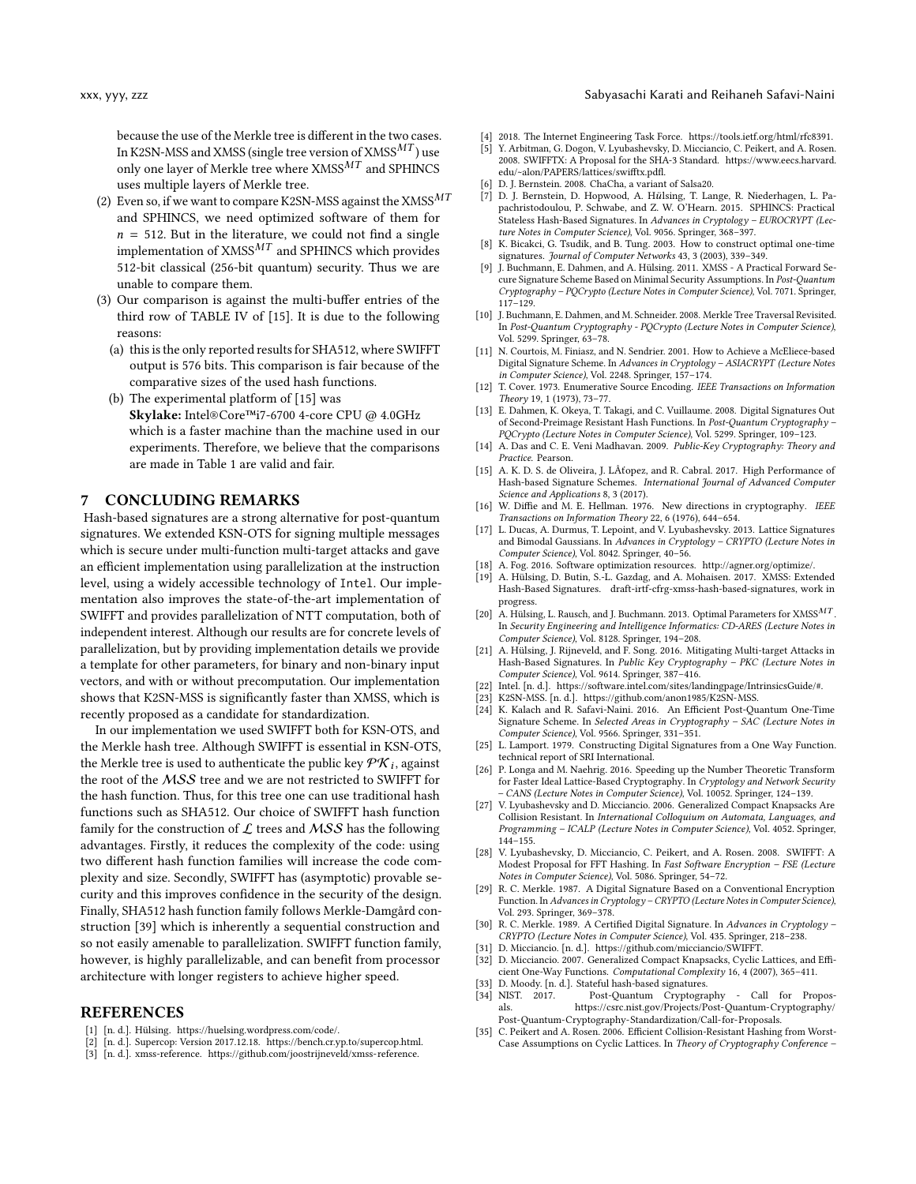because the use of the Merkle tree is different in the two cases. In K2SN-MSS and XMSS (single tree version of  $XMSS^{MT}$ ) use only one layer of Merkle tree where  $\text{XMSS}^{MT}$  and SPHINCS uses multiple layers of Merkle tree.

- (2) Even so, if we want to compare K2SN-MSS against the  ${\rm XMSS}^{MT}$ and SPHINCS, we need optimized software of them for  $n = 512$ . But in the literature, we could not find a single implementation of  $XMSS^{MT}$  and SPHINCS which provides 512-bit classical (256-bit quantum) security. Thus we are unable to compare them.
- (3) Our comparison is against the multi-buffer entries of the third row of TABLE IV of [\[15\]](#page-15-22). It is due to the following reasons:
	- (a) this is the only reported results for SHA512, where SWIFFT output is 576 bits. This comparison is fair because of the comparative sizes of the used hash functions.
	- (b) The experimental platform of [\[15\]](#page-15-22) was Skylake: Intel®Core™i7-6700 4-core CPU @ 4.0GHz which is a faster machine than the machine used in our experiments. Therefore, we believe that the comparisons are made in Table [1](#page-2-3) are valid and fair.

## <span id="page-15-23"></span>7 CONCLUDING REMARKS

Hash-based signatures are a strong alternative for post-quantum signatures. We extended KSN-OTS for signing multiple messages which is secure under multi-function multi-target attacks and gave an efficient implementation using parallelization at the instruction level, using a widely accessible technology of Intel. Our implementation also improves the state-of-the-art implementation of SWIFFT and provides parallelization of NTT computation, both of independent interest. Although our results are for concrete levels of parallelization, but by providing implementation details we provide a template for other parameters, for binary and non-binary input vectors, and with or without precomputation. Our implementation shows that K2SN-MSS is significantly faster than XMSS, which is recently proposed as a candidate for standardization.

In our implementation we used SWIFFT both for KSN-OTS, and the Merkle hash tree. Although SWIFFT is essential in KSN-OTS, the Merkle tree is used to authenticate the public key  $\mathcal{PK}_i$ , against<br>the root of the MSS tree and we are not restricted to SWIEET for the root of the MSS tree and we are not restricted to SWIFFT for the hash function. Thus, for this tree one can use traditional hash functions such as SHA512. Our choice of SWIFFT hash function family for the construction of  $\mathcal L$  trees and  $MSS$  has the following advantages. Firstly, it reduces the complexity of the code: using two different hash function families will increase the code complexity and size. Secondly, SWIFFT has (asymptotic) provable security and this improves confidence in the security of the design. Finally, SHA512 hash function family follows Merkle-Damgård construction [\[39\]](#page-16-4) which is inherently a sequential construction and so not easily amenable to parallelization. SWIFFT function family, however, is highly parallelizable, and can benefit from processor architecture with longer registers to achieve higher speed.

#### REFERENCES

- <span id="page-15-34"></span>[1] [n. d.]. Hülsing. [https://huelsing.wordpress.com/code/.](https://huelsing.wordpress.com/code/)
- <span id="page-15-33"></span>[2] [n. d.]. Supercop: Version 2017.12.18. [https://bench.cr.yp.to/supercop.html.](https://bench.cr.yp.to/supercop.html)
- <span id="page-15-25"></span>[3] [n. d.]. xmss-reference. [https://github.com/joostrijneveld/xmss-reference.](https://github.com/joostrijneveld/xmss-reference)

#### xxx, yyy, zzz Sabyasachi Karati and Reihaneh Safavi-Naini

- <span id="page-15-2"></span>[4] 2018. The Internet Engineering Task Force. [https://tools.ietf.org/html/rfc8391.](https://tools.ietf.org/html/rfc8391)
- <span id="page-15-19"></span>[5] Y. Arbitman, G. Dogon, V. Lyubashevsky, D. Micciancio, C. Peikert, and A. Rosen. 2008. SWIFFTX: A Proposal for the SHA-3 Standard. [https://www.eecs.harvard.](https://www.eecs.harvard.edu/~alon/PAPERS/lattices/swifftx.pdfl) [edu/~alon/PAPERS/lattices/swifftx.pdfl.](https://www.eecs.harvard.edu/~alon/PAPERS/lattices/swifftx.pdfl)
- <span id="page-15-17"></span>[6] D. J. Bernstein. 2008. ChaCha, a variant of Salsa20.
- <span id="page-15-6"></span>[7] D. J. Bernstein, D. Hopwood, A. Hülsing, T. Lange, R. Niederhagen, L. Papachristodoulou, P. Schwabe, and Z. W. O'Hearn. 2015. SPHINCS: Practical Stateless Hash-Based Signatures. In Advances in Cryptology - EUROCRYPT (Lecture Notes in Computer Science), Vol. 9056. Springer, 368–397.
- <span id="page-15-18"></span>K. Bicakci, G. Tsudik, and B. Tung. 2003. How to construct optimal one-time signatures. Journal of Computer Networks 43, 3 (2003), 339–349.
- <span id="page-15-10"></span>J. Buchmann, E. Dahmen, and A. Hülsing. 2011. XMSS - A Practical Forward Secure Signature Scheme Based on Minimal Security Assumptions. In Post-Quantum Cryptography – PQCrypto (Lecture Notes in Computer Science), Vol. 7071. Springer, 117–129.
- <span id="page-15-35"></span>[10] J. Buchmann, E. Dahmen, and M. Schneider. 2008. Merkle Tree Traversal Revisited. In Post-Quantum Cryptography - PQCrypto (Lecture Notes in Computer Science), Vol. 5299. Springer, 63–78.
- <span id="page-15-4"></span>[11] N. Courtois, M. Finiasz, and N. Sendrier. 2001. How to Achieve a McEliece-based Digital Signature Scheme. In Advances in Cryptology – ASIACRYPT (Lecture Notes in Computer Science), Vol. 2248. Springer, 157–174.
- <span id="page-15-32"></span>[12] T. Cover. 1973. Enumerative Source Encoding. IEEE Transactions on Information Theory 19, 1 (1973), 73–77.
- <span id="page-15-9"></span>[13] E. Dahmen, K. Okeya, T. Takagi, and C. Vuillaume. 2008. Digital Signatures Out of Second-Preimage Resistant Hash Functions. In Post-Quantum Cryptography – PQCrypto (Lecture Notes in Computer Science), Vol. 5299. Springer, 109–123.
- <span id="page-15-1"></span>[14] A. Das and C. E. Veni Madhavan. 2009. Public-Key Cryptography: Theory and Practice. Pearson.
- <span id="page-15-22"></span>[15] A. K. D. S. de Oliveira, J. LÂťopez, and R. Cabral. 2017. High Performance of Hash-based Signature Schemes. International Journal of Advanced Computer Science and Applications 8, 3 (2017).
- <span id="page-15-0"></span>[16] W. Diffie and M. E. Hellman. 1976. New directions in cryptography. IEEE Transactions on Information Theory 22, 6 (1976), 644–654.
- <span id="page-15-5"></span>[17] L. Ducas, A. Durmus, T. Lepoint, and V. Lyubashevsky. 2013. Lattice Signatures and Bimodal Gaussians. In Advances in Cryptology – CRYPTO (Lecture Notes in Computer Science), Vol. 8042. Springer, 40–56.
- <span id="page-15-29"></span>[18] A. Fog. 2016. Software optimization resources. [http://agner.org/optimize/.](http://agner.org/optimize/)
- <span id="page-15-11"></span>[19] A. Hülsing, D. Butin, S.-L. Gazdag, and A. Mohaisen. 2017. XMSS: Extended Hash-Based Signatures. draft-irtf-cfrg-xmss-hash-based-signatures, work in progress.
- <span id="page-15-24"></span>[20] A. Hülsing, L. Rausch, and J. Buchmann. 2013. Optimal Parameters for XMSS<sup>MT</sup>. In Security Engineering and Intelligence Informatics: CD-ARES (Lecture Notes in Computer Science), Vol. 8128. Springer, 194–208.
- <span id="page-15-14"></span>[21] A. Hülsing, J. Rijneveld, and F. Song. 2016. Mitigating Multi-target Attacks in Hash-Based Signatures. In Public Key Cryptography – PKC (Lecture Notes in Computer Science), Vol. 9614. Springer, 387–416.
- <span id="page-15-30"></span>[22] Intel. [n. d.]. https://software.intel.com/sites/landingpage/IntrinsicsGuide/#.
- <span id="page-15-31"></span>[23] K2SN-MSS. [n. d.]. [https://github.com/anon1985/K2SN-MSS.](https://github.com/anon1985/K2SN-MSS)
- <span id="page-15-15"></span>[24] K. Kalach and R. Safavi-Naini. 2016. An Efficient Post-Quantum One-Time Signature Scheme. In Selected Areas in Cryptography – SAC (Lecture Notes in Computer Science), Vol. 9566. Springer, 331–351.
- <span id="page-15-7"></span>[25] L. Lamport. 1979. Constructing Digital Signatures from a One Way Function. technical report of SRI International.
- <span id="page-15-16"></span>[26] P. Longa and M. Naehrig. 2016. Speeding up the Number Theoretic Transform for Faster Ideal Lattice-Based Cryptography. In Cryptology and Network Security – CANS (Lecture Notes in Computer Science), Vol. 10052. Springer, 124–139.
- <span id="page-15-27"></span>[27] V. Lyubashevsky and D. Micciancio. 2006. Generalized Compact Knapsacks Are Collision Resistant. In International Colloquium on Automata, Languages, and Programming – ICALP (Lecture Notes in Computer Science), Vol. 4052. Springer, 144–155.
- <span id="page-15-20"></span>[28] V. Lyubashevsky, D. Micciancio, C. Peikert, and A. Rosen. 2008. SWIFFT: A Modest Proposal for FFT Hashing. In Fast Software Encryption – FSE (Lecture Notes in Computer Science), Vol. 5086. Springer, 54–72.
- <span id="page-15-8"></span>[29] R. C. Merkle. 1987. A Digital Signature Based on a Conventional Encryption Function. In Advances in Cryptology – CRYPTO (Lecture Notes in Computer Science), Vol. 293. Springer, 369–378.
- <span id="page-15-12"></span>[30] R. C. Merkle. 1989. A Certified Digital Signature. In Advances in Cryptology – CRYPTO (Lecture Notes in Computer Science), Vol. 435. Springer, 218–238.
- <span id="page-15-21"></span>[31] D. Micciancio. [n. d.]. [https://github.com/micciancio/SWIFFT.](https://github.com/micciancio/SWIFFT)
- <span id="page-15-26"></span>[32] D. Micciancio. 2007. Generalized Compact Knapsacks, Cyclic Lattices, and Efficient One-Way Functions. Computational Complexity 16, 4 (2007), 365–411.
- <span id="page-15-13"></span>[33] D. Moody. [n. d.]. Stateful hash-based signatures.
- <span id="page-15-3"></span>[34] NIST. 2017. Post-Quantum Cryptography - Call for Proposals. [https://csrc.nist.gov/Projects/Post-Quantum-Cryptography/]( https://csrc.nist.gov/Projects/Post-Quantum-Cryptography/Post-Quantum-Cryptography-Standardization/Call-for-Proposals) [Post-Quantum-Cryptography-Standardization/Call-for-Proposals.]( https://csrc.nist.gov/Projects/Post-Quantum-Cryptography/Post-Quantum-Cryptography-Standardization/Call-for-Proposals)
- <span id="page-15-28"></span>[35] C. Peikert and A. Rosen. 2006. Efficient Collision-Resistant Hashing from Worst-Case Assumptions on Cyclic Lattices. In Theory of Cryptography Conference –